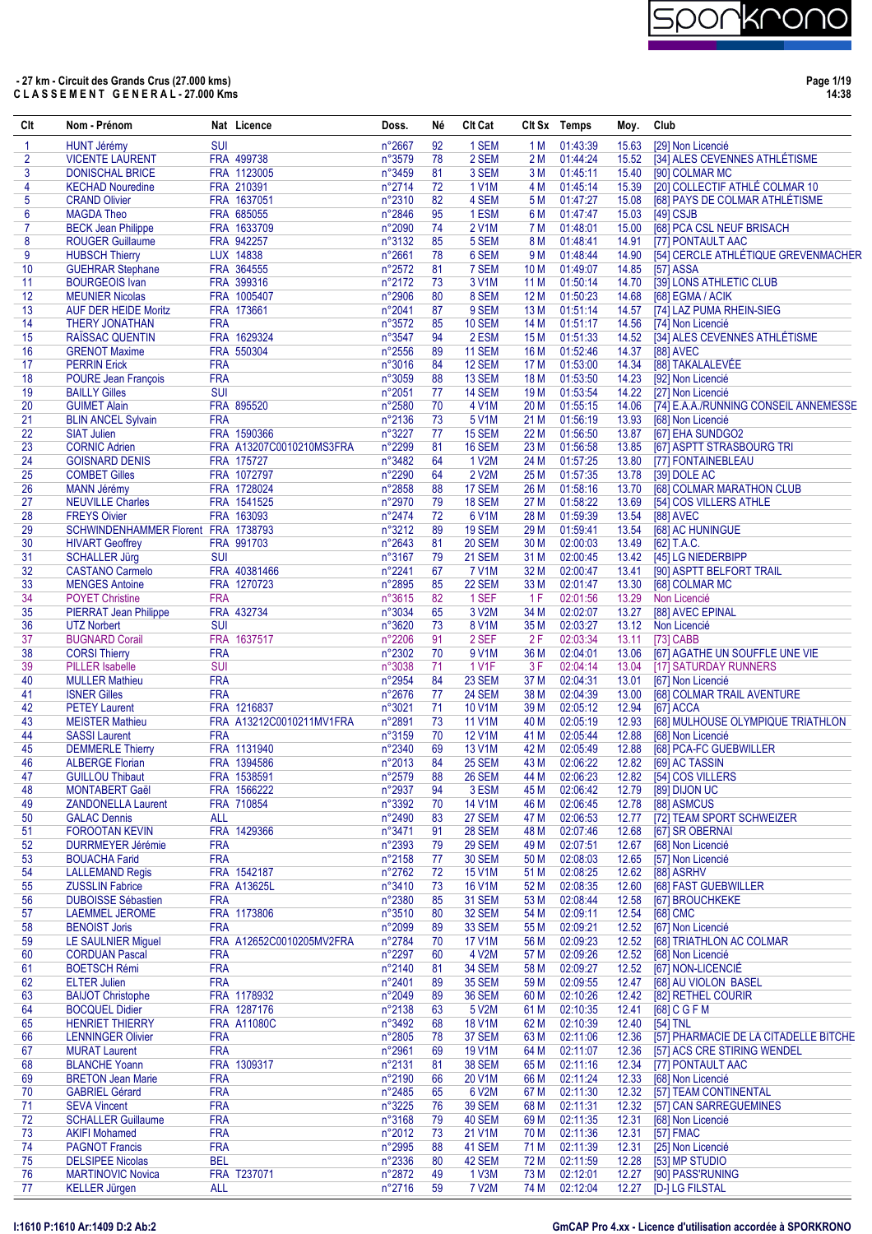

| Clt            | Nom - Prénom                                      |                          | Nat Licence              | Doss.            | Né       | <b>CIt Cat</b>                 |              | Clt Sx Temps         | Moy.           | Club                                                     |
|----------------|---------------------------------------------------|--------------------------|--------------------------|------------------|----------|--------------------------------|--------------|----------------------|----------------|----------------------------------------------------------|
| 1              | <b>HUNT Jérémy</b>                                | <b>SUI</b>               |                          | n°2667           | 92       | 1 SEM                          | 1 M          | 01:43:39             | 15.63          | [29] Non Licencié                                        |
| $\overline{2}$ | <b>VICENTE LAURENT</b>                            |                          | FRA 499738               | n°3579           | 78       | 2 SEM                          | 2M           | 01:44:24             | 15.52          | [34] ALES CEVENNES ATHLÉTISME                            |
| 3              | <b>DONISCHAL BRICE</b>                            |                          | FRA 1123005              | n°3459           | 81       | 3 SEM                          | 3 M          | 01:45:11             | 15.40          | [90] COLMAR MC                                           |
| 4              | <b>KECHAD Nouredine</b>                           |                          | FRA 210391               | n°2714           | 72       | <b>1 V1M</b>                   | 4 M          | 01:45:14             | 15.39          | [20] COLLECTIF ATHLÉ COLMAR 10                           |
| 5              | <b>CRAND Olivier</b>                              |                          | FRA 1637051              | n°2310           | 82       | 4 SEM                          | 5 M          | 01:47:27             | 15.08          | [68] PAYS DE COLMAR ATHLÉTISME                           |
| 6              | <b>MAGDA Theo</b>                                 |                          | FRA 685055               | n°2846           | 95       | 1 ESM                          | 6 M          | 01:47:47             | 15.03          | $[49]$ CSJB                                              |
| $\overline{7}$ | <b>BECK Jean Philippe</b>                         |                          | FRA 1633709              | n°2090           | 74       | <b>2 V1M</b>                   | 7 M          | 01:48:01             | 15.00          | [68] PCA CSL NEUF BRISACH                                |
| 8<br>9         | <b>ROUGER Guillaume</b>                           |                          | FRA 942257<br>LUX 14838  | n°3132<br>n°2661 | 85<br>78 | 5 SEM<br>6 SEM                 | 8 M<br>9 M   | 01:48:41<br>01:48:44 | 14.91          | [77] PONTAULT AAC<br>[54] CERCLE ATHLÉTIQUE GREVENMACHER |
| 10             | <b>HUBSCH Thierry</b><br><b>GUEHRAR Stephane</b>  |                          | FRA 364555               | n°2572           | 81       | 7 SEM                          | 10 M         | 01:49:07             | 14.90<br>14.85 | [57] ASSA                                                |
| 11             | <b>BOURGEOIS Ivan</b>                             |                          | FRA 399316               | n°2172           | 73       | 3 V <sub>1</sub> M             | 11 M         | 01:50:14             | 14.70          | [39] LONS ATHLETIC CLUB                                  |
| 12             | <b>MEUNIER Nicolas</b>                            |                          | FRA 1005407              | n°2906           | 80       | 8 SEM                          | 12 M         | 01:50:23             | 14.68          | [68] EGMA / ACIK                                         |
| 13             | <b>AUF DER HEIDE Moritz</b>                       |                          | FRA 173661               | n°2041           | 87       | 9 SEM                          | 13 M         | 01:51:14             | 14.57          | [74] LAZ PUMA RHEIN-SIEG                                 |
| 14             | <b>THERY JONATHAN</b>                             | <b>FRA</b>               |                          | n°3572           | 85       | <b>10 SEM</b>                  | 14 M         | 01:51:17             | 14.56          | [74] Non Licencié                                        |
| 15             | <b>RAISSAC QUENTIN</b>                            |                          | FRA 1629324              | n°3547           | 94       | 2 ESM                          | 15 M         | 01:51:33             | 14.52          | [34] ALES CEVENNES ATHLÉTISME                            |
| 16             | <b>GRENOT Maxime</b>                              |                          | FRA 550304               | n°2556           | 89       | 11 SEM                         | 16 M         | 01:52:46             | 14.37          | [88] AVEC                                                |
| 17             | <b>PERRIN Erick</b>                               | <b>FRA</b>               |                          | n°3016           | 84       | <b>12 SEM</b>                  | 17 M         | 01:53:00             | 14.34          | [88] TAKALALEVÉE                                         |
| 18             | <b>POURE Jean François</b>                        | <b>FRA</b>               |                          | n°3059           | 88       | 13 SEM                         | 18 M         | 01:53:50             | 14.23          | [92] Non Licencié                                        |
| 19             | <b>BAILLY Gilles</b>                              | <b>SUI</b>               |                          | n°2051           | 77       | 14 SEM                         | 19 M         | 01:53:54             | 14.22          | [27] Non Licencié                                        |
| 20             | <b>GUIMET Alain</b>                               |                          | FRA 895520               | n°2580           | 70       | 4 V1M                          | 20 M         | 01:55:15             | 14.06          | [74] E.A.A./RUNNING CONSEIL ANNEMESSE                    |
| 21             | <b>BLIN ANCEL Sylvain</b>                         | <b>FRA</b>               |                          | n°2136           | 73       | 5 V1M                          | 21 M         | 01:56:19             | 13.93          | [68] Non Licencié                                        |
| 22             | <b>SIAT Julien</b>                                |                          | FRA 1590366              | n°3227           | 77       | 15 SEM                         | 22 M         | 01:56:50             | 13.87          | [67] EHA SUNDGO2                                         |
| 23             | <b>CORNIC Adrien</b>                              |                          | FRA A13207C0010210MS3FRA | n°2299           | 81       | 16 SEM                         | 23 M         | 01:56:58             | 13.85          | [67] ASPTT STRASBOURG TRI                                |
| 24             | <b>GOISNARD DENIS</b>                             |                          | FRA 175727               | n°3482           | 64       | 1 V2M                          | 24 M         | 01:57:25             | 13.80          | [77] FONTAINEBLEAU                                       |
| 25             | <b>COMBET Gilles</b>                              |                          | FRA 1072797              | n°2290           | 64       | 2 V2M                          | 25 M         | 01:57:35             | 13.78          | [39] DOLE AC                                             |
| 26             | <b>MANN Jérémy</b>                                |                          | FRA 1728024              | n°2858           | 88       | 17 SEM                         | 26 M         | 01:58:16             | 13.70          | [68] COLMAR MARATHON CLUB                                |
| 27             | <b>NEUVILLE Charles</b>                           |                          | FRA 1541525              | n°2970           | 79       | 18 SEM                         | 27 M         | 01:58:22             | 13.69          | [54] COS VILLERS ATHLE                                   |
| 28             | <b>FREYS Oivier</b>                               |                          | FRA 163093               | n°2474           | 72       | 6 V <sub>1</sub> M             | 28 M         | 01:59:39             | 13.54          | <b>[88] AVEC</b>                                         |
| 29             | SCHWINDENHAMMER Florent FRA 1738793               |                          |                          | n°3212           | 89       | <b>19 SEM</b>                  | 29 M         | 01:59:41<br>02:00:03 | 13.54          | [68] AC HUNINGUE                                         |
| 30<br>31       | <b>HIVART Geoffrey</b>                            | <b>SUI</b>               | FRA 991703               | n°2643           | 81<br>79 | <b>20 SEM</b>                  | 30 M         | 02:00:45             | 13.49          | [62] T.A.C.                                              |
| 32             | <b>SCHALLER Jürg</b><br><b>CASTANO Carmelo</b>    |                          | FRA 40381466             | n°3167<br>n°2241 | 67       | <b>21 SEM</b><br><b>7 V1M</b>  | 31 M<br>32 M | 02:00:47             | 13.41          | 13.42 [45] LG NIEDERBIPP<br>[90] ASPTT BELFORT TRAIL     |
| 33             | <b>MENGES Antoine</b>                             |                          | FRA 1270723              | n°2895           | 85       | 22 SEM                         | 33 M         | 02:01:47             | 13.30          | [68] COLMAR MC                                           |
| 34             | <b>POYET Christine</b>                            | <b>FRA</b>               |                          | n°3615           | 82       | 1 SEF                          | 1F           | 02:01:56             | 13.29          | Non Licencié                                             |
| 35             | <b>PIERRAT Jean Philippe</b>                      |                          | FRA 432734               | n°3034           | 65       | 3 V2M                          | 34 M         | 02:02:07             | 13.27          | [88] AVEC EPINAL                                         |
| 36             | <b>UTZ Norbert</b>                                | <b>SUI</b>               |                          | n°3620           | 73       | <b>8 V1M</b>                   | 35 M         | 02:03:27             |                | 13.12 Non Licencié                                       |
| 37             | <b>BUGNARD Corail</b>                             |                          | FRA 1637517              | n°2206           | 91       | 2 SEF                          | 2F           | 02:03:34             | 13.11          | [73] CABB                                                |
| 38             | <b>CORSI Thierry</b>                              | <b>FRA</b>               |                          | n°2302           | 70       | 9 V1M                          | 36 M         | 02:04:01             | 13.06          | [67] AGATHE UN SOUFFLE UNE VIE                           |
| 39             | <b>PILLER</b> Isabelle                            | <b>SUI</b>               |                          | n°3038           | 71       | <b>1 V1F</b>                   | 3 F          | 02:04:14             | 13.04          | [17] SATURDAY RUNNERS                                    |
| 40             | <b>MULLER Mathieu</b>                             | <b>FRA</b>               |                          | n°2954           | 84       | 23 SEM                         | 37 M         | 02:04:31             | 13.01          | [67] Non Licencié                                        |
| 41             | <b>ISNER Gilles</b>                               | <b>FRA</b>               |                          | n°2676           | 77       | 24 SEM                         | 38 M         | 02:04:39             | 13.00          | [68] COLMAR TRAIL AVENTURE                               |
| 42             | <b>PETEY Laurent</b>                              |                          | FRA 1216837              | n°3021           | 71       | 10 V1M                         | 39 M         | 02:05:12             | 12.94          | [67] ACCA                                                |
| 43             | <b>MEISTER Mathieu</b>                            |                          | FRA A13212C0010211MV1FRA | n°2891           | 73       | <b>11 V1M</b>                  | 40 M         | 02:05:19             | 12.93          | [68] MULHOUSE OLYMPIQUE TRIATHLON                        |
| 44             | <b>SASSI Laurent</b>                              | <b>FRA</b>               |                          | n°3159           | 70       | <b>12 V1M</b>                  | 41 M         | 02:05:44             | 12.88          | [68] Non Licencié                                        |
| 45             | <b>DEMMERLE Thierry</b>                           |                          | FRA 1131940              | n°2340           | 69       | 13 V1M                         | 42 M         | 02:05:49             | 12.88          | [68] PCA-FC GUEBWILLER                                   |
| 46             | <b>ALBERGE Florian</b>                            |                          | FRA 1394586              | n°2013           | 84       | 25 SEM                         | 43 M         | 02:06:22             | 12.82          | [69] AC TASSIN                                           |
| 47             | <b>GUILLOU Thibaut</b>                            |                          | FRA 1538591              | n°2579           | 88       | 26 SEM                         | 44 M         | 02:06:23             | 12.82          | [54] COS VILLERS                                         |
| 48             | <b>MONTABERT Gaël</b>                             |                          | FRA 1566222              | n°2937           | 94       | 3 ESM                          | 45 M         | 02:06:42             | 12.79          | [89] DIJON UC                                            |
| 49             | <b>ZANDONELLA Laurent</b>                         |                          | FRA 710854               | n°3392           | 70       | 14 V1M                         | 46 M         | 02:06:45             | 12.78          | [88] ASMCUS                                              |
| 50             | <b>GALAC Dennis</b>                               | <b>ALL</b>               |                          | n°2490           | 83       | <b>27 SEM</b>                  | 47 M         | 02:06:53<br>02:07:46 | 12.77          | [72] TEAM SPORT SCHWEIZER<br>[67] SR OBERNAI             |
| 51<br>52       | <b>FOROOTAN KEVIN</b><br><b>DURRMEYER Jérémie</b> | <b>FRA</b>               | FRA 1429366              | n°3471<br>n°2393 | 91<br>79 | <b>28 SEM</b><br><b>29 SEM</b> | 48 M<br>49 M | 02:07:51             | 12.68<br>12.67 | [68] Non Licencié                                        |
| 53             | <b>BOUACHA Farid</b>                              | <b>FRA</b>               |                          | n°2158           | 77       | <b>30 SEM</b>                  | 50 M         | 02:08:03             | 12.65          | [57] Non Licencié                                        |
| 54             | <b>LALLEMAND Regis</b>                            |                          | FRA 1542187              | n°2762           | 72       | 15 V1M                         | 51 M         | 02:08:25             | 12.62          | [88] ASRHV                                               |
| 55             | <b>ZUSSLIN Fabrice</b>                            |                          | <b>FRA A13625L</b>       | n°3410           | 73       | <b>16 V1M</b>                  | 52 M         | 02:08:35             | 12.60          | [68] FAST GUEBWILLER                                     |
| 56             | <b>DUBOISSE Sébastien</b>                         | <b>FRA</b>               |                          | n°2380           | 85       | <b>31 SEM</b>                  | 53 M         | 02:08:44             | 12.58          | [67] BROUCHKEKE                                          |
| 57             | LAEMMEL JEROME                                    |                          | FRA 1173806              | n°3510           | 80       | 32 SEM                         | 54 M         | 02:09:11             | 12.54          | [68] CMC                                                 |
| 58             | <b>BENOIST Joris</b>                              | <b>FRA</b>               |                          | n°2099           | 89       | 33 SEM                         | 55 M         | 02:09:21             | 12.52          | [67] Non Licencié                                        |
| 59             | LE SAULNIER Miguel                                |                          | FRA A12652C0010205MV2FRA | n°2784           | 70       | 17 V1M                         | 56 M         | 02:09:23             | 12.52          | [68] TRIATHLON AC COLMAR                                 |
| 60             | <b>CORDUAN Pascal</b>                             | <b>FRA</b>               |                          | n°2297           | 60       | 4 V2M                          | 57 M         | 02:09:26             | 12.52          | [68] Non Licencié                                        |
| 61             | <b>BOETSCH Rémi</b>                               | <b>FRA</b>               |                          | n°2140           | 81       | <b>34 SEM</b>                  | 58 M         | 02:09:27             | 12.52          | [67] NON-LICENCIÉ                                        |
| 62             | <b>ELTER Julien</b>                               | <b>FRA</b>               |                          | n°2401           | 89       | <b>35 SEM</b>                  | 59 M         | 02:09:55             | 12.47          | [68] AU VIOLON BASEL                                     |
| 63             | <b>BAIJOT Christophe</b>                          |                          | FRA 1178932              | n°2049           | 89       | <b>36 SEM</b>                  | 60 M         | 02:10:26             | 12.42          | [82] RETHEL COURIR                                       |
| 64             | <b>BOCQUEL Didier</b>                             |                          | FRA 1287176              | n°2138           | 63       | 5 V2M                          | 61 M         | 02:10:35             | 12.41          | [68] C G F M                                             |
| 65             | <b>HENRIET THIERRY</b>                            |                          | <b>FRA A11080C</b>       | n°3492           | 68       | <b>18 V1M</b>                  | 62 M         | 02:10:39             | 12.40          | [54] TNL                                                 |
| 66             | <b>LENNINGER Olivier</b>                          | <b>FRA</b>               |                          | n°2805           | 78       | 37 SEM                         | 63 M         | 02:11:06             | 12.36          | [57] PHARMACIE DE LA CITADELLE BITCHE                    |
| 67             | <b>MURAT Laurent</b>                              | <b>FRA</b>               |                          | n°2961           | 69       | <b>19 V1M</b>                  | 64 M         | 02:11:07             | 12.36          | [57] ACS CRE STIRING WENDEL                              |
| 68             | <b>BLANCHE Yoann</b>                              |                          | FRA 1309317              | n°2131           | 81       | <b>38 SEM</b>                  | 65 M         | 02:11:16             | 12.34          | [77] PONTAULT AAC                                        |
| 69             | <b>BRETON Jean Marie</b>                          | <b>FRA</b>               |                          | n°2190           | 66       | 20 V1M                         | 66 M         | 02:11:24             | 12.33          | [68] Non Licencié                                        |
| 70             | <b>GABRIEL Gérard</b>                             | <b>FRA</b>               |                          | n°2485           | 65       | 6 V2M                          | 67 M         | 02:11:30             | 12.32          | [57] TEAM CONTINENTAL                                    |
| 71             | <b>SEVA Vincent</b>                               | <b>FRA</b>               |                          | n°3225           | 76       | <b>39 SEM</b>                  | 68 M         | 02:11:31             | 12.32          | [57] CAN SARREGUEMINES                                   |
| 72             | <b>SCHALLER Guillaume</b>                         | <b>FRA</b><br><b>FRA</b> |                          | n°3168<br>n°2012 | 79       | <b>40 SEM</b>                  | 69 M         | 02:11:35             | 12.31          | [68] Non Licencié                                        |
| 73<br>74       | <b>AKIFI Mohamed</b>                              | <b>FRA</b>               |                          | n°2995           | 73<br>88 | 21 V1M<br>41 SEM               | 70 M<br>71 M | 02:11:36<br>02:11:39 | 12.31          | [57] FMAC<br>[25] Non Licencié                           |
| 75             | <b>PAGNOT Francis</b><br><b>DELSIPEE Nicolas</b>  | <b>BEL</b>               |                          | n°2336           | 80       | 42 SEM                         | 72 M         | 02:11:59             | 12.31<br>12.28 | [53] MP STUDIO                                           |
| 76             | <b>MARTINOVIC Novica</b>                          |                          | FRA T237071              | n°2872           | 49       | 1 V3M                          | 73 M         | 02:12:01             | 12.27          | [90] PASS'RUNING                                         |
| 77             | <b>KELLER Jürgen</b>                              | <b>ALL</b>               |                          | n°2716           | 59       | <b>7 V2M</b>                   | 74 M         | 02:12:04             | 12.27          | [D-] LG FILSTAL                                          |
|                |                                                   |                          |                          |                  |          |                                |              |                      |                |                                                          |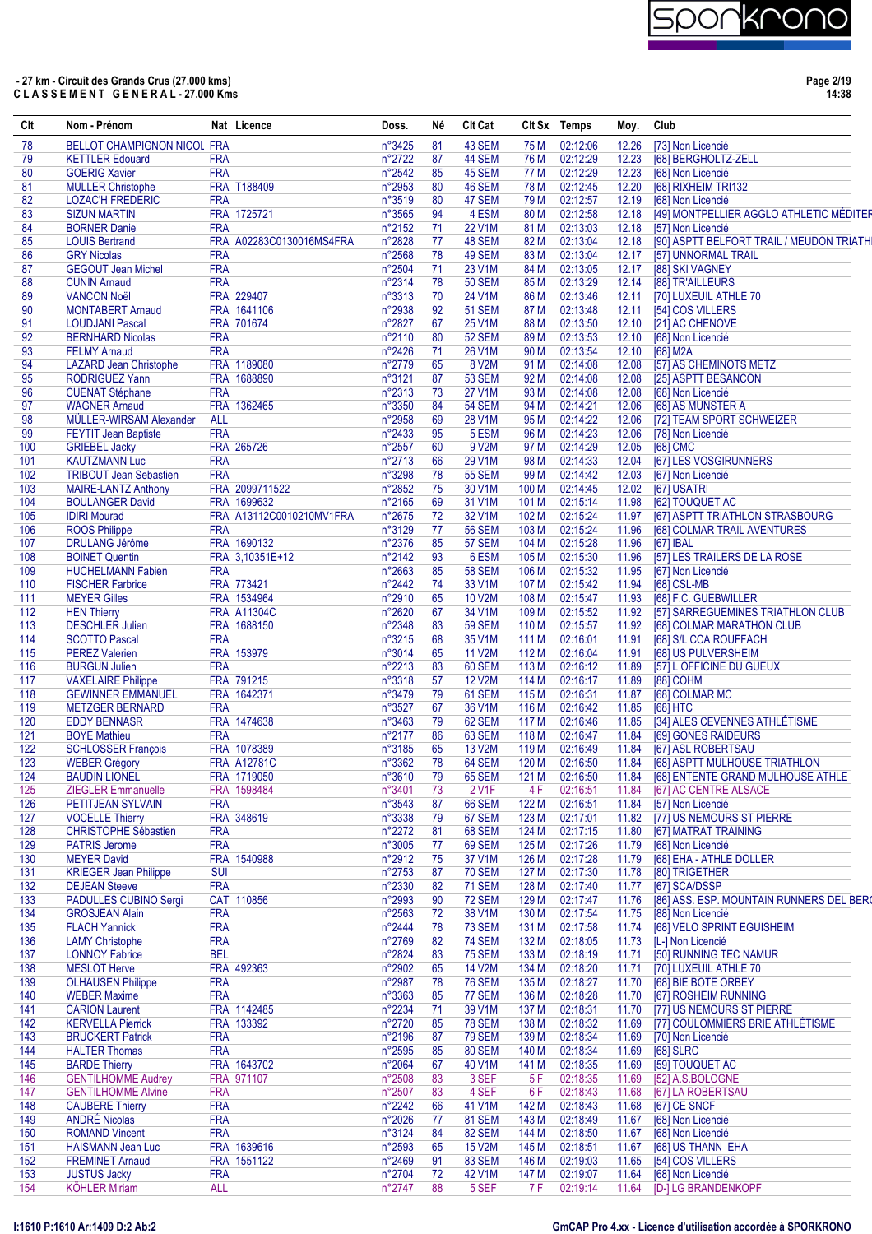

| Clt        | Nom - Prénom                                          |            | Nat Licence               | Doss.            | Né       | Clt Cat                 |                           | Clt Sx Temps         | Moy.           | Club                                                          |
|------------|-------------------------------------------------------|------------|---------------------------|------------------|----------|-------------------------|---------------------------|----------------------|----------------|---------------------------------------------------------------|
| 78         | <b>BELLOT CHAMPIGNON NICOL FRA</b>                    |            |                           | $n^{\circ}3425$  | 81       | 43 SEM                  | 75 M                      | 02:12:06             | 12.26          | [73] Non Licencié                                             |
| 79         | <b>KETTLER Edouard</b>                                | <b>FRA</b> |                           | n°2722           | 87       | 44 SEM                  | 76 M                      | 02:12:29             | 12.23          | [68] BERGHOLTZ-ZELL                                           |
| 80         | <b>GOERIG Xavier</b>                                  | <b>FRA</b> |                           | n°2542           | 85       | 45 SEM                  | 77 M                      | 02:12:29             | 12.23          | [68] Non Licencié                                             |
| 81         | <b>MULLER Christophe</b>                              |            | FRA T188409               | n°2953           | 80       | 46 SEM                  | 78 M                      | 02:12:45             | 12.20          | [68] RIXHEIM TRI132                                           |
| 82         | <b>LOZAC'H FREDERIC</b>                               | <b>FRA</b> |                           | n°3519           | 80       | 47 SEM                  | 79 M                      | 02:12:57             | 12.19          | [68] Non Licencié                                             |
| 83         | <b>SIZUN MARTIN</b>                                   |            | FRA 1725721               | n°3565           | 94       | 4 ESM                   | 80 M                      | 02:12:58             | 12.18          | [49] MONTPELLIER AGGLO ATHLETIC MÉDITER                       |
| 84<br>85   | <b>BORNER Daniel</b><br><b>LOUIS Bertrand</b>         | <b>FRA</b> | FRA A02283C0130016MS4FRA  | n°2152<br>n°2828 | 71<br>77 | 22 V1M<br>48 SEM        | 81 M<br>82 M              | 02:13:03<br>02:13:04 | 12.18<br>12.18 | [57] Non Licencié<br>[90] ASPTT BELFORT TRAIL / MEUDON TRIATH |
| 86         | <b>GRY Nicolas</b>                                    | <b>FRA</b> |                           | n°2568           | 78       | 49 SEM                  | 83 M                      | 02:13:04             | 12.17          | [57] UNNORMAL TRAIL                                           |
| 87         | <b>GEGOUT Jean Michel</b>                             | <b>FRA</b> |                           | n°2504           | 71       | 23 V1M                  | 84 M                      | 02:13:05             | 12.17          | [88] SKI VAGNEY                                               |
| 88         | <b>CUNIN Arnaud</b>                                   | <b>FRA</b> |                           | n°2314           | 78       | <b>50 SEM</b>           | 85 M                      | 02:13:29             | 12.14          | [88] TR'AILLEURS                                              |
| 89         | <b>VANCON Noël</b>                                    |            | FRA 229407                | n°3313           | 70       | 24 V1M                  | 86 M                      | 02:13:46             | 12.11          | [70] LUXEUIL ATHLE 70                                         |
| 90         | <b>MONTABERT Amaud</b>                                |            | FRA 1641106               | n°2938           | 92       | <b>51 SEM</b>           | 87 M                      | 02:13:48             | 12.11          | [54] COS VILLERS                                              |
| 91         | <b>LOUDJANI Pascal</b>                                |            | FRA 701674                | n°2827           | 67       | 25 V1M                  | 88 M                      | 02:13:50             | 12.10          | [21] AC CHENOVE                                               |
| 92         | <b>BERNHARD Nicolas</b>                               | <b>FRA</b> |                           | n°2110           | 80       | <b>52 SEM</b>           | 89 M                      | 02:13:53             | 12.10          | [68] Non Licencié                                             |
| 93         | <b>FELMY Arnaud</b>                                   | <b>FRA</b> |                           | n°2426           | 71       | 26 V1M                  | 90 M                      | 02:13:54             | 12.10          | [68] M2A                                                      |
| 94         | <b>LAZARD Jean Christophe</b>                         |            | FRA 1189080               | n°2779           | 65       | 8 V2M                   | 91 M                      | 02:14:08             | 12.08          | [57] AS CHEMINOTS METZ                                        |
| 95         | <b>RODRIGUEZ Yann</b>                                 |            | FRA 1688890               | n°3121           | 87       | <b>53 SEM</b>           | 92 M                      | 02:14:08             | 12.08          | [25] ASPTT BESANCON                                           |
| 96         | <b>CUENAT Stéphane</b>                                | <b>FRA</b> |                           | n°2313           | 73       | 27 V1M                  | 93 M                      | 02:14:08             | 12.08          | [68] Non Licencié                                             |
| 97         | <b>WAGNER Arnaud</b>                                  |            | FRA 1362465               | n°3350           | 84       | <b>54 SEM</b>           | 94 M                      | 02:14:21             | 12.06          | [68] AS MUNSTER A                                             |
| 98         | MÜLLER-WIRSAM Alexander                               | <b>ALL</b> |                           | n°2958           | 69       | 28 V1M                  | 95 M                      | 02:14:22             | 12.06          | [72] TEAM SPORT SCHWEIZER                                     |
| 99         | <b>FEYTIT Jean Baptiste</b>                           | <b>FRA</b> |                           | n°2433           | 95       | 5 ESM                   | 96 M                      | 02:14:23             | 12.06          | [78] Non Licencié                                             |
| 100        | <b>GRIEBEL Jacky</b>                                  | <b>FRA</b> | FRA 265726                | n°2557           | 60<br>66 | 9 V2M                   | 97 M                      | 02:14:29             | 12.05          | [68] CMC                                                      |
| 101<br>102 | <b>KAUTZMANN Luc</b><br><b>TRIBOUT Jean Sebastien</b> | <b>FRA</b> |                           | n°2713<br>n°3298 | 78       | 29 V1M<br><b>55 SEM</b> | 98 M<br>99 M              | 02:14:33<br>02:14:42 | 12.04<br>12.03 | [67] LES VOSGIRUNNERS<br>[67] Non Licencié                    |
| 103        | <b>MAIRE-LANTZ Anthony</b>                            |            | FRA 2099711522            | n°2852           | 75       | 30 V1M                  | 100 M                     | 02:14:45             | 12.02          | [67] USATRI                                                   |
| 104        | <b>BOULANGER David</b>                                |            | FRA 1699632               | n°2165           | 69       | 31 V1M                  | 101 M                     | 02:15:14             | 11.98          | [62] TOUQUET AC                                               |
| 105        | <b>IDIRI Mourad</b>                                   |            | FRA A13112C0010210MV1FRA  | n°2675           | 72       | 32 V1M                  | 102 M                     | 02:15:24             | 11.97          | [67] ASPTT TRIATHLON STRASBOURG                               |
| 106        | <b>ROOS Philippe</b>                                  | <b>FRA</b> |                           | n°3129           | 77       | <b>56 SEM</b>           | 103 M                     | 02:15:24             | 11.96          | [68] COLMAR TRAIL AVENTURES                                   |
| 107        | <b>DRULANG Jérôme</b>                                 |            | FRA 1690132               | n°2376           | 85       | 57 SEM                  | 104 M                     | 02:15:28             | 11.96          | [67] IBAL                                                     |
| 108        | <b>BOINET Quentin</b>                                 |            | FRA 3,10351E+12           | n°2142           | 93       | 6 ESM                   | 105 M                     | 02:15:30             | 11.96          | [57] LES TRAILERS DE LA ROSE                                  |
| 109        | <b>HUCHELMANN Fabien</b>                              | <b>FRA</b> |                           | n°2663           | 85       | <b>58 SEM</b>           | 106 M                     | 02:15:32             | 11.95          | [67] Non Licencié                                             |
| 110        | <b>FISCHER Farbrice</b>                               |            | FRA 773421                | n°2442           | 74       | 33 V1M                  | 107 M                     | 02:15:42             | 11.94          | [68] CSL-MB                                                   |
| 111        | <b>MEYER Gilles</b>                                   |            | FRA 1534964               | n°2910           | 65       | <b>10 V2M</b>           | 108 M                     | 02:15:47             | 11.93          | [68] F.C. GUEBWILLER                                          |
| 112        | <b>HEN Thierry</b>                                    |            | <b>FRA A11304C</b>        | n°2620           | 67       | 34 V1M                  | 109 M                     | 02:15:52             | 11.92          | [57] SARREGUEMINES TRIATHLON CLUB                             |
| 113        | <b>DESCHLER Julien</b>                                |            | FRA 1688150               | n°2348           | 83       | <b>59 SEM</b>           | 110 M                     | 02:15:57             | 11.92          | [68] COLMAR MARATHON CLUB                                     |
| 114        | <b>SCOTTO Pascal</b>                                  | <b>FRA</b> |                           | n°3215           | 68       | 35 V1M                  | 111 M                     | 02:16:01             | 11.91          | [68] S/L CCA ROUFFACH                                         |
| 115        | <b>PEREZ Valerien</b>                                 |            | FRA 153979                | n°3014           | 65       | 11 V2M                  | 112 M                     | 02:16:04             | 11.91          | [68] US PULVERSHEIM                                           |
| 116        | <b>BURGUN Julien</b>                                  | <b>FRA</b> |                           | n°2213           | 83       | 60 SEM                  | 113 M                     | 02:16:12             | 11.89          | [57] L OFFICINE DU GUEUX                                      |
| 117        | <b>VAXELAIRE Philippe</b>                             |            | FRA 791215                | n°3318           | 57       | <b>12 V2M</b>           | 114 M                     | 02:16:17             | 11.89          | [88] COHM                                                     |
| 118        | <b>GEWINNER EMMANUEL</b>                              |            | FRA 1642371               | n°3479           | 79       | 61 SEM                  | 115 M                     | 02:16:31             | 11.87          | [68] COLMAR MC                                                |
| 119        | <b>METZGER BERNARD</b>                                | <b>FRA</b> |                           | n°3527           | 67       | 36 V1M                  | 116 M                     | 02:16:42             | 11.85          | [68] HTC                                                      |
| 120        | <b>EDDY BENNASR</b>                                   |            | FRA 1474638               | n°3463           | 79       | 62 SEM                  | 117 M                     | 02:16:46             | 11.85          | [34] ALES CEVENNES ATHLÉTISME                                 |
| 121        | <b>BOYE Mathieu</b>                                   | <b>FRA</b> | FRA 1078389               | n°2177           | 86       | 63 SEM                  | 118 M                     | 02:16:47             | 11.84          | <b>[69] GONES RAIDEURS</b>                                    |
| 122<br>123 | <b>SCHLOSSER François</b><br><b>WEBER Grégory</b>     |            | <b>FRA A12781C</b>        | n°3185<br>n°3362 | 65<br>78 | 13 V2M<br>64 SEM        | 119 <sub>M</sub><br>120 M | 02:16:49<br>02:16:50 | 11.84<br>11.84 | [67] ASL ROBERTSAU<br>[68] ASPTT MULHOUSE TRIATHLON           |
| 124        | <b>BAUDIN LIONEL</b>                                  |            | FRA 1719050               | n°3610           | 79       | 65 SEM                  | 121 M                     | 02:16:50             |                | 11.84 [68] ENTENTE GRAND MULHOUSE ATHLE                       |
| 125        | <b>ZIEGLER Emmanuelle</b>                             |            | FRA 1598484               | n°3401           | 73       | 2 V <sub>1</sub> F      | 4 F                       | 02:16:51             | 11.84          | [67] AC CENTRE ALSACE                                         |
| 126        | PETITJEAN SYLVAIN                                     | <b>FRA</b> |                           | n°3543           | 87       | 66 SEM                  | 122 M                     | 02:16:51             | 11.84          | [57] Non Licencié                                             |
| 127        | <b>VOCELLE Thierry</b>                                |            | FRA 348619                | n°3338           | 79       | 67 SEM                  | 123 M                     | 02:17:01             | 11.82          | [77] US NEMOURS ST PIERRE                                     |
| 128        | <b>CHRISTOPHE Sébastien</b>                           | <b>FRA</b> |                           | n°2272           | 81       | 68 SEM                  | 124 M                     | 02:17:15             | 11.80          | [67] MATRAT TRAINING                                          |
| 129        | <b>PATRIS Jerome</b>                                  | <b>FRA</b> |                           | n°3005           | 77       | 69 SEM                  | 125 M                     | 02:17:26             | 11.79          | [68] Non Licencié                                             |
| 130        | <b>MEYER David</b>                                    |            | FRA 1540988               | n°2912           | 75       | 37 V1M                  | 126 M                     | 02:17:28             | 11.79          | [68] EHA - ATHLE DOLLER                                       |
| 131        | <b>KRIEGER Jean Philippe</b>                          | <b>SUI</b> |                           | n°2753           | 87       | <b>70 SEM</b>           | 127 M                     | 02:17:30             | 11.78          | [80] TRIGETHER                                                |
| 132        | <b>DEJEAN Steeve</b>                                  | <b>FRA</b> |                           | n°2330           | 82       | <b>71 SEM</b>           | 128 M                     | 02:17:40             | 11.77          | [67] SCA/DSSP                                                 |
| 133        | PADULLES CUBINO Sergi                                 |            | CAT 110856                | n°2993           | 90       | <b>72 SEM</b>           | 129 M                     | 02:17:47             | 11.76          | [86] ASS. ESP. MOUNTAIN RUNNERS DEL BERO                      |
| 134        | <b>GROSJEAN Alain</b>                                 | <b>FRA</b> |                           | n°2563           | 72       | 38 V1M                  | 130 M                     | 02:17:54             | 11.75          | [88] Non Licencié                                             |
| 135        | <b>FLACH Yannick</b>                                  | <b>FRA</b> |                           | n°2444           | 78       | <b>73 SEM</b>           | 131 M                     | 02:17:58             | 11.74          | [68] VELO SPRINT EGUISHEIM                                    |
| 136        | <b>LAMY Christophe</b>                                | <b>FRA</b> |                           | n°2769           | 82       | <b>74 SEM</b>           | 132 M                     | 02:18:05             | 11.73          | [L-] Non Licencié                                             |
| 137        | <b>LONNOY Fabrice</b>                                 | <b>BEL</b> |                           | n°2824           | 83       | <b>75 SEM</b>           | 133 M                     | 02:18:19             | 11.71          | [50] RUNNING TEC NAMUR                                        |
| 138        | <b>MESLOT Herve</b>                                   |            | FRA 492363                | n°2902           | 65       | <b>14 V2M</b>           | 134 M                     | 02:18:20             | 11.71          | [70] LUXEUIL ATHLE 70                                         |
| 139        | <b>OLHAUSEN Philippe</b>                              | <b>FRA</b> |                           | n°2987           | 78       | <b>76 SEM</b>           | 135 M                     | 02:18:27             | 11.70          | [68] BIE BOTE ORBEY                                           |
| 140        | <b>WEBER Maxime</b>                                   | <b>FRA</b> |                           | n°3363<br>n°2234 | 85       | <b>77 SEM</b>           | 136 M                     | 02:18:28             | 11.70          | [67] ROSHEIM RUNNING                                          |
| 141<br>142 | <b>CARION Laurent</b><br><b>KERVELLA Pierrick</b>     |            | FRA 1142485<br>FRA 133392 | n°2720           | 71<br>85 | 39 V1M<br><b>78 SEM</b> | 137 M<br>138 M            | 02:18:31<br>02:18:32 | 11.70<br>11.69 | [77] US NEMOURS ST PIERRE<br>[77] COULOMMIERS BRIE ATHLÉTISME |
| 143        | <b>BRUCKERT Patrick</b>                               | <b>FRA</b> |                           | n°2196           | 87       | <b>79 SEM</b>           | 139 M                     | 02:18:34             | 11.69          | [70] Non Licencié                                             |
| 144        | <b>HALTER Thomas</b>                                  | <b>FRA</b> |                           | n°2595           | 85       | <b>80 SEM</b>           | 140 M                     | 02:18:34             | 11.69          | [68] SLRC                                                     |
| 145        | <b>BARDE Thierry</b>                                  |            | FRA 1643702               | n°2064           | 67       | 40 V1M                  | 141 M                     | 02:18:35             | 11.69          | [59] TOUQUET AC                                               |
| 146        | <b>GENTILHOMME Audrey</b>                             |            | FRA 971107                | n°2508           | 83       | 3 SEF                   | 5F                        | 02:18:35             | 11.69          | [52] A.S.BOLOGNE                                              |
| 147        | <b>GENTILHOMME Alvine</b>                             | <b>FRA</b> |                           | n°2507           | 83       | 4 SEF                   | 6 F                       | 02:18:43             | 11.68          | [67] LA ROBERTSAU                                             |
| 148        | <b>CAUBERE Thierry</b>                                | <b>FRA</b> |                           | n°2242           | 66       | 41 V1M                  | 142 M                     | 02:18:43             | 11.68          | [67] CE SNCF                                                  |
| 149        | <b>ANDRÉ Nicolas</b>                                  | <b>FRA</b> |                           | n°2026           | 77       | <b>81 SEM</b>           | 143 M                     | 02:18:49             | 11.67          | [68] Non Licencié                                             |
| 150        | <b>ROMAND Vincent</b>                                 | <b>FRA</b> |                           | n°3124           | 84       | 82 SEM                  | 144 M                     | 02:18:50             | 11.67          | [68] Non Licencié                                             |
| 151        | <b>HAISMANN Jean Luc</b>                              |            | FRA 1639616               | n°2593           | 65       | 15 V2M                  | 145 M                     | 02:18:51             | 11.67          | [68] US THANN EHA                                             |
| 152        | <b>FREMINET Arnaud</b>                                |            | FRA 1551122               | n°2469           | 91       | 83 SEM                  | 146 M                     | 02:19:03             | 11.65          | [54] COS VILLERS                                              |
| 153        | <b>JUSTUS Jacky</b>                                   | <b>FRA</b> |                           | n°2704           | 72       | 42 V1M                  | 147 M                     | 02:19:07             | 11.64          | [68] Non Licencié                                             |
| 154        | <b>KÖHLER Miriam</b>                                  | <b>ALL</b> |                           | n°2747           | 88       | 5 SEF                   | 7 F                       | 02:19:14             | 11.64          | [D-] LG BRANDENKOPF                                           |
|            |                                                       |            |                           |                  |          |                         |                           |                      |                |                                                               |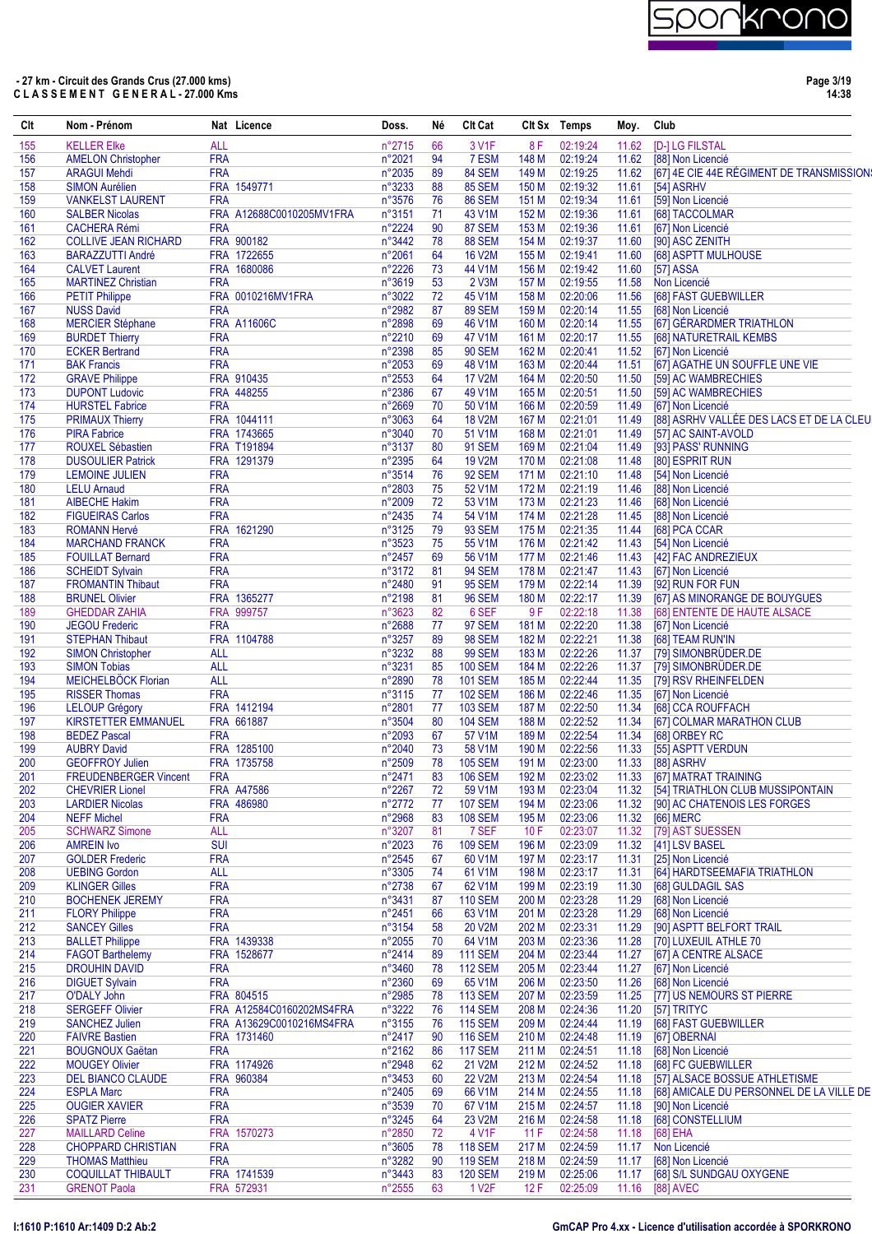

**Page 3/19 14:38**

| Clt        | Nom - Prénom                                       |            | Nat Licence                     | Doss.            | Né       | Clt Cat                          |                | Clt Sx Temps         | Moy.           | Club                                                             |
|------------|----------------------------------------------------|------------|---------------------------------|------------------|----------|----------------------------------|----------------|----------------------|----------------|------------------------------------------------------------------|
| 155        | <b>KELLER Elke</b>                                 | <b>ALL</b> |                                 | n°2715           | 66       | 3 V1F                            | 8 F            | 02:19:24             | 11.62          | <b>[D-] LG FILSTAL</b>                                           |
| 156        | <b>AMELON Christopher</b>                          | <b>FRA</b> |                                 | n°2021           | 94       | 7 ESM                            | 148 M          | 02:19:24             | 11.62          | [88] Non Licencié                                                |
| 157        | <b>ARAGUI Mehdi</b>                                | <b>FRA</b> |                                 | n°2035           | 89       | 84 SEM                           | 149 M          | 02:19:25             | 11.62          | [67] 4E CIE 44E RÉGIMENT DE TRANSMISSION:                        |
| 158        | <b>SIMON Aurélien</b>                              |            | FRA 1549771                     | n°3233           | 88       | 85 SEM                           | 150 M          | 02:19:32             | 11.61          | [54] ASRHV                                                       |
| 159        | <b>VANKELST LAURENT</b>                            | <b>FRA</b> |                                 | n°3576           | 76       | 86 SEM                           | 151 M          | 02:19:34             | 11.61          | [59] Non Licencié                                                |
| 160        | <b>SALBER Nicolas</b>                              |            | FRA A12688C0010205MV1FRA        | n°3151           | 71       | 43 V1M                           | 152 M          | 02:19:36             | 11.61          | [68] TACCOLMAR                                                   |
| 161<br>162 | <b>CACHERA Rémi</b><br><b>COLLIVE JEAN RICHARD</b> | <b>FRA</b> | FRA 900182                      | n°2224<br>n°3442 | 90<br>78 | 87 SEM<br>88 SEM                 | 153 M<br>154 M | 02:19:36<br>02:19:37 | 11.61<br>11.60 | [67] Non Licencié                                                |
| 163        | <b>BARAZZUTTI André</b>                            |            | FRA 1722655                     | n°2061           | 64       | <b>16 V2M</b>                    | 155 M          | 02:19:41             | 11.60          | [90] ASC ZENITH<br>[68] ASPTT MULHOUSE                           |
| 164        | <b>CALVET Laurent</b>                              |            | FRA 1680086                     | n°2226           | 73       | 44 V1M                           | 156 M          | 02:19:42             | 11.60          | <b>[57] ASSA</b>                                                 |
| 165        | <b>MARTINEZ Christian</b>                          | <b>FRA</b> |                                 | n°3619           | 53       | 2 V3M                            | 157 M          | 02:19:55             | 11.58          | Non Licencié                                                     |
| 166        | <b>PETIT Philippe</b>                              |            | FRA 0010216MV1FRA               | n°3022           | 72       | 45 V1M                           | 158 M          | 02:20:06             | 11.56          | [68] FAST GUEBWILLER                                             |
| 167        | <b>NUSS David</b>                                  | <b>FRA</b> |                                 | n°2982           | 87       | <b>89 SEM</b>                    | 159 M          | 02:20:14             | 11.55          | [68] Non Licencié                                                |
| 168        | <b>MERCIER Stéphane</b>                            |            | <b>FRA A11606C</b>              | n°2898           | 69       | 46 V1M                           | 160 M          | 02:20:14             | 11.55          | [67] GÉRARDMER TRIATHLON                                         |
| 169        | <b>BURDET Thierry</b>                              | <b>FRA</b> |                                 | n°2210           | 69       | 47 V1M                           | 161 M          | 02:20:17             | 11.55          | [68] NATURETRAIL KEMBS                                           |
| 170        | <b>ECKER Bertrand</b>                              | <b>FRA</b> |                                 | n°2398           | 85       | <b>90 SEM</b>                    | 162 M          | 02:20:41             | 11.52          | [67] Non Licencié                                                |
| 171        | <b>BAK Francis</b>                                 | <b>FRA</b> |                                 | n°2053           | 69       | 48 V1M                           | 163 M          | 02:20:44             | 11.51          | [67] AGATHE UN SOUFFLE UNE VIE                                   |
| 172        | <b>GRAVE Philippe</b>                              |            | FRA 910435                      | n°2553           | 64       | <b>17 V2M</b>                    | 164 M          | 02:20:50             | 11.50          | [59] AC WAMBRECHIES                                              |
| 173<br>174 | <b>DUPONT Ludovic</b><br><b>HURSTEL Fabrice</b>    | <b>FRA</b> | FRA 448255                      | n°2386<br>n°2669 | 67<br>70 | 49 V1M<br>50 V1M                 | 165 M          | 02:20:51<br>02:20:59 | 11.50          | [59] AC WAMBRECHIES                                              |
| 175        | <b>PRIMAUX Thierry</b>                             |            | FRA 1044111                     | n°3063           | 64       | <b>18 V2M</b>                    | 166 M<br>167 M | 02:21:01             | 11.49<br>11.49 | [67] Non Licencié<br>[88] ASRHV VALLÉE DES LACS ET DE LA CLEU    |
| 176        | <b>PIRA Fabrice</b>                                |            | FRA 1743665                     | n°3040           | 70       | 51 V1M                           | 168 M          | 02:21:01             | 11.49          | [57] AC SAINT-AVOLD                                              |
| 177        | <b>ROUXEL Sébastien</b>                            |            | FRA T191894                     | n°3137           | 80       | <b>91 SEM</b>                    | 169 M          | 02:21:04             | 11.49          | [93] PASS' RUNNING                                               |
| 178        | <b>DUSOULIER Patrick</b>                           |            | FRA 1291379                     | n°2395           | 64       | <b>19 V2M</b>                    | 170 M          | 02:21:08             | 11.48          | [80] ESPRIT RUN                                                  |
| 179        | <b>LEMOINE JULIEN</b>                              | <b>FRA</b> |                                 | n°3514           | 76       | <b>92 SEM</b>                    | 171 M          | 02:21:10             | 11.48          | [54] Non Licencié                                                |
| 180        | <b>LELU Arnaud</b>                                 | <b>FRA</b> |                                 | n°2803           | 75       | 52 V1M                           | 172 M          | 02:21:19             | 11.46          | [88] Non Licencié                                                |
| 181        | <b>AIBECHE Hakim</b>                               | <b>FRA</b> |                                 | n°2009           | 72       | 53 V1M                           | 173 M          | 02:21:23             | 11.46          | [68] Non Licencié                                                |
| 182        | <b>FIGUEIRAS Carlos</b>                            | <b>FRA</b> |                                 | n°2435           | 74       | 54 V1M                           | 174 M          | 02:21:28             | 11.45          | [88] Non Licencié                                                |
| 183        | <b>ROMANN Hervé</b>                                |            | FRA 1621290                     | n°3125           | 79       | <b>93 SEM</b>                    | 175 M          | 02:21:35             | 11.44          | [68] PCA CCAR                                                    |
| 184        | <b>MARCHAND FRANCK</b>                             | <b>FRA</b> |                                 | n°3523           | 75       | 55 V1M                           | 176 M          | 02:21:42             | 11.43          | [54] Non Licencié                                                |
| 185        | <b>FOUILLAT Bernard</b>                            | <b>FRA</b> |                                 | n°2457           | 69       | 56 V1M                           | 177 M          | 02:21:46             | 11.43          | [42] FAC ANDREZIEUX                                              |
| 186        | <b>SCHEIDT Sylvain</b>                             | <b>FRA</b> |                                 | n°3172           | 81       | <b>94 SEM</b>                    | 178 M          | 02:21:47             | 11.43          | [67] Non Licencié                                                |
| 187        | <b>FROMANTIN Thibaut</b>                           | <b>FRA</b> |                                 | n°2480           | 91       | <b>95 SEM</b>                    | 179 M          | 02:22:14             | 11.39          | [92] RUN FOR FUN                                                 |
| 188        | <b>BRUNEL Olivier</b>                              |            | FRA 1365277                     | n°2198           | 81       | <b>96 SEM</b>                    | 180 M          | 02:22:17             | 11.39          | [67] AS MINORANGE DE BOUYGUES                                    |
| 189<br>190 | <b>GHEDDAR ZAHIA</b><br><b>JEGOU Frederic</b>      | <b>FRA</b> | FRA 999757                      | n°3623<br>n°2688 | 82<br>77 | 6 SEF<br>97 SEM                  | 9 F<br>181 M   | 02:22:18<br>02:22:20 | 11.38<br>11.38 | [68] ENTENTE DE HAUTE ALSACE<br>[67] Non Licencié                |
| 191        | <b>STEPHAN Thibaut</b>                             |            | FRA 1104788                     | n°3257           | 89       | <b>98 SEM</b>                    | 182 M          | 02:22:21             | 11.38          | [68] TEAM RUN'IN                                                 |
| 192        | <b>SIMON Christopher</b>                           | <b>ALL</b> |                                 | n°3232           | 88       | <b>99 SEM</b>                    | 183 M          | 02:22:26             | 11.37          | [79] SIMONBRÜDER.DE                                              |
| 193        | <b>SIMON Tobias</b>                                | <b>ALL</b> |                                 | n°3231           | 85       | <b>100 SEM</b>                   | 184 M          | 02:22:26             | 11.37          | [79] SIMONBRÜDER.DE                                              |
| 194        | <b>MEICHELBOCK Florian</b>                         | <b>ALL</b> |                                 | n°2890           | 78       | <b>101 SEM</b>                   | 185 M          | 02:22:44             | 11.35          | [79] RSV RHEINFELDEN                                             |
| 195        | <b>RISSER Thomas</b>                               | <b>FRA</b> |                                 | n°3115           | 77       | <b>102 SEM</b>                   | 186 M          | 02:22:46             | 11.35          | [67] Non Licencié                                                |
| 196        | <b>LELOUP Grégory</b>                              |            | FRA 1412194                     | n°2801           | 77       | <b>103 SEM</b>                   | 187 M          | 02:22:50             | 11.34          | [68] CCA ROUFFACH                                                |
| 197        | <b>KIRSTETTER EMMANUEL</b>                         |            | FRA 661887                      | n°3504           | 80       | <b>104 SEM</b>                   | 188 M          | 02:22:52             | 11.34          | [67] COLMAR MARATHON CLUB                                        |
| 198        | <b>BEDEZ Pascal</b>                                | <b>FRA</b> |                                 | n°2093           | 67       | 57 V1M                           | 189 M          | 02:22:54             | 11.34          | [68] ORBEY RC                                                    |
| 199        | <b>AUBRY David</b>                                 |            | FRA 1285100                     | n°2040           | 73       | 58 V1M                           | 190 M          | 02:22:56             | 11.33          | [55] ASPTT VERDUN                                                |
| 200        | <b>GEOFFROY Julien</b>                             |            | FRA 1735758                     | n°2509           | 78       | <b>105 SEM</b>                   | 191 M          | 02:23:00             | 11.33          | [88] ASRHV                                                       |
| 201        | <b>FREUDENBERGER Vincent</b>                       | <b>FRA</b> |                                 | $n^{\circ}2471$  | 83       | 106 SEM                          | 192 M          | 02:23:02             | 11.33          | [67] MATRAT TRAINING                                             |
| 202<br>203 | <b>CHEVRIER Lionel</b><br><b>LARDIER Nicolas</b>   |            | <b>FRA A47586</b><br>FRA 486980 | n°2267<br>n°2772 | 72<br>77 | 59 V1M<br><b>107 SEM</b>         | 193 M<br>194 M | 02:23:04<br>02:23:06 | 11.32<br>11.32 | [54] TRIATHLON CLUB MUSSIPONTAIN<br>[90] AC CHATENOIS LES FORGES |
| 204        | <b>NEFF Michel</b>                                 | <b>FRA</b> |                                 | n°2968           | 83       | <b>108 SEM</b>                   | 195 M          | 02:23:06             | 11.32          | [66] MERC                                                        |
| 205        | <b>SCHWARZ Simone</b>                              | <b>ALL</b> |                                 | n°3207           | 81       | 7 SEF                            | 10F            | 02:23:07             | 11.32          | [79] AST SUESSEN                                                 |
| 206        | <b>AMREIN Ivo</b>                                  | <b>SUI</b> |                                 | n°2023           | 76       | <b>109 SEM</b>                   | 196 M          | 02:23:09             | 11.32          | [41] LSV BASEL                                                   |
| 207        | <b>GOLDER Frederic</b>                             | <b>FRA</b> |                                 | n°2545           | 67       | 60 V1M                           | 197 M          | 02:23:17             | 11.31          | [25] Non Licencié                                                |
| 208        | <b>UEBING Gordon</b>                               | <b>ALL</b> |                                 | n°3305           | 74       | 61 V1M                           | 198 M          | 02:23:17             | 11.31          | [64] HARDTSEEMAFIA TRIATHLON                                     |
| 209        | <b>KLINGER Gilles</b>                              | <b>FRA</b> |                                 | n°2738           | 67       | 62 V1M                           | 199 M          | 02:23:19             | 11.30          | [68] GULDAGIL SAS                                                |
| 210        | <b>BOCHENEK JEREMY</b>                             | <b>FRA</b> |                                 | n°3431           | 87       | <b>110 SEM</b>                   | 200 M          | 02:23:28             | 11.29          | [68] Non Licencié                                                |
| 211        | <b>FLORY Philippe</b>                              | <b>FRA</b> |                                 | n°2451           | 66       | 63 V1M                           | 201 M          | 02:23:28             | 11.29          | [68] Non Licencié                                                |
| 212        | <b>SANCEY Gilles</b>                               | <b>FRA</b> |                                 | n°3154           | 58       | 20 V2M                           | 202 M          | 02:23:31             | 11.29          | [90] ASPTT BELFORT TRAIL                                         |
| 213        | <b>BALLET Philippe</b>                             |            | FRA 1439338                     | n°2055           | 70       | 64 V1M                           | 203 M          | 02:23:36             | 11.28          | [70] LUXEUIL ATHLE 70                                            |
| 214        | <b>FAGOT Barthelemy</b>                            |            | FRA 1528677                     | n°2414           | 89       | <b>111 SEM</b>                   | 204 M          | 02:23:44             | 11.27          | [67] A CENTRE ALSACE                                             |
| 215        | <b>DROUHIN DAVID</b>                               | <b>FRA</b> |                                 | n°3460           | 78       | <b>112 SEM</b>                   | 205 M          | 02:23:44             | 11.27          | [67] Non Licencié                                                |
| 216        | <b>DIGUET Sylvain</b>                              | <b>FRA</b> | FRA 804515                      | n°2360           | 69       | 65 V1M                           | 206 M          | 02:23:50             | 11.26          | [68] Non Licencié                                                |
| 217<br>218 | O'DALY John<br><b>SERGEFF Olivier</b>              |            | FRA A12584C0160202MS4FRA        | n°2985<br>n°3222 | 78<br>76 | <b>113 SEM</b><br><b>114 SEM</b> | 207 M<br>208 M | 02:23:59<br>02:24:36 | 11.25<br>11.20 | [77] US NEMOURS ST PIERRE<br>[57] TRITYC                         |
| 219        | <b>SANCHEZ Julien</b>                              |            | FRA A13629C0010216MS4FRA        | n°3155           | 76       | <b>115 SEM</b>                   | 209 M          | 02:24:44             | 11.19          | [68] FAST GUEBWILLER                                             |
| 220        | <b>FAIVRE Bastien</b>                              |            | FRA 1731460                     | n°2417           | 90       | <b>116 SEM</b>                   | 210 M          | 02:24:48             | 11.19          | [67] OBERNAI                                                     |
| 221        | <b>BOUGNOUX Gaëtan</b>                             | <b>FRA</b> |                                 | n°2162           | 86       | <b>117 SEM</b>                   | 211 M          | 02:24:51             | 11.18          | [68] Non Licencié                                                |
| 222        | <b>MOUGEY Olivier</b>                              |            | FRA 1174926                     | n°2948           | 62       | 21 V2M                           | 212 M          | 02:24:52             | 11.18          | [68] FC GUEBWILLER                                               |
| 223        | <b>DEL BIANCO CLAUDE</b>                           |            | FRA 960384                      | n°3453           | 60       | <b>22 V2M</b>                    | 213 M          | 02:24:54             | 11.18          | [57] ALSACE BOSSUE ATHLETISME                                    |
| 224        | <b>ESPLA Marc</b>                                  | <b>FRA</b> |                                 | n°2405           | 69       | 66 V1M                           | 214 M          | 02:24:55             | 11.18          | [68] AMICALE DU PERSONNEL DE LA VILLE DE                         |
| 225        | <b>OUGIER XAVIER</b>                               | <b>FRA</b> |                                 | n°3539           | 70       | 67 V1M                           | 215 M          | 02:24:57             | 11.18          | [90] Non Licencié                                                |
| 226        | <b>SPATZ Pierre</b>                                | <b>FRA</b> |                                 | n°3245           | 64       | 23 V2M                           | 216 M          | 02:24:58             | 11.18          | [68] CONSTELLIUM                                                 |
| 227        | <b>MAILLARD Celine</b>                             |            | FRA 1570273                     | n°2850           | 72       | 4 V1F                            | 11F            | 02:24:58             | 11.18          | [68] EHA                                                         |
| 228        | <b>CHOPPARD CHRISTIAN</b>                          | <b>FRA</b> |                                 | n°3605           | 78       | <b>118 SEM</b>                   | 217 M          | 02:24:59             | 11.17          | Non Licencié                                                     |
| 229        | <b>THOMAS Matthieu</b>                             | <b>FRA</b> |                                 | n°3282           | 90       | <b>119 SEM</b>                   | 218 M          | 02:24:59             | 11.17          | [68] Non Licencié                                                |
| 230        | <b>COQUILLAT THIBAULT</b>                          |            | FRA 1741539                     | n°3443           | 83       | <b>120 SEM</b>                   | 219 M          | 02:25:06             | 11.17          | [68] S/L SUNDGAU OXYGENE                                         |
| 231        | <b>GRENOT Paola</b>                                |            | FRA 572931                      | n°2555           | 63       | 1 V <sub>2</sub> F               | 12F            | 02:25:09             | 11.16          | [88] AVEC                                                        |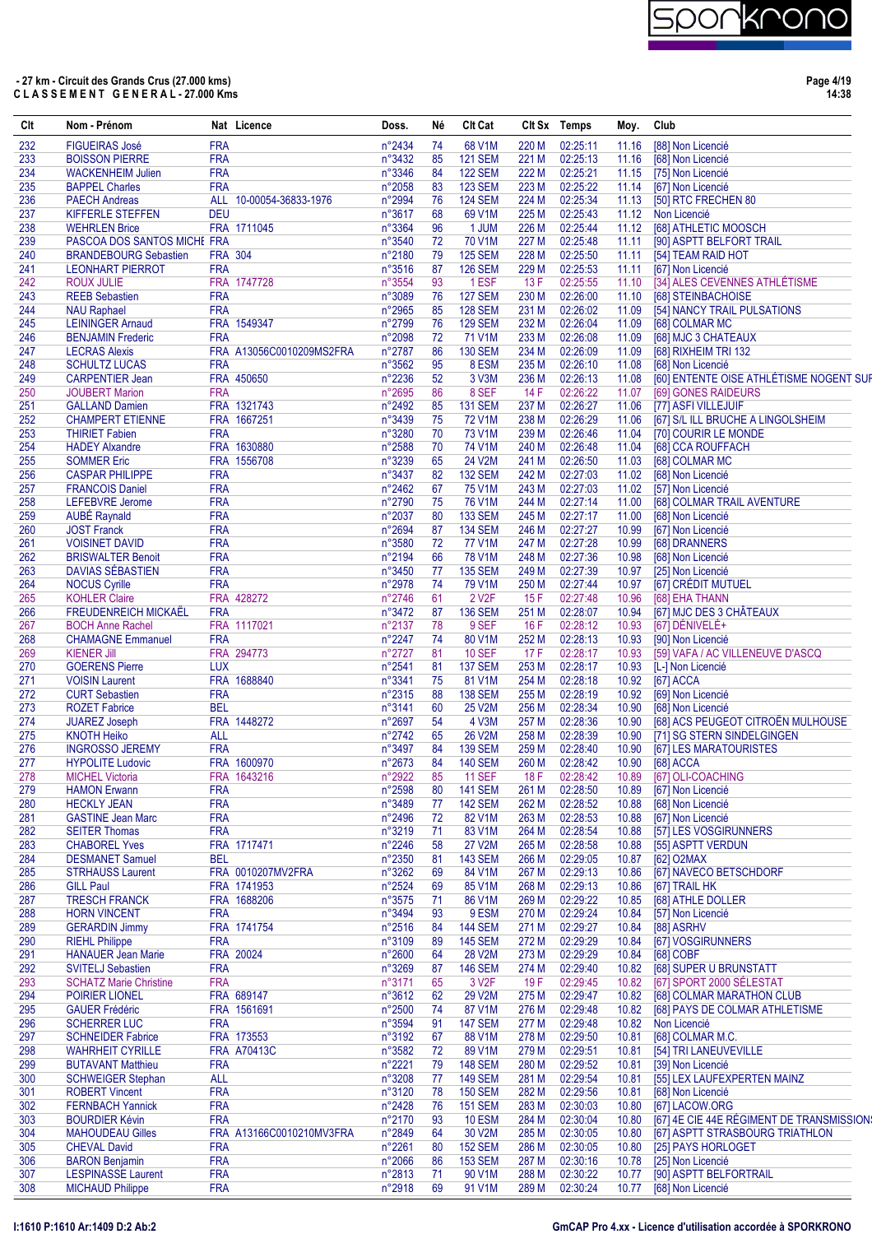# )

# **- 27 km - Circuit des Grands Crus (27.000 kms) C L A S S E M E N T G E N E R A L - 27.000 Kms**

**Page 4/19 14:38**

| Clt        | Nom - Prénom                                     |                          | Nat Licence              | Doss.            | Né       | <b>Clt Cat</b>                   |                | Clt Sx Temps         | Moy.           | Club                                       |
|------------|--------------------------------------------------|--------------------------|--------------------------|------------------|----------|----------------------------------|----------------|----------------------|----------------|--------------------------------------------|
| 232        | <b>FIGUEIRAS José</b>                            | <b>FRA</b>               |                          | n°2434           | 74       | 68 V1M                           | 220 M          | 02:25:11             | 11.16          | [88] Non Licencié                          |
| 233        | <b>BOISSON PIERRE</b>                            | <b>FRA</b>               |                          | n°3432           | 85       | <b>121 SEM</b>                   | 221 M          | 02:25:13             | 11.16          | [68] Non Licencié                          |
| 234        | <b>WACKENHEIM Julien</b>                         | <b>FRA</b>               |                          | n°3346           | 84       | <b>122 SEM</b>                   | 222 M          | 02:25:21             | 11.15          | [75] Non Licencié                          |
| 235        | <b>BAPPEL Charles</b>                            | <b>FRA</b>               |                          | n°2058           | 83       | <b>123 SEM</b>                   | 223 M          | 02:25:22<br>02:25:34 | 11.14          | [67] Non Licencié                          |
| 236<br>237 | <b>PAECH Andreas</b><br>KIFFERLE STEFFEN         | <b>DEU</b>               | ALL 10-00054-36833-1976  | n°2994<br>n°3617 | 76<br>68 | <b>124 SEM</b><br>69 V1M         | 224 M<br>225 M | 02:25:43             | 11.13          | [50] RTC FRECHEN 80<br>11.12 Non Licencié  |
| 238        | <b>WEHRLEN Brice</b>                             |                          | FRA 1711045              | n°3364           | 96       | 1 JUM                            | 226 M          | 02:25:44             | 11.12          | [68] ATHLETIC MOOSCH                       |
| 239        | PASCOA DOS SANTOS MICHE FRA                      |                          |                          | n°3540           | 72       | 70 V1M                           | 227 M          | 02:25:48             | 11.11          | [90] ASPTT BELFORT TRAIL                   |
| 240        | <b>BRANDEBOURG Sebastien</b>                     |                          | <b>FRA 304</b>           | n°2180           | 79       | <b>125 SEM</b>                   | 228 M          | 02:25:50             | 11.11          | [54] TEAM RAID HOT                         |
| 241        | <b>LEONHART PIERROT</b>                          | <b>FRA</b>               |                          | n°3516           | 87       | <b>126 SEM</b>                   | 229 M          | 02:25:53             | 11.11          | [67] Non Licencié                          |
| 242        | <b>ROUX JULIE</b>                                |                          | FRA 1747728              | n°3554           | 93       | 1 ESF                            | 13F            | 02:25:55             | 11.10          | [34] ALES CEVENNES ATHLÉTISME              |
| 243        | <b>REEB Sebastien</b>                            | <b>FRA</b>               |                          | n°3089           | 76       | <b>127 SEM</b>                   | 230 M          | 02:26:00             | 11.10          | [68] STEINBACHOISE                         |
| 244        | <b>NAU Raphael</b>                               | <b>FRA</b>               |                          | n°2965           | 85       | <b>128 SEM</b>                   | 231 M          | 02:26:02             | 11.09          | [54] NANCY TRAIL PULSATIONS                |
| 245        | <b>LEININGER Amaud</b>                           |                          | FRA 1549347              | n°2799           | 76       | <b>129 SEM</b>                   | 232 M          | 02:26:04             | 11.09          | [68] COLMAR MC                             |
| 246        | <b>BENJAMIN Frederic</b>                         | <b>FRA</b>               |                          | n°2098           | 72       | 71 V1M                           | 233 M          | 02:26:08             | 11.09          | [68] MJC 3 CHATEAUX                        |
| 247        | <b>LECRAS Alexis</b>                             |                          | FRA A13056C0010209MS2FRA | n°2787           | 86       | <b>130 SEM</b>                   | 234 M          | 02:26:09             | 11.09          | [68] RIXHEIM TRI 132                       |
| 248        | <b>SCHULTZ LUCAS</b>                             | <b>FRA</b>               |                          | n°3562           | 95       | 8 ESM                            | 235 M          | 02:26:10             | 11.08          | [68] Non Licencié                          |
| 249        | <b>CARPENTIER Jean</b>                           |                          | FRA 450650               | n°2236           | 52       | 3 V3M                            | 236 M          | 02:26:13             | 11.08          | [60] ENTENTE OISE ATHLÉTISME NOGENT SUF    |
| 250        | <b>JOUBERT Marion</b>                            | <b>FRA</b>               |                          | n°2695           | 86       | 8 SEF                            | 14 F           | 02:26:22             | 11.07          | [69] GONES RAIDEURS                        |
| 251        | <b>GALLAND Damien</b>                            |                          | FRA 1321743              | n°2492           | 85       | <b>131 SEM</b>                   | 237 M          | 02:26:27             | 11.06          | <b>I771 ASFI VILLEJUIF</b>                 |
| 252        | <b>CHAMPERT ETIENNE</b>                          |                          | FRA 1667251              | n°3439           | 75       | 72 V1M                           | 238 M          | 02:26:29             | 11.06          | [67] S/L ILL BRUCHE A LINGOLSHEIM          |
| 253<br>254 | <b>THIRIET Fabien</b><br><b>HADEY Alxandre</b>   | <b>FRA</b>               | FRA 1630880              | n°3280<br>n°2588 | 70<br>70 | 73 V1M<br>74 V1M                 | 239 M<br>240 M | 02:26:46<br>02:26:48 | 11.04<br>11.04 | [70] COURIR LE MONDE<br>[68] CCA ROUFFACH  |
| 255        | <b>SOMMER Eric</b>                               |                          | FRA 1556708              | n°3239           | 65       | 24 V2M                           | 241 M          | 02:26:50             | 11.03          | [68] COLMAR MC                             |
| 256        | <b>CASPAR PHILIPPE</b>                           | <b>FRA</b>               |                          | n°3437           | 82       | <b>132 SEM</b>                   | 242 M          | 02:27:03             | 11.02          | [68] Non Licencié                          |
| 257        | <b>FRANCOIS Daniel</b>                           | <b>FRA</b>               |                          | n°2462           | 67       | 75 V1M                           | 243 M          | 02:27:03             | 11.02          | [57] Non Licencié                          |
| 258        | <b>LEFEBVRE</b> Jerome                           | <b>FRA</b>               |                          | n°2790           | 75       | 76 V1M                           | 244 M          | 02:27:14             | 11.00          | [68] COLMAR TRAIL AVENTURE                 |
| 259        | <b>AUBÉ Raynald</b>                              | <b>FRA</b>               |                          | n°2037           | 80       | <b>133 SEM</b>                   | 245 M          | 02:27:17             | 11.00          | [68] Non Licencié                          |
| 260        | <b>JOST Franck</b>                               | <b>FRA</b>               |                          | n°2694           | 87       | <b>134 SEM</b>                   | 246 M          | 02:27:27             | 10.99          | [67] Non Licencié                          |
| 261        | <b>VOISINET DAVID</b>                            | <b>FRA</b>               |                          | n°3580           | 72       | <b>77 V1M</b>                    | 247 M          | 02:27:28             | 10.99          | [68] DRANNERS                              |
| 262        | <b>BRISWALTER Benoit</b>                         | <b>FRA</b>               |                          | n°2194           | 66       | 78 V1M                           | 248 M          | 02:27:36             | 10.98          | [68] Non Licencié                          |
| 263        | DAVIAS SÉBASTIEN                                 | <b>FRA</b>               |                          | n°3450           | 77       | <b>135 SEM</b>                   | 249 M          | 02:27:39             | 10.97          | [25] Non Licencié                          |
| 264        | <b>NOCUS Cyrille</b>                             | <b>FRA</b>               |                          | n°2978           | 74       | 79 V1M                           | 250 M          | 02:27:44             | 10.97          | [67] CRÉDIT MUTUEL                         |
| 265        | <b>KOHLER Claire</b>                             |                          | FRA 428272               | n°2746           | 61       | 2 V <sub>2</sub> F               | 15F            | 02:27:48             | 10.96          | [68] EHA THANN                             |
| 266        | <b>FREUDENREICH MICKAËL</b>                      | <b>FRA</b>               |                          | n°3472           | 87       | <b>136 SEM</b>                   | 251 M          | 02:28:07             | 10.94          | [67] MJC DES 3 CHÂTEAUX                    |
| 267        | <b>BOCH Anne Rachel</b>                          |                          | FRA 1117021              | n°2137           | 78       | 9 SEF                            | 16F            | 02:28:12             | 10.93          | [67] DÉNIVELÉ+                             |
| 268        | <b>CHAMAGNE Emmanuel</b>                         | <b>FRA</b>               |                          | n°2247           | 74       | 80 V1M                           | 252 M          | 02:28:13             | 10.93          | [90] Non Licencié                          |
| 269        | <b>KIENER Jill</b>                               |                          | FRA 294773               | n°2727           | 81       | <b>10 SEF</b>                    | 17F            | 02:28:17             | 10.93          | [59] VAFA / AC VILLENEUVE D'ASCQ           |
| 270        | <b>GOERENS Pierre</b>                            | <b>LUX</b>               |                          | n°2541           | 81       | <b>137 SEM</b>                   | 253 M          | 02:28:17             | 10.93          | [L-] Non Licencié                          |
| 271        | <b>VOISIN Laurent</b>                            |                          | FRA 1688840              | n°3341           | 75       | 81 V1M                           | 254 M          | 02:28:18             | 10.92          | [67] ACCA                                  |
| 272        | <b>CURT Sebastien</b>                            | <b>FRA</b>               |                          | n°2315           | 88       | <b>138 SEM</b>                   | 255 M          | 02:28:19             | 10.92          | [69] Non Licencié                          |
| 273        | <b>ROZET Fabrice</b>                             | <b>BEL</b>               |                          | n°3141           | 60       | 25 V2M                           | 256 M          | 02:28:34             | 10.90          | [68] Non Licencié                          |
| 274        | <b>JUAREZ Joseph</b>                             |                          | FRA 1448272              | n°2697           | 54       | 4 V3M                            | 257 M          | 02:28:36             | 10.90          | [68] ACS PEUGEOT CITROËN MULHOUSE          |
| 275        | <b>KNOTH Heiko</b>                               | ALL                      |                          | n°2742           | 65       | 26 V2M                           | 258 M          | 02:28:39             | 10.90          | [71] SG STERN SINDELGINGEN                 |
| 276        | <b>INGROSSO JEREMY</b>                           | <b>FRA</b>               |                          | n°3497           | 84       | <b>139 SEM</b>                   | 259 M          | 02:28:40             | 10.90          | [67] LES MARATOURISTES                     |
| 277        | <b>HYPOLITE Ludovic</b>                          |                          | FRA 1600970              | n°2673           | 84       | <b>140 SEM</b>                   | 260 M          | 02:28:42             | 10.90          | [68] ACCA                                  |
| 278        | <b>MICHEL Victoria</b>                           |                          | FRA 1643216              | n°2922           | 85       | <b>11 SEF</b>                    | 18 F           | 02:28:42             | 10.89          | [67] OLI-COACHING                          |
| 279        | <b>HAMON Erwann</b>                              | <b>FRA</b><br><b>FRA</b> |                          | n°2598<br>n°3489 | 80       | <b>141 SEM</b><br><b>142 SEM</b> | 261 M          | 02:28:50<br>02:28:52 | 10.89          | [67] Non Licencié<br>[68] Non Licencié     |
| 280        | <b>HECKLY JEAN</b>                               |                          |                          |                  | 77       |                                  | 262 M          |                      | 10.88          |                                            |
| 281<br>282 | <b>GASTINE Jean Marc</b><br><b>SEITER Thomas</b> | <b>FRA</b><br><b>FRA</b> |                          | n°2496<br>n°3219 | 72<br>71 | 82 V1M<br>83 V1M                 | 263 M<br>264 M | 02:28:53<br>02:28:54 | 10.88<br>10.88 | [67] Non Licencié<br>[57] LES VOSGIRUNNERS |
| 283        | <b>CHABOREL Yves</b>                             |                          | FRA 1717471              | n°2246           | 58       | 27 V2M                           | 265 M          | 02:28:58             | 10.88          | [55] ASPTT VERDUN                          |
| 284        | <b>DESMANET Samuel</b>                           | <b>BEL</b>               |                          | n°2350           | 81       | <b>143 SEM</b>                   | 266 M          | 02:29:05             | 10.87          | [62] O2MAX                                 |
| 285        | <b>STRHAUSS Laurent</b>                          |                          | FRA 0010207MV2FRA        | n°3262           | 69       | 84 V1M                           | 267 M          | 02:29:13             | 10.86          | [67] NAVECO BETSCHDORF                     |
| 286        | <b>GILL Paul</b>                                 |                          | FRA 1741953              | n°2524           | 69       | 85 V1M                           | 268 M          | 02:29:13             | 10.86          | [67] TRAIL HK                              |
| 287        | <b>TRESCH FRANCK</b>                             |                          | FRA 1688206              | n°3575           | 71       | 86 V1M                           | 269 M          | 02:29:22             | 10.85          | [68] ATHLE DOLLER                          |
| 288        | <b>HORN VINCENT</b>                              | <b>FRA</b>               |                          | n°3494           | 93       | 9ESM                             | 270 M          | 02:29:24             | 10.84          | [57] Non Licencié                          |
| 289        | <b>GERARDIN Jimmy</b>                            |                          | FRA 1741754              | $n^{\circ}2516$  | 84       | <b>144 SEM</b>                   | 271 M          | 02:29:27             | 10.84          | [88] ASRHV                                 |
| 290        | <b>RIEHL Philippe</b>                            | <b>FRA</b>               |                          | n°3109           | 89       | <b>145 SEM</b>                   | 272 M          | 02:29:29             | 10.84          | [67] VOSGIRUNNERS                          |
| 291        | <b>HANAUER Jean Marie</b>                        |                          | FRA 20024                | n°2600           | 64       | 28 V2M                           | 273 M          | 02:29:29             | 10.84          | [68] COBF                                  |
| 292        | <b>SVITELJ Sebastien</b>                         | <b>FRA</b>               |                          | n°3269           | 87       | <b>146 SEM</b>                   | 274 M          | 02:29:40             | 10.82          | [68] SUPER U BRUNSTATT                     |
| 293        | <b>SCHATZ Marie Christine</b>                    | <b>FRA</b>               |                          | n°3171           | 65       | 3 V <sub>2</sub> F               | 19F            | 02:29:45             | 10.82          | [67] SPORT 2000 SÉLESTAT                   |
| 294        | POIRIER LIONEL                                   |                          | FRA 689147               | n°3612           | 62       | 29 V2M                           | 275 M          | 02:29:47             | 10.82          | [68] COLMAR MARATHON CLUB                  |
| 295        | <b>GAUER Frédéric</b>                            |                          | FRA 1561691              | n°2500           | 74       | 87 V1M                           | 276 M          | 02:29:48             | 10.82          | [68] PAYS DE COLMAR ATHLETISME             |
| 296        | <b>SCHERRER LUC</b>                              | <b>FRA</b>               |                          | n°3594           | 91       | <b>147 SEM</b>                   | 277 M          | 02:29:48             | 10.82          | Non Licencié                               |
| 297        | <b>SCHNEIDER Fabrice</b>                         |                          | FRA 173553               | n°3192           | 67       | 88 V1M                           | 278 M          | 02:29:50             | 10.81          | [68] COLMAR M.C.                           |
| 298        | <b>WAHRHEIT CYRILLE</b>                          |                          | <b>FRA A70413C</b>       | n°3582           | 72       | 89 V1M                           | 279 M          | 02:29:51             | 10.81          | [54] TRI LANEUVEVILLE                      |
| 299        | <b>BUTAVANT Matthieu</b>                         | <b>FRA</b>               |                          | n°2221           | 79       | <b>148 SEM</b>                   | 280 M          | 02:29:52             | 10.81          | [39] Non Licencié                          |
| 300        | <b>SCHWEIGER Stephan</b>                         | ALL                      |                          | n°3208           | 77       | <b>149 SEM</b>                   | 281 M          | 02:29:54             | 10.81          | [55] LEX LAUFEXPERTEN MAINZ                |
| 301        | <b>ROBERT Vincent</b>                            | <b>FRA</b>               |                          | n°3120           | 78       | <b>150 SEM</b>                   | 282 M          | 02:29:56             | 10.81          | [68] Non Licencié                          |
| 302        | <b>FERNBACH Yannick</b>                          | <b>FRA</b>               |                          | n°2428           | 76       | <b>151 SEM</b>                   | 283 M          | 02:30:03             | 10.80          | [67] LACOW.ORG                             |
| 303        | <b>BOURDIER Kévin</b>                            | <b>FRA</b>               |                          | n°2170           | 93       | <b>10 ESM</b>                    | 284 M          | 02:30:04             | 10.80          | [67] 4E CIE 44E RÉGIMENT DE TRANSMISSION:  |
| 304        | <b>MAHOUDEAU Gilles</b>                          |                          | FRA A13166C0010210MV3FRA | n°2849           | 64       | 30 V2M                           | 285 M          | 02:30:05             | 10.80          | [67] ASPTT STRASBOURG TRIATHLON            |
| 305        | <b>CHEVAL David</b>                              | <b>FRA</b>               |                          | n°2261           | 80       | <b>152 SEM</b>                   | 286 M          | 02:30:05             | 10.80          | [25] PAYS HORLOGET                         |
| 306        | <b>BARON Benjamin</b>                            | <b>FRA</b>               |                          | n°2066           | 86       | <b>153 SEM</b>                   | 287 M          | 02:30:16             | 10.78          | [25] Non Licencié                          |
| 307        | <b>LESPINASSE Laurent</b>                        | <b>FRA</b>               |                          | n°2813           | 71       | 90 V1M                           | 288 M          | 02:30:22             | 10.77          | [90] ASPTT BELFORTRAIL                     |
| 308        | <b>MICHAUD Philippe</b>                          | <b>FRA</b>               |                          | n°2918           | 69       | 91 V1M                           | 289 M          | 02:30:24             | 10.77          | [68] Non Licencié                          |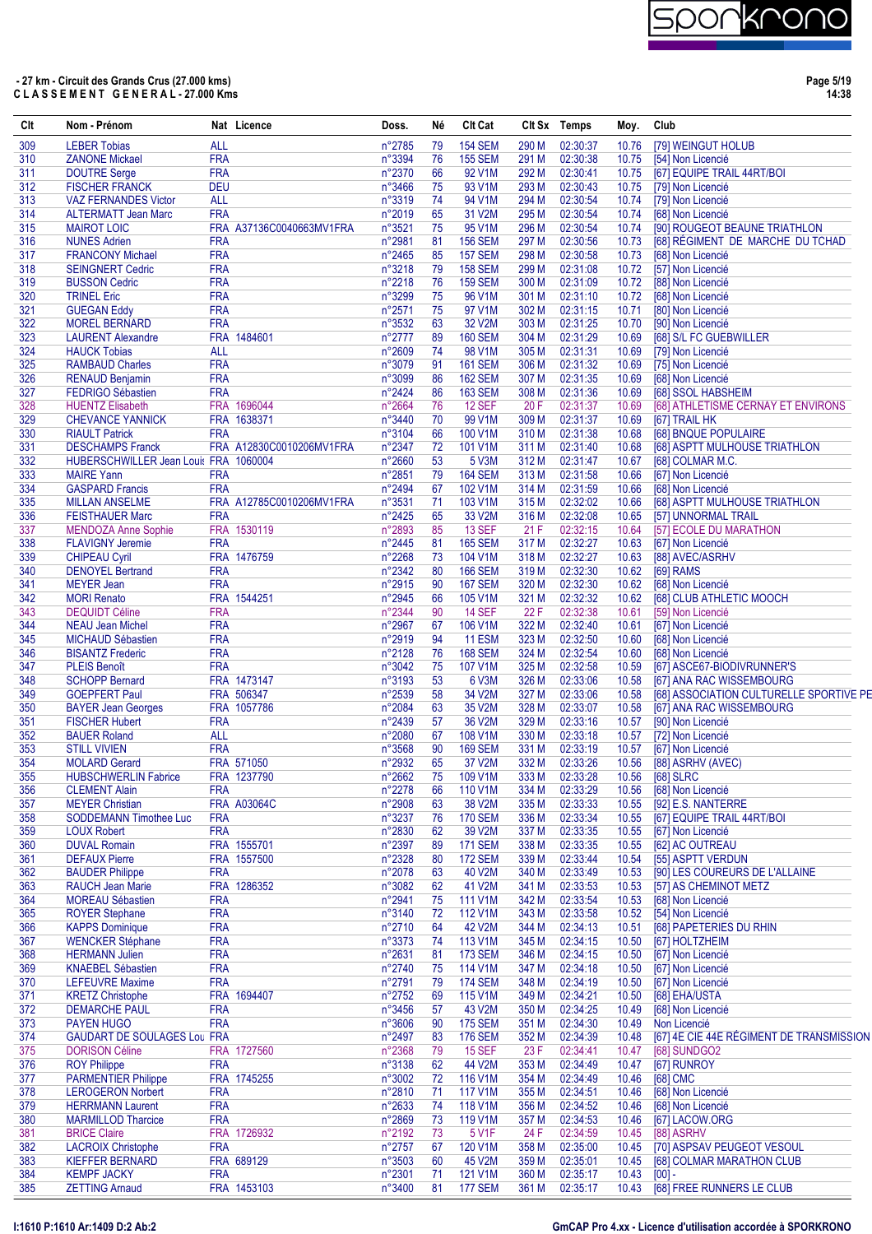

**Page 5/19 14:38**

| Clt        | Nom - Prénom                                              |                          | Nat Licence              | Doss.                     | Né       | <b>CIt Cat</b>            |                | Clt Sx Temps         | Moy.           | Club     |                                                     |
|------------|-----------------------------------------------------------|--------------------------|--------------------------|---------------------------|----------|---------------------------|----------------|----------------------|----------------|----------|-----------------------------------------------------|
| 309        | <b>LEBER Tobias</b>                                       | <b>ALL</b>               |                          | n°2785                    | 79       | <b>154 SEM</b>            | 290 M          | 02:30:37             | 10.76          |          | [79] WEINGUT HOLUB                                  |
| 310        | <b>ZANONE Mickael</b>                                     | <b>FRA</b>               |                          | n°3394                    | 76       | <b>155 SEM</b>            | 291 M          | 02:30:38             | 10.75          |          | [54] Non Licencié                                   |
| 311        | <b>DOUTRE Serge</b>                                       | <b>FRA</b>               |                          | n°2370                    | 66       | 92 V1M                    | 292 M          | 02:30:41             | 10.75          |          | [67] EQUIPE TRAIL 44RT/BOI                          |
| 312        | <b>FISCHER FRANCK</b>                                     | <b>DEU</b>               |                          | n°3466                    | 75       | 93 V1M                    | 293 M          | 02:30:43             | 10.75          |          | [79] Non Licencié                                   |
| 313<br>314 | <b>VAZ FERNANDES Victor</b><br><b>ALTERMATT Jean Marc</b> | <b>ALL</b><br><b>FRA</b> |                          | n°3319<br>n°2019          | 74<br>65 | 94 V1M<br>31 V2M          | 294 M<br>295 M | 02:30:54<br>02:30:54 | 10.74<br>10.74 |          | [79] Non Licencié<br>[68] Non Licencié              |
| 315        | <b>MAIROT LOIC</b>                                        |                          | FRA A37136C0040663MV1FRA | n°3521                    | 75       | 95 V1M                    | 296 M          | 02:30:54             | 10.74          |          | [90] ROUGEOT BEAUNE TRIATHLON                       |
| 316        | <b>NUNES Adrien</b>                                       | <b>FRA</b>               |                          | n°2981                    | 81       | <b>156 SEM</b>            | 297 M          | 02:30:56             | 10.73          |          | [68] RÉGIMENT DE MARCHE DU TCHAD                    |
| 317        | <b>FRANCONY Michael</b>                                   | <b>FRA</b>               |                          | n°2465                    | 85       | <b>157 SEM</b>            | 298 M          | 02:30:58             | 10.73          |          | [68] Non Licencié                                   |
| 318        | <b>SEINGNERT Cedric</b>                                   | <b>FRA</b>               |                          | n°3218                    | 79       | <b>158 SEM</b>            | 299 M          | 02:31:08             | 10.72          |          | [57] Non Licencié                                   |
| 319        | <b>BUSSON Cedric</b>                                      | <b>FRA</b>               |                          | n°2218                    | 76       | <b>159 SEM</b>            | 300 M          | 02:31:09             | 10.72          |          | [88] Non Licencié                                   |
| 320<br>321 | <b>TRINEL Eric</b><br><b>GUEGAN Eddy</b>                  | <b>FRA</b><br><b>FRA</b> |                          | n°3299                    | 75<br>75 | 96 V1M<br>97 V1M          | 301 M<br>302 M | 02:31:10<br>02:31:15 | 10.72<br>10.71 |          | [68] Non Licencié<br>[80] Non Licencié              |
| 322        | <b>MOREL BERNARD</b>                                      | <b>FRA</b>               |                          | n°2571<br>$n^{\circ}3532$ | 63       | 32 V2M                    | 303 M          | 02:31:25             | 10.70          |          | [90] Non Licencié                                   |
| 323        | <b>LAURENT Alexandre</b>                                  |                          | FRA 1484601              | $n^{\circ}2777$           | 89       | <b>160 SEM</b>            | 304 M          | 02:31:29             | 10.69          |          | [68] S/L FC GUEBWILLER                              |
| 324        | <b>HAUCK Tobias</b>                                       | <b>ALL</b>               |                          | n°2609                    | 74       | 98 V1M                    | 305 M          | 02:31:31             | 10.69          |          | [79] Non Licencié                                   |
| 325        | <b>RAMBAUD Charles</b>                                    | <b>FRA</b>               |                          | n°3079                    | 91       | <b>161 SEM</b>            | 306 M          | 02:31:32             | 10.69          |          | [75] Non Licencié                                   |
| 326        | <b>RENAUD Benjamin</b>                                    | <b>FRA</b>               |                          | n°3099                    | 86       | <b>162 SEM</b>            | 307 M          | 02:31:35             | 10.69          |          | [68] Non Licencié                                   |
| 327        | <b>FEDRIGO Sébastien</b>                                  | <b>FRA</b>               | FRA 1696044              | n°2424                    | 86<br>76 | <b>163 SEM</b>            | 308 M          | 02:31:36<br>02:31:37 | 10.69          |          | [68] SSOL HABSHEIM                                  |
| 328<br>329 | <b>HUENTZ Elisabeth</b><br><b>CHEVANCE YANNICK</b>        |                          | FRA 1638371              | n°2664<br>n°3440          | 70       | <b>12 SEF</b><br>99 V1M   | 20 F<br>309 M  | 02:31:37             | 10.69<br>10.69 |          | [68] ATHLETISME CERNAY ET ENVIRONS<br>[67] TRAIL HK |
| 330        | <b>RIAULT Patrick</b>                                     | <b>FRA</b>               |                          | n°3104                    | 66       | 100 V1M                   | 310 M          | 02:31:38             | 10.68          |          | [68] BNQUE POPULAIRE                                |
| 331        | <b>DESCHAMPS Franck</b>                                   |                          | FRA A12830C0010206MV1FRA | n°2347                    | 72       | 101 V1M                   | 311 M          | 02:31:40             | 10.68          |          | [68] ASPTT MULHOUSE TRIATHLON                       |
| 332        | HUBERSCHWILLER Jean Louis FRA 1060004                     |                          |                          | n°2660                    | 53       | 5 V3M                     | 312 M          | 02:31:47             | 10.67          |          | [68] COLMAR M.C.                                    |
| 333        | <b>MAIRE Yann</b>                                         | <b>FRA</b>               |                          | n°2851                    | 79       | <b>164 SEM</b>            | 313 M          | 02:31:58             | 10.66          |          | [67] Non Licencié                                   |
| 334        | <b>GASPARD Francis</b>                                    | <b>FRA</b>               |                          | n°2494                    | 67       | 102 V1M                   | 314 M          | 02:31:59             | 10.66          |          | [68] Non Licencié                                   |
| 335        | <b>MILLAN ANSELME</b>                                     |                          | FRA A12785C0010206MV1FRA | n°3531                    | 71       | 103 V1M                   | 315 M          | 02:32:02             | 10.66          |          | [68] ASPTT MULHOUSE TRIATHLON                       |
| 336<br>337 | <b>FEISTHAUER Marc</b><br><b>MENDOZA Anne Sophie</b>      | <b>FRA</b>               | FRA 1530119              | n°2425<br>n°2893          | 65<br>85 | 33 V2M<br><b>13 SEF</b>   | 316 M<br>21 F  | 02:32:08<br>02:32:15 | 10.65<br>10.64 |          | [57] UNNORMAL TRAIL<br>[57] ECOLE DU MARATHON       |
| 338        | <b>FLAVIGNY Jeremie</b>                                   | <b>FRA</b>               |                          | $n^{\circ}2445$           | 81       | <b>165 SEM</b>            | 317 M          | 02:32:27             | 10.63          |          | [67] Non Licencié                                   |
| 339        | <b>CHIPEAU Cyril</b>                                      |                          | FRA 1476759              | n°2268                    | 73       | 104 V1M                   | 318 M          | 02:32:27             | 10.63          |          | [88] AVEC/ASRHV                                     |
| 340        | <b>DENOYEL Bertrand</b>                                   | <b>FRA</b>               |                          | $n^{\circ}2342$           | 80       | <b>166 SEM</b>            | 319 M          | 02:32:30             | 10.62          |          | [69] RAMS                                           |
| 341        | <b>MEYER Jean</b>                                         | <b>FRA</b>               |                          | n°2915                    | 90       | <b>167 SEM</b>            | 320 M          | 02:32:30             | 10.62          |          | [68] Non Licencié                                   |
| 342        | <b>MORI Renato</b>                                        |                          | FRA 1544251              | n°2945                    | 66       | 105 V1M                   | 321 M          | 02:32:32             | 10.62          |          | [68] CLUB ATHLETIC MOOCH                            |
| 343        | <b>DEQUIDT Céline</b>                                     | <b>FRA</b>               |                          | n°2344                    | 90       | <b>14 SEF</b>             | 22 F           | 02:32:38             | 10.61          |          | [59] Non Licencié                                   |
| 344        | <b>NEAU Jean Michel</b>                                   | <b>FRA</b><br><b>FRA</b> |                          | n°2967                    | 67<br>94 | 106 V1M                   | 322 M<br>323 M | 02:32:40<br>02:32:50 | 10.61          |          | [67] Non Licencié                                   |
| 345<br>346 | <b>MICHAUD Sébastien</b><br><b>BISANTZ Frederic</b>       | <b>FRA</b>               |                          | n°2919<br>n°2128          | 76       | 11 ESM<br><b>168 SEM</b>  | 324 M          | 02:32:54             | 10.60<br>10.60 |          | [68] Non Licencié<br>[68] Non Licencié              |
| 347        | <b>PLEIS Benoît</b>                                       | <b>FRA</b>               |                          | n°3042                    | 75       | 107 V1M                   | 325 M          | 02:32:58             | 10.59          |          | [67] ASCE67-BIODIVRUNNER'S                          |
| 348        | <b>SCHOPP Bernard</b>                                     |                          | FRA 1473147              | n°3193                    | 53       | 6 V3M                     | 326 M          | 02:33:06             | 10.58          |          | [67] ANA RAC WISSEMBOURG                            |
| 349        | <b>GOEPFERT Paul</b>                                      |                          | FRA 506347               | n°2539                    | 58       | 34 V2M                    | 327 M          | 02:33:06             | 10.58          |          | [68] ASSOCIATION CULTURELLE SPORTIVE PE             |
| 350        | <b>BAYER Jean Georges</b>                                 |                          | FRA 1057786              | n°2084                    | 63       | 35 V2M                    | 328 M          | 02:33:07             | 10.58          |          | [67] ANA RAC WISSEMBOURG                            |
| 351        | <b>FISCHER Hubert</b>                                     | <b>FRA</b>               |                          | $n^{\circ}2439$           | 57       | 36 V2M                    | 329 M          | 02:33:16             | 10.57          |          | [90] Non Licencié                                   |
| 352        | <b>BAUER Roland</b>                                       | <b>ALL</b><br><b>FRA</b> |                          | n°2080                    | 67<br>90 | 108 V1M                   | 330 M<br>331 M | 02:33:18             | 10.57          |          | [72] Non Licencié                                   |
| 353<br>354 | <b>STILL VIVIEN</b><br><b>MOLARD Gerard</b>               |                          | FRA 571050               | n°3568<br>n°2932          | 65       | <b>169 SEM</b><br>37 V2M  | 332 M          | 02:33:19<br>02:33:26 | 10.57<br>10.56 |          | [67] Non Licencié<br>[88] ASRHV (AVEC)              |
| 355        | <b>HUBSCHWERLIN Fabrice</b>                               |                          | FRA 1237790              | n°2662                    | 75       | 109 V1M                   | 333M           | 02:33:28             | 10.56          |          | [68] SLRC                                           |
| 356        | <b>CLEMENT Alain</b>                                      | <b>FRA</b>               |                          | n°2278                    | 66       | 110 V1M                   | 334 M          | 02:33:29             | 10.56          |          | [68] Non Licencié                                   |
| 357        | <b>MEYER Christian</b>                                    |                          | FRA A03064C              | n°2908                    | 63       | 38 V2M                    | 335 M          | 02:33:33             | 10.55          |          | [92] E.S. NANTERRE                                  |
| 358        | <b>SODDEMANN Timothee Luc</b>                             | <b>FRA</b>               |                          | n°3237                    | 76       | <b>170 SEM</b>            | 336 M          | 02:33:34             | 10.55          |          | [67] EQUIPE TRAIL 44RT/BOI                          |
| 359        | <b>LOUX Robert</b>                                        | <b>FRA</b>               |                          | n°2830                    | 62       | 39 V2M                    | 337 M          | 02:33:35             | 10.55          |          | [67] Non Licencié                                   |
| 360        | <b>DUVAL Romain</b>                                       |                          | FRA 1555701              | n°2397                    | 89       | <b>171 SEM</b>            | 338 M          | 02:33:35             | 10.55          |          | [62] AC OUTREAU                                     |
| 361<br>362 | <b>DEFAUX Pierre</b><br><b>BAUDER Philippe</b>            | <b>FRA</b>               | FRA 1557500              | n°2328<br>n°2078          | 80<br>63 | <b>172 SEM</b><br>40 V2M  | 339 M<br>340 M | 02:33:44<br>02:33:49 | 10.54<br>10.53 |          | [55] ASPTT VERDUN<br>[90] LES COUREURS DE L'ALLAINE |
| 363        | <b>RAUCH Jean Marie</b>                                   |                          | FRA 1286352              | n°3082                    | 62       | 41 V2M                    | 341 M          | 02:33:53             | 10.53          |          | [57] AS CHEMINOT METZ                               |
| 364        | <b>MOREAU Sébastien</b>                                   | <b>FRA</b>               |                          | n°2941                    | 75       | 111 V1M                   | 342 M          | 02:33:54             | 10.53          |          | [68] Non Licencié                                   |
| 365        | <b>ROYER Stephane</b>                                     | <b>FRA</b>               |                          | n°3140                    | 72       | 112 V1M                   | 343 M          | 02:33:58             | 10.52          |          | [54] Non Licencié                                   |
| 366        | <b>KAPPS Dominique</b>                                    | <b>FRA</b>               |                          | n°2710                    | 64       | 42 V2M                    | 344 M          | 02:34:13             | 10.51          |          | [68] PAPETERIES DU RHIN                             |
| 367        | <b>WENCKER Stéphane</b>                                   | <b>FRA</b>               |                          | n°3373                    | 74       | 113 V1M                   | 345 M          | 02:34:15             | 10.50          |          | [67] HOLTZHEIM                                      |
| 368        | <b>HERMANN Julien</b>                                     | <b>FRA</b>               |                          | n°2631                    | 81       | <b>173 SEM</b>            | 346 M          | 02:34:15             | 10.50          |          | [67] Non Licencié                                   |
| 369        | <b>KNAEBEL Sébastien</b>                                  | <b>FRA</b><br><b>FRA</b> |                          | $n^{\circ}2740$           | 75<br>79 | 114 V1M                   | 347 M          | 02:34:18             | 10.50          |          | [67] Non Licencié                                   |
| 370<br>371 | <b>LEFEUVRE Maxime</b><br><b>KRETZ Christophe</b>         |                          | FRA 1694407              | n°2791<br>$n^{\circ}2752$ | 69       | <b>174 SEM</b><br>115 V1M | 348 M<br>349 M | 02:34:19<br>02:34:21 | 10.50<br>10.50 |          | [67] Non Licencié<br>[68] EHA/USTA                  |
| 372        | <b>DEMARCHE PAUL</b>                                      | <b>FRA</b>               |                          | $n^{\circ}3456$           | 57       | 43 V2M                    | 350 M          | 02:34:25             | 10.49          |          | [68] Non Licencié                                   |
| 373        | <b>PAYEN HUGO</b>                                         | <b>FRA</b>               |                          | $n^{\circ}3606$           | 90       | <b>175 SEM</b>            | 351 M          | 02:34:30             | 10.49          |          | Non Licencié                                        |
| 374        | <b>GAUDART DE SOULAGES Lou FRA</b>                        |                          |                          | n°2497                    | 83       | <b>176 SEM</b>            | 352 M          | 02:34:39             | 10.48          |          | [67] 4E CIE 44E RÉGIMENT DE TRANSMISSION            |
| 375        | <b>DORISON Céline</b>                                     |                          | FRA 1727560              | n°2368                    | 79       | <b>15 SEF</b>             | 23 F           | 02:34:41             | 10.47          |          | [68] SUNDGO2                                        |
| 376        | <b>ROY Philippe</b>                                       | <b>FRA</b>               |                          | n°3138                    | 62       | 44 V2M                    | 353 M          | 02:34:49             | 10.47          |          | [67] RUNROY                                         |
| 377        | <b>PARMENTIER Philippe</b>                                |                          | FRA 1745255              | n°3002                    | 72       | 116 V1M                   | 354 M          | 02:34:49             | 10.46          |          | [68] CMC                                            |
| 378        | <b>LEROGERON Norbert</b>                                  | <b>FRA</b>               |                          | n°2810                    | 71       | 117 V1M                   | 355 M          | 02:34:51             | 10.46          |          | [68] Non Licencié                                   |
| 379<br>380 | <b>HERRMANN Laurent</b><br><b>MARMILLOD Tharcice</b>      | <b>FRA</b><br><b>FRA</b> |                          | n°2633<br>n°2869          | 74<br>73 | 118 V1M<br>119 V1M        | 356 M<br>357 M | 02:34:52<br>02:34:53 | 10.46<br>10.46 |          | [68] Non Licencié<br>[67] LACOW.ORG                 |
| 381        | <b>BRICE Claire</b>                                       |                          | FRA 1726932              | n°2192                    | 73       | 5 V1F                     | 24 F           | 02:34:59             | 10.45          |          | [88] ASRHV                                          |
| 382        | <b>LACROIX Christophe</b>                                 | <b>FRA</b>               |                          | n°2757                    | 67       | 120 V1M                   | 358 M          | 02:35:00             | 10.45          |          | [70] ASPSAV PEUGEOT VESOUL                          |
| 383        | <b>KIEFFER BERNARD</b>                                    |                          | FRA 689129               | $n^{\circ}3503$           | 60       | 45 V2M                    | 359 M          | 02:35:01             | 10.45          |          | [68] COLMAR MARATHON CLUB                           |
| 384        | <b>KEMPF JACKY</b>                                        | <b>FRA</b>               |                          | n°2301                    | 71       | 121 V1M                   | 360 M          | 02:35:17             | 10.43          | $[00] -$ |                                                     |
| 385        | <b>ZETTING Arnaud</b>                                     |                          | FRA 1453103              | n°3400                    | 81       | <b>177 SEM</b>            | 361 M          | 02:35:17             | 10.43          |          | [68] FREE RUNNERS LE CLUB                           |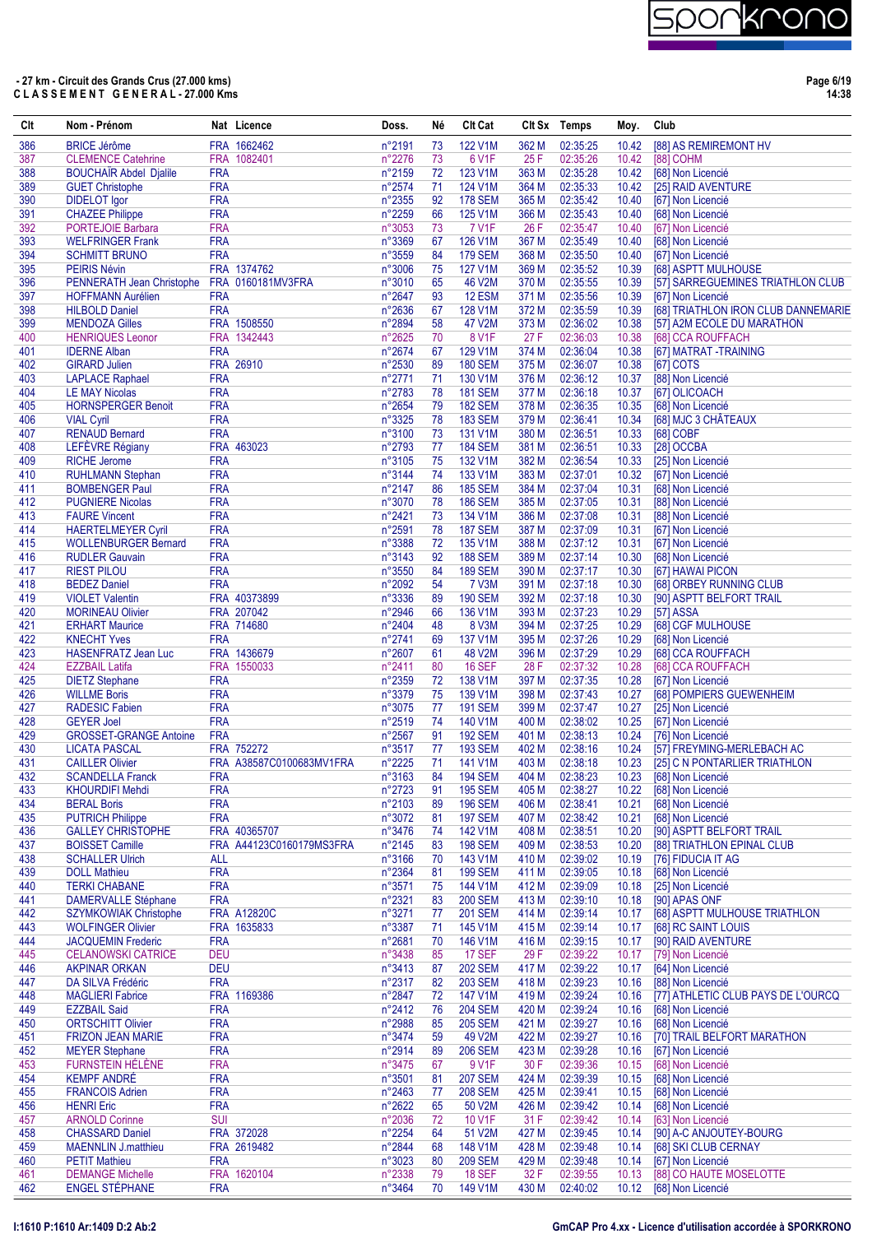

**Page 6/19 14:38**

| Clt        | Nom - Prénom                                          |                          | Nat Licence                | Doss.            | Né       | <b>Clt Cat</b>                   |                | Clt Sx Temps         | Moy.           | Club                                                   |
|------------|-------------------------------------------------------|--------------------------|----------------------------|------------------|----------|----------------------------------|----------------|----------------------|----------------|--------------------------------------------------------|
| 386        | <b>BRICE Jérôme</b>                                   |                          | FRA 1662462                | n°2191           | 73       | 122 V1M                          | 362 M          | 02:35:25             | 10.42          | [88] AS REMIREMONT HV                                  |
| 387        | <b>CLEMENCE Catehrine</b>                             |                          | FRA 1082401                | n°2276           | 73       | 6 V1F                            | 25F            | 02:35:26             | 10.42          | [88] COHM                                              |
| 388        | <b>BOUCHAIR Abdel Djalile</b>                         | <b>FRA</b>               |                            | n°2159           | 72       | 123 V1M                          | 363 M          | 02:35:28             | 10.42          | [68] Non Licencié                                      |
| 389<br>390 | <b>GUET Christophe</b><br><b>DIDELOT</b> Igor         | <b>FRA</b><br><b>FRA</b> |                            | n°2574<br>n°2355 | 71<br>92 | <b>124 V1M</b><br><b>178 SEM</b> | 364 M<br>365 M | 02:35:33<br>02:35:42 | 10.42<br>10.40 | [25] RAID AVENTURE<br>[67] Non Licencié                |
| 391        | <b>CHAZEE Philippe</b>                                | <b>FRA</b>               |                            | n°2259           | 66       | 125 V1M                          | 366 M          | 02:35:43             | 10.40          | [68] Non Licencié                                      |
| 392        | <b>PORTEJOIE Barbara</b>                              | <b>FRA</b>               |                            | n°3053           | 73       | <b>7 V1F</b>                     | 26 F           | 02:35:47             | 10.40          | [67] Non Licencié                                      |
| 393        | <b>WELFRINGER Frank</b>                               | <b>FRA</b>               |                            | n°3369           | 67       | 126 V1M                          | 367 M          | 02:35:49             | 10.40          | [68] Non Licencié                                      |
| 394        | <b>SCHMITT BRUNO</b>                                  | <b>FRA</b>               |                            | n°3559           | 84       | <b>179 SEM</b>                   | 368 M          | 02:35:50             | 10.40          | [67] Non Licencié                                      |
| 395        | <b>PEIRIS Névin</b>                                   |                          | FRA 1374762                | n°3006           | 75       | 127 V1M                          | 369 M          | 02:35:52             | 10.39          | [68] ASPTT MULHOUSE                                    |
| 396<br>397 | PENNERATH Jean Christophe<br><b>HOFFMANN Aurélien</b> | <b>FRA</b>               | FRA 0160181MV3FRA          | n°3010<br>n°2647 | 65<br>93 | 46 V2M<br>12 ESM                 | 370 M<br>371 M | 02:35:55<br>02:35:56 | 10.39<br>10.39 | [57] SARREGUEMINES TRIATHLON CLUB<br>[67] Non Licencié |
| 398        | <b>HILBOLD Daniel</b>                                 | <b>FRA</b>               |                            | n°2636           | 67       | 128 V1M                          | 372 M          | 02:35:59             | 10.39          | [68] TRIATHLON IRON CLUB DANNEMARIE                    |
| 399        | <b>MENDOZA Gilles</b>                                 |                          | FRA 1508550                | n°2894           | 58       | 47 V2M                           | 373 M          | 02:36:02             | 10.38          | [57] A2M ECOLE DU MARATHON                             |
| 400        | <b>HENRIQUES Leonor</b>                               |                          | FRA 1342443                | n°2625           | 70       | 8 V1F                            | 27 F           | 02:36:03             | 10.38          | [68] CCA ROUFFACH                                      |
| 401        | <b>IDERNE Alban</b>                                   | <b>FRA</b>               |                            | n°2674           | 67       | 129 V1M                          | 374 M          | 02:36:04             | 10.38          | [67] MATRAT -TRAINING                                  |
| 402        | <b>GIRARD Julien</b>                                  |                          | FRA 26910                  | n°2530           | 89       | <b>180 SEM</b>                   | 375 M          | 02:36:07             | 10.38          | [67] COTS                                              |
| 403<br>404 | <b>LAPLACE Raphael</b><br><b>LE MAY Nicolas</b>       | <b>FRA</b><br><b>FRA</b> |                            | n°2771<br>n°2783 | 71<br>78 | 130 V1M<br><b>181 SEM</b>        | 376 M<br>377 M | 02:36:12<br>02:36:18 | 10.37<br>10.37 | [88] Non Licencié<br>[67] OLICOACH                     |
| 405        | <b>HORNSPERGER Benoit</b>                             | <b>FRA</b>               |                            | n°2654           | 79       | <b>182 SEM</b>                   | 378 M          | 02:36:35             | 10.35          | [68] Non Licencié                                      |
| 406        | <b>VIAL Cyril</b>                                     | <b>FRA</b>               |                            | n°3325           | 78       | <b>183 SEM</b>                   | 379 M          | 02:36:41             | 10.34          | [68] MJC 3 CHÂTEAUX                                    |
| 407        | <b>RENAUD Bernard</b>                                 | <b>FRA</b>               |                            | n°3100           | 73       | 131 V1M                          | 380 M          | 02:36:51             | 10.33          | [68] COBF                                              |
| 408        | LEFÈVRE Régiany                                       |                          | FRA 463023                 | n°2793           | 77       | <b>184 SEM</b>                   | 381 M          | 02:36:51             | 10.33          | [28] OCCBA                                             |
| 409        | <b>RICHE Jerome</b>                                   | <b>FRA</b>               |                            | $n^{\circ}3105$  | 75       | 132 V1M                          | 382 M          | 02:36:54             | 10.33          | [25] Non Licencié                                      |
| 410        | <b>RUHLMANN Stephan</b>                               | <b>FRA</b>               |                            | n°3144           | 74       | 133 V1M                          | 383 M          | 02:37:01             | 10.32          | [67] Non Licencié                                      |
| 411<br>412 | <b>BOMBENGER Paul</b><br><b>PUGNIERE Nicolas</b>      | <b>FRA</b><br><b>FRA</b> |                            | n°2147<br>n°3070 | 86<br>78 | <b>185 SEM</b><br><b>186 SEM</b> | 384 M<br>385 M | 02:37:04<br>02:37:05 | 10.31<br>10.31 | [68] Non Licencié<br>[88] Non Licencié                 |
| 413        | <b>FAURE Vincent</b>                                  | <b>FRA</b>               |                            | n°2421           | 73       | 134 V1M                          | 386 M          | 02:37:08             | 10.31          | [88] Non Licencié                                      |
| 414        | <b>HAERTELMEYER Cyril</b>                             | <b>FRA</b>               |                            | n°2591           | 78       | <b>187 SEM</b>                   | 387 M          | 02:37:09             | 10.31          | [67] Non Licencié                                      |
| 415        | <b>WOLLENBURGER Bernard</b>                           | <b>FRA</b>               |                            | n°3388           | 72       | 135 V1M                          | 388 M          | 02:37:12             | 10.31          | [67] Non Licencié                                      |
| 416        | <b>RUDLER Gauvain</b>                                 | <b>FRA</b>               |                            | n°3143           | 92       | <b>188 SEM</b>                   | 389 M          | 02:37:14             | 10.30          | [68] Non Licencié                                      |
| 417        | <b>RIEST PILOU</b>                                    | <b>FRA</b>               |                            | n°3550           | 84       | <b>189 SEM</b>                   | 390 M          | 02:37:17             | 10.30          | [67] HAWAI PICON                                       |
| 418        | <b>BEDEZ Daniel</b>                                   | <b>FRA</b>               |                            | n°2092           | 54       | 7 V3M                            | 391 M          | 02:37:18             | 10.30          | [68] ORBEY RUNNING CLUB                                |
| 419<br>420 | <b>VIOLET Valentin</b><br><b>MORINEAU Olivier</b>     |                          | FRA 40373899<br>FRA 207042 | n°3336<br>n°2946 | 89       | <b>190 SEM</b><br>136 V1M        | 392 M<br>393 M | 02:37:18<br>02:37:23 | 10.30<br>10.29 | [90] ASPTT BELFORT TRAIL<br>[57] ASSA                  |
| 421        | <b>ERHART Maurice</b>                                 |                          | FRA 714680                 | n°2404           | 66<br>48 | <b>8 V3M</b>                     | 394 M          | 02:37:25             | 10.29          | [68] CGF MULHOUSE                                      |
| 422        | <b>KNECHT Yves</b>                                    | <b>FRA</b>               |                            | n°2741           | 69       | 137 V1M                          | 395 M          | 02:37:26             | 10.29          | [68] Non Licencié                                      |
| 423        | <b>HASENFRATZ Jean Luc</b>                            |                          | FRA 1436679                | n°2607           | 61       | 48 V2M                           | 396 M          | 02:37:29             | 10.29          | [68] CCA ROUFFACH                                      |
| 424        | <b>EZZBAIL Latifa</b>                                 |                          | FRA 1550033                | n°2411           | 80       | <b>16 SEF</b>                    | 28 F           | 02:37:32             | 10.28          | [68] CCA ROUFFACH                                      |
| 425        | <b>DIETZ Stephane</b>                                 | <b>FRA</b>               |                            | n°2359           | 72       | 138 V1M                          | 397 M          | 02:37:35             | 10.28          | [67] Non Licencié                                      |
| 426        | <b>WILLME Boris</b>                                   | <b>FRA</b>               |                            | n°3379           | 75       | 139 V1M                          | 398 M          | 02:37:43             | 10.27          | [68] POMPIERS GUEWENHEIM                               |
| 427<br>428 | <b>RADESIC Fabien</b><br><b>GEYER Joel</b>            | <b>FRA</b><br><b>FRA</b> |                            | n°3075<br>n°2519 | 77<br>74 | <b>191 SEM</b><br>140 V1M        | 399 M<br>400 M | 02:37:47<br>02:38:02 | 10.27<br>10.25 | [25] Non Licencié<br>[67] Non Licencié                 |
| 429        | <b>GROSSET-GRANGE Antoine</b>                         | <b>FRA</b>               |                            | n°2567           | 91       | <b>192 SEM</b>                   | 401 M          | 02:38:13             | 10.24          | [76] Non Licencié                                      |
| 430        | <b>LICATA PASCAL</b>                                  |                          | FRA 752272                 | n°3517           | 77       | <b>193 SEM</b>                   | 402 M          | 02:38:16             | 10.24          | [57] FREYMING-MERLEBACH AC                             |
| 431        | <b>CAILLER Olivier</b>                                |                          | FRA A38587C0100683MV1FRA   | n°2225           | 71       | 141 V1M                          | 403 M          | 02:38:18             | 10.23          | [25] C N PONTARLIER TRIATHLON                          |
| 432        | <b>SCANDELLA Franck</b>                               | FRA                      |                            | $n^{\circ}3163$  | 84       | 194 SEM                          | 404 M          | 02:38:23             | 10.23          | [68] Non Licencié                                      |
| 433        | <b>KHOURDIFI Mehdi</b>                                | <b>FRA</b>               |                            | n°2723           | 91       | <b>195 SEM</b>                   | 405 M          | 02:38:27             | 10.22          | [68] Non Licencié                                      |
| 434        | <b>BERAL Boris</b>                                    | <b>FRA</b>               |                            | n°2103           | 89       | <b>196 SEM</b>                   | 406 M          | 02:38:41             | 10.21          | [68] Non Licencié                                      |
| 435<br>436 | <b>PUTRICH Philippe</b><br><b>GALLEY CHRISTOPHE</b>   | <b>FRA</b>               | FRA 40365707               | n°3072<br>n°3476 | 81<br>74 | <b>197 SEM</b><br>142 V1M        | 407 M<br>408 M | 02:38:42<br>02:38:51 | 10.21<br>10.20 | [68] Non Licencié<br>[90] ASPTT BELFORT TRAIL          |
| 437        | <b>BOISSET Camille</b>                                |                          | FRA A44123C0160179MS3FRA   | n°2145           | 83       | <b>198 SEM</b>                   | 409 M          | 02:38:53             | 10.20          | [88] TRIATHLON EPINAL CLUB                             |
| 438        | <b>SCHALLER Ulrich</b>                                | <b>ALL</b>               |                            | n°3166           | 70       | 143 V1M                          | 410 M          | 02:39:02             | 10.19          | [76] FIDUCIA IT AG                                     |
| 439        | <b>DOLL Mathieu</b>                                   | <b>FRA</b>               |                            | n°2364           | 81       | <b>199 SEM</b>                   | 411 M          | 02:39:05             | 10.18          | [68] Non Licencié                                      |
| 440        | <b>TERKI CHABANE</b>                                  | <b>FRA</b>               |                            | n°3571           | 75       | 144 V1M                          | 412 M          | 02:39:09             | 10.18          | [25] Non Licencié                                      |
| 441        | <b>DAMERVALLE Stéphane</b>                            | <b>FRA</b>               |                            | n°2321           | 83       | <b>200 SEM</b>                   | 413 M          | 02:39:10             | 10.18          | [90] APAS ONF                                          |
| 442        | <b>SZYMKOWIAK Christophe</b>                          |                          | <b>FRA A12820C</b>         | n°3271           | 77       | <b>201 SEM</b>                   | 414 M          | 02:39:14             | 10.17          | [68] ASPTT MULHOUSE TRIATHLON                          |
| 443<br>444 | <b>WOLFINGER Olivier</b><br><b>JACQUEMIN Frederic</b> | <b>FRA</b>               | FRA 1635833                | n°3387<br>n°2681 | 71<br>70 | 145 V1M<br>146 V1M               | 415 M<br>416 M | 02:39:14<br>02:39:15 | 10.17<br>10.17 | [68] RC SAINT LOUIS<br>[90] RAID AVENTURE              |
| 445        | <b>CELANOWSKI CATRICE</b>                             | <b>DEU</b>               |                            | n°3438           | 85       | <b>17 SEF</b>                    | 29 F           | 02:39:22             | 10.17          | [79] Non Licencié                                      |
| 446        | <b>AKPINAR ORKAN</b>                                  | <b>DEU</b>               |                            | n°3413           | 87       | <b>202 SEM</b>                   | 417 M          | 02:39:22             | 10.17          | [64] Non Licencié                                      |
| 447        | DA SILVA Frédéric                                     | <b>FRA</b>               |                            | n°2317           | 82       | <b>203 SEM</b>                   | 418 M          | 02:39:23             | 10.16          | [88] Non Licencié                                      |
| 448        | <b>MAGLIERI Fabrice</b>                               |                          | FRA 1169386                | n°2847           | 72       | 147 V1M                          | 419 M          | 02:39:24             | 10.16          | [77] ATHLETIC CLUB PAYS DE L'OURCQ                     |
| 449        | <b>EZZBAIL Said</b>                                   | <b>FRA</b>               |                            | n°2412           | 76       | <b>204 SEM</b>                   | 420 M          | 02:39:24             | 10.16          | [68] Non Licencié                                      |
| 450        | <b>ORTSCHITT Olivier</b>                              | <b>FRA</b>               |                            | n°2988           | 85       | <b>205 SEM</b>                   | 421 M          | 02:39:27             | 10.16          | [68] Non Licencié                                      |
| 451        | <b>FRIZON JEAN MARIE</b>                              | <b>FRA</b>               |                            | n°3474           | 59       | 49 V2M                           | 422 M          | 02:39:27             | 10.16          | [70] TRAIL BELFORT MARATHON                            |
| 452<br>453 | <b>MEYER Stephane</b><br>FURNSTEIN HÉLÈNE             | <b>FRA</b><br><b>FRA</b> |                            | n°2914<br>n°3475 | 89<br>67 | <b>206 SEM</b><br>9 V1F          | 423 M<br>30 F  | 02:39:28<br>02:39:36 | 10.16<br>10.15 | [67] Non Licencié<br>[68] Non Licencié                 |
| 454        | <b>KEMPF ANDRÉ</b>                                    | <b>FRA</b>               |                            | n°3501           | 81       | <b>207 SEM</b>                   | 424 M          | 02:39:39             | 10.15          | [68] Non Licencié                                      |
| 455        | <b>FRANCOIS Adrien</b>                                | <b>FRA</b>               |                            | n°2463           | 77       | <b>208 SEM</b>                   | 425 M          | 02:39:41             | 10.15          | [68] Non Licencié                                      |
| 456        | <b>HENRI Eric</b>                                     | <b>FRA</b>               |                            | n°2622           | 65       | 50 V2M                           | 426 M          | 02:39:42             | 10.14          | [68] Non Licencié                                      |
| 457        | <b>ARNOLD Corinne</b>                                 | <b>SUI</b>               |                            | n°2036           | 72       | 10 V1F                           | 31 F           | 02:39:42             | 10.14          | [63] Non Licencié                                      |
| 458        | <b>CHASSARD Daniel</b>                                |                          | FRA 372028                 | n°2254           | 64       | 51 V2M                           | 427 M          | 02:39:45             | 10.14          | [90] A-C ANJOUTEY-BOURG                                |
| 459        | <b>MAENNLIN J.matthieu</b>                            |                          | FRA 2619482                | n°2844           | 68       | 148 V1M                          | 428 M          | 02:39:48             | 10.14          | [68] SKI CLUB CERNAY                                   |
| 460<br>461 | <b>PETIT Mathieu</b><br><b>DEMANGE Michelle</b>       | <b>FRA</b>               | FRA 1620104                | n°3023<br>n°2338 | 80<br>79 | <b>209 SEM</b><br><b>18 SEF</b>  | 429 M<br>32 F  | 02:39:48<br>02:39:55 | 10.14<br>10.13 | [67] Non Licencié<br>[88] CO HAUTE MOSELOTTE           |
| 462        | <b>ENGEL STÉPHANE</b>                                 | <b>FRA</b>               |                            | n°3464           | 70       | 149 V1M                          | 430 M          | 02:40:02             | 10.12          | [68] Non Licencié                                      |
|            |                                                       |                          |                            |                  |          |                                  |                |                      |                |                                                        |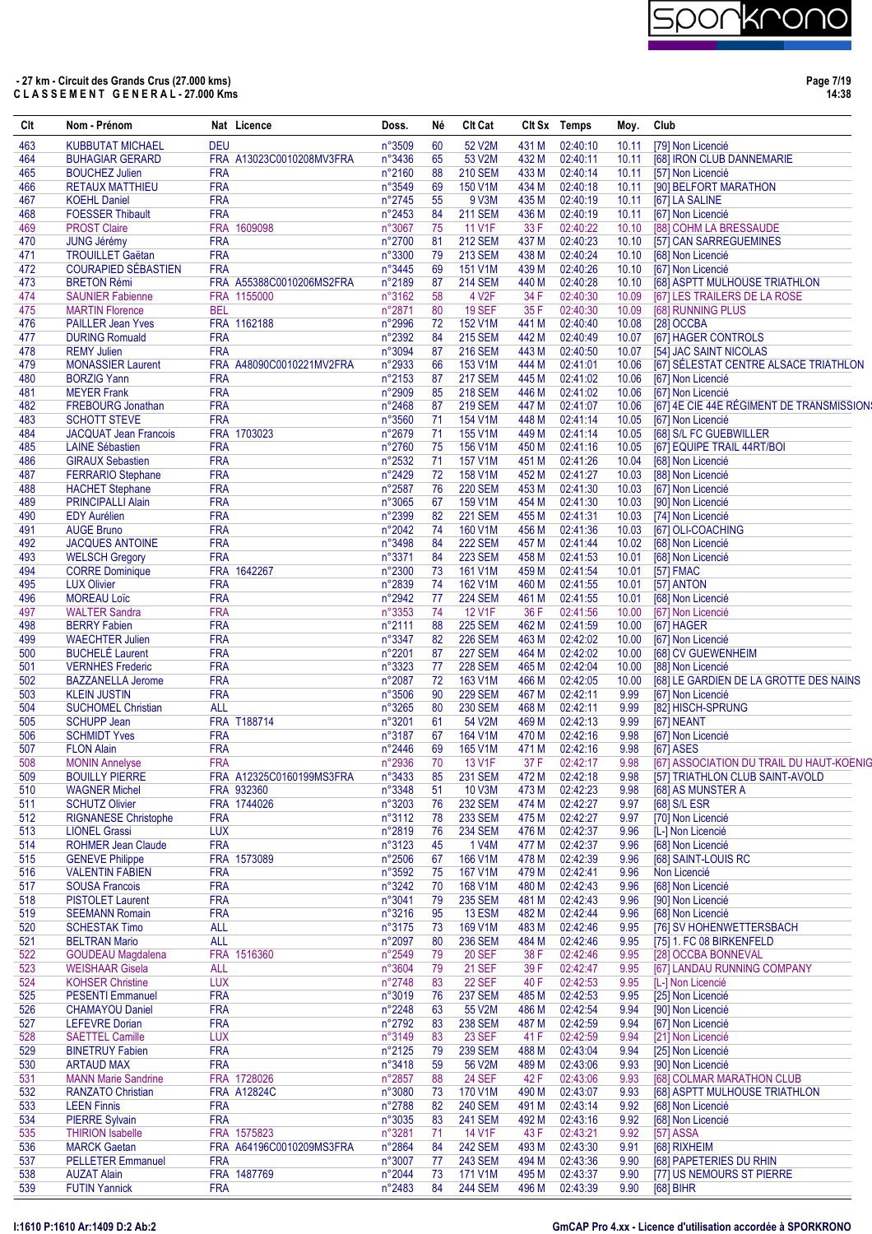**Page 7/19 14:38**

| Clt        | Nom - Prénom                                       |                          | Nat Licence              | Doss.            | Νé       | <b>Clt Cat</b>                 |                | Clt Sx Temps         | Moy.           | Club                                                           |
|------------|----------------------------------------------------|--------------------------|--------------------------|------------------|----------|--------------------------------|----------------|----------------------|----------------|----------------------------------------------------------------|
| 463        | <b>KUBBUTAT MICHAEL</b>                            | <b>DEU</b>               |                          | n°3509           | 60       | 52 V2M                         | 431 M          | 02:40:10             | 10.11          | [79] Non Licencié                                              |
| 464        | <b>BUHAGIAR GERARD</b>                             |                          | FRA A13023C0010208MV3FRA | n°3436           | 65       | 53 V2M                         | 432 M          | 02:40:11             | 10.11          | [68] IRON CLUB DANNEMARIE                                      |
| 465        | <b>BOUCHEZ Julien</b>                              | <b>FRA</b>               |                          | n°2160           | 88       | <b>210 SEM</b>                 | 433 M          | 02:40:14             | 10.11          | [57] Non Licencié                                              |
| 466        | <b>RETAUX MATTHIEU</b>                             | <b>FRA</b>               |                          | n°3549           | 69       | 150 V1M                        | 434 M          | 02:40:18             | 10.11          | [90] BELFORT MARATHON                                          |
| 467        | <b>KOEHL Daniel</b><br><b>FOESSER Thibault</b>     | <b>FRA</b><br><b>FRA</b> |                          | n°2745<br>n°2453 | 55<br>84 | 9 V3M<br><b>211 SEM</b>        | 435 M<br>436 M | 02:40:19<br>02:40:19 | 10.11          | [67] LA SALINE<br>[67] Non Licencié                            |
| 468<br>469 | <b>PROST Claire</b>                                |                          | FRA 1609098              | n°3067           | 75       | 11 V1F                         | 33 F           | 02:40:22             | 10.11<br>10.10 | [88] COHM LA BRESSAUDE                                         |
| 470        | <b>JUNG Jérémy</b>                                 | <b>FRA</b>               |                          | n°2700           | 81       | <b>212 SEM</b>                 | 437 M          | 02:40:23             | 10.10          | [57] CAN SARREGUEMINES                                         |
| 471        | <b>TROUILLET Gaëtan</b>                            | <b>FRA</b>               |                          | n°3300           | 79       | <b>213 SEM</b>                 | 438 M          | 02:40:24             | 10.10          | [68] Non Licencié                                              |
| 472        | <b>COURAPIED SÉBASTIEN</b>                         | <b>FRA</b>               |                          | n°3445           | 69       | 151 V1M                        | 439 M          | 02:40:26             | 10.10          | [67] Non Licencié                                              |
| 473        | <b>BRETON Rémi</b>                                 |                          | FRA A55388C0010206MS2FRA | n°2189           | 87       | <b>214 SEM</b>                 | 440 M          | 02:40:28             | 10.10          | [68] ASPTT MULHOUSE TRIATHLON                                  |
| 474        | <b>SAUNIER Fabienne</b>                            |                          | FRA 1155000              | n°3162           | 58       | 4 V <sub>2</sub> F             | 34 F           | 02:40:30             | 10.09          | [67] LES TRAILERS DE LA ROSE                                   |
| 475        | <b>MARTIN Florence</b>                             | <b>BEL</b>               |                          | n°2871           | 80       | <b>19 SEF</b>                  | 35 F           | 02:40:30             | 10.09          | [68] RUNNING PLUS                                              |
| 476        | <b>PAILLER Jean Yves</b>                           |                          | FRA 1162188              | n°2996           | 72       | 152 V1M                        | 441 M          | 02:40:40             | 10.08          | [28] OCCBA                                                     |
| 477        | <b>DURING Romuald</b>                              | <b>FRA</b>               |                          | n°2392           | 84       | <b>215 SEM</b>                 | 442 M          | 02:40:49             | 10.07          | [67] HAGER CONTROLS                                            |
| 478        | <b>REMY Julien</b>                                 | <b>FRA</b>               |                          | n°3094           | 87       | <b>216 SEM</b>                 | 443 M          | 02:40:50             | 10.07          | [54] JAC SAINT NICOLAS                                         |
| 479        | <b>MONASSIER Laurent</b>                           |                          | FRA A48090C0010221MV2FRA | n°2933           | 66       | 153 V1M                        | 444 M          | 02:41:01             | 10.06          | [67] SÉLESTAT CENTRE ALSACE TRIATHLON                          |
| 480        | <b>BORZIG Yann</b>                                 | <b>FRA</b>               |                          | n°2153           | 87       | <b>217 SEM</b>                 | 445 M          | 02:41:02             | 10.06          | [67] Non Licencié                                              |
| 481        | <b>MEYER Frank</b>                                 | <b>FRA</b>               |                          | n°2909           | 85       | <b>218 SEM</b>                 | 446 M          | 02:41:02             | 10.06          | [67] Non Licencié                                              |
| 482<br>483 | <b>FREBOURG Jonathan</b><br><b>SCHOTT STEVE</b>    | <b>FRA</b><br><b>FRA</b> |                          | n°2468<br>n°3560 | 87<br>71 | <b>219 SEM</b><br>154 V1M      | 447 M<br>448 M | 02:41:07<br>02:41:14 | 10.06<br>10.05 | [67] 4E CIE 44E RÉGIMENT DE TRANSMISSION:<br>[67] Non Licencié |
| 484        | <b>JACQUAT Jean Francois</b>                       |                          | FRA 1703023              | n°2679           | 71       | 155 V1M                        | 449 M          | 02:41:14             | 10.05          | [68] S/L FC GUEBWILLER                                         |
| 485        | <b>LAINE Sébastien</b>                             | <b>FRA</b>               |                          | n°2760           | 75       | 156 V1M                        | 450 M          | 02:41:16             | 10.05          | [67] EQUIPE TRAIL 44RT/BOI                                     |
| 486        | <b>GIRAUX Sebastien</b>                            | <b>FRA</b>               |                          | n°2532           | 71       | 157 V1M                        | 451 M          | 02:41:26             | 10.04          | [68] Non Licencié                                              |
| 487        | <b>FERRARIO Stephane</b>                           | <b>FRA</b>               |                          | n°2429           | 72       | 158 V1M                        | 452 M          | 02:41:27             | 10.03          | [88] Non Licencié                                              |
| 488        | <b>HACHET Stephane</b>                             | <b>FRA</b>               |                          | n°2587           | 76       | <b>220 SEM</b>                 | 453 M          | 02:41:30             | 10.03          | [67] Non Licencié                                              |
| 489        | <b>PRINCIPALLI Alain</b>                           | <b>FRA</b>               |                          | n°3065           | 67       | 159 V1M                        | 454 M          | 02:41:30             | 10.03          | [90] Non Licencié                                              |
| 490        | <b>EDY Aurélien</b>                                | <b>FRA</b>               |                          | n°2399           | 82       | <b>221 SEM</b>                 | 455 M          | 02:41:31             | 10.03          | [74] Non Licencié                                              |
| 491        | <b>AUGE Bruno</b>                                  | <b>FRA</b>               |                          | n°2042           | 74       | 160 V1M                        | 456 M          | 02:41:36             | 10.03          | [67] OLI-COACHING                                              |
| 492        | <b>JACQUES ANTOINE</b>                             | <b>FRA</b>               |                          | n°3498           | 84       | <b>222 SEM</b>                 | 457 M          | 02:41:44             | 10.02          | [68] Non Licencié                                              |
| 493        | <b>WELSCH Gregory</b>                              | <b>FRA</b>               |                          | n°3371           | 84       | <b>223 SEM</b>                 | 458 M          | 02:41:53             | 10.01          | [68] Non Licencié                                              |
| 494        | <b>CORRE Dominique</b>                             |                          | FRA 1642267              | n°2300           | 73       | 161 V1M                        | 459 M          | 02:41:54             | 10.01          | [57] FMAC                                                      |
| 495        | <b>LUX Olivier</b>                                 | <b>FRA</b>               |                          | n°2839           | 74       | 162 V1M                        | 460 M          | 02:41:55             | 10.01          | [57] ANTON                                                     |
| 496        | <b>MOREAU Loïc</b>                                 | <b>FRA</b>               |                          | n°2942           | 77       | <b>224 SEM</b>                 | 461 M          | 02:41:55             | 10.01          | [68] Non Licencié                                              |
| 497        | <b>WALTER Sandra</b>                               | <b>FRA</b>               |                          | n°3353           | 74       | 12 V1F                         | 36 F           | 02:41:56             | 10.00          | [67] Non Licencié                                              |
| 498        | <b>BERRY Fabien</b>                                | <b>FRA</b>               |                          | n°2111           | 88       | <b>225 SEM</b>                 | 462 M          | 02:41:59             | 10.00          | [67] HAGER                                                     |
| 499        | <b>WAECHTER Julien</b>                             | <b>FRA</b>               |                          | n°3347           | 82       | <b>226 SEM</b>                 | 463 M          | 02:42:02             | 10.00          | [67] Non Licencié                                              |
| 500        | <b>BUCHELÉ Laurent</b>                             | <b>FRA</b>               |                          | n°2201           | 87       | <b>227 SEM</b>                 | 464 M          | 02:42:02             | 10.00          | [68] CV GUEWENHEIM                                             |
| 501        | <b>VERNHES Frederic</b>                            | <b>FRA</b>               |                          | n°3323           | 77       | <b>228 SEM</b>                 | 465 M          | 02:42:04             | 10.00          | [88] Non Licencié                                              |
| 502        | <b>BAZZANELLA Jerome</b>                           | <b>FRA</b>               |                          | n°2087           | 72       | 163 V1M                        | 466 M          | 02:42:05             | 10.00          | [68] LE GARDIEN DE LA GROTTE DES NAINS                         |
| 503        | <b>KLEIN JUSTIN</b>                                | <b>FRA</b>               |                          | n°3506           | 90       | <b>229 SEM</b>                 | 467 M          | 02:42:11             | 9.99           | [67] Non Licencié                                              |
| 504        | <b>SUCHOMEL Christian</b>                          | <b>ALL</b>               |                          | n°3265           | 80       | <b>230 SEM</b>                 | 468 M          | 02:42:11             | 9.99           | [82] HISCH-SPRUNG                                              |
| 505<br>506 | <b>SCHUPP Jean</b><br><b>SCHMIDT Yves</b>          | <b>FRA</b>               | FRA T188714              | n°3201<br>n°3187 | 61<br>67 | 54 V2M<br>164 V1M              | 469 M<br>470 M | 02:42:13<br>02:42:16 | 9.99<br>9.98   | [67] NEANT<br>[67] Non Licencié                                |
| 507        | <b>FLON Alain</b>                                  | <b>FRA</b>               |                          | n°2446           | 69       | 165 V1M                        | 471 M          | 02:42:16             | 9.98           | <b>[67] ASES</b>                                               |
| 508        | <b>MONIN Annelyse</b>                              | <b>FRA</b>               |                          | n°2936           | 70       | <b>13 V1F</b>                  | 37 F           | 02:42:17             | 9.98           | [67] ASSOCIATION DU TRAIL DU HAUT-KOENIG                       |
| 509        | <b>BOUILLY PIERRE</b>                              |                          | FRA A12325C0160199MS3FRA | n°3433           | 85       | <b>231 SEM</b>                 | 472 M          | 02:42:18             | 9.98           | [57] TRIATHLON CLUB SAINT-AVOLD                                |
| 510        | <b>WAGNER Michel</b>                               |                          | FRA 932360               | n°3348           | 51       | 10 V3M                         | 473 M          | 02:42:23             | 9.98           | [68] AS MUNSTER A                                              |
| 511        | <b>SCHUTZ Olivier</b>                              |                          | FRA 1744026              | n°3203           | 76       | <b>232 SEM</b>                 | 474 M          | 02:42:27             | 9.97           | [68] S/L ESR                                                   |
| 512        | <b>RIGNANESE Christophe</b>                        | <b>FRA</b>               |                          | n°3112           | 78       | <b>233 SEM</b>                 | 475 M          | 02:42:27             | 9.97           | [70] Non Licencié                                              |
| 513        | <b>LIONEL Grassi</b>                               | <b>LUX</b>               |                          | n°2819           | 76       | <b>234 SEM</b>                 | 476 M          | 02:42:37             | 9.96           | [L-] Non Licencié                                              |
| 514        | <b>ROHMER Jean Claude</b>                          | <b>FRA</b>               |                          | n°3123           | 45       | 1 V4M                          | 477 M          | 02:42:37             | 9.96           | [68] Non Licencié                                              |
| 515        | <b>GENEVE Philippe</b>                             |                          | FRA 1573089              | n°2506           | 67       | 166 V1M                        | 478 M          | 02:42:39             | 9.96           | [68] SAINT-LOUIS RC                                            |
| 516        | <b>VALENTIN FABIEN</b>                             | <b>FRA</b>               |                          | n°3592           | 75       | 167 V1M                        | 479 M          | 02:42:41             | 9.96           | Non Licencié                                                   |
| 517        | <b>SOUSA Francois</b>                              | <b>FRA</b>               |                          | n°3242           | 70       | 168 V1M                        | 480 M          | 02:42:43             | 9.96           | [68] Non Licencié                                              |
| 518        | <b>PISTOLET Laurent</b>                            | <b>FRA</b>               |                          | n°3041           | 79       | <b>235 SEM</b>                 | 481 M          | 02:42:43             | 9.96           | [90] Non Licencié                                              |
| 519        | <b>SEEMANN Romain</b>                              | <b>FRA</b>               |                          | n°3216           | 95       | 13 ESM                         | 482 M          | 02:42:44             | 9.96           | [68] Non Licencié                                              |
| 520        | <b>SCHESTAK Timo</b>                               | <b>ALL</b>               |                          | n°3175           | 73       | 169 V1M                        | 483 M          | 02:42:46             | 9.95           | [76] SV HOHENWETTERSBACH                                       |
| 521        | <b>BELTRAN Mario</b>                               | <b>ALL</b>               |                          | n°2097           | 80       | <b>236 SEM</b>                 | 484 M          | 02:42:46             | 9.95           | [75] 1. FC 08 BIRKENFELD                                       |
| 522<br>523 | <b>GOUDEAU Magdalena</b><br><b>WEISHAAR Gisela</b> | <b>ALL</b>               | FRA 1516360              | n°2549<br>n°3604 | 79<br>79 | <b>20 SEF</b><br><b>21 SEF</b> | 38 F<br>39 F   | 02:42:46<br>02:42:47 | 9.95           | [28] OCCBA BONNEVAL<br>[67] LANDAU RUNNING COMPANY             |
| 524        | <b>KOHSER Christine</b>                            | <b>LUX</b>               |                          | n°2748           | 83       | <b>22 SEF</b>                  | 40 F           | 02:42:53             | 9.95<br>9.95   | [L-] Non Licencié                                              |
| 525        | <b>PESENTI Emmanuel</b>                            | <b>FRA</b>               |                          | n°3019           | 76       | <b>237 SEM</b>                 | 485 M          | 02:42:53             | 9.95           | [25] Non Licencié                                              |
| 526        | <b>CHAMAYOU Daniel</b>                             | <b>FRA</b>               |                          | n°2248           | 63       | 55 V2M                         | 486 M          | 02:42:54             | 9.94           | [90] Non Licencié                                              |
| 527        | <b>LEFEVRE Dorian</b>                              | <b>FRA</b>               |                          | n°2792           | 83       | <b>238 SEM</b>                 | 487 M          | 02:42:59             | 9.94           | [67] Non Licencié                                              |
| 528        | <b>SAETTEL Camille</b>                             | <b>LUX</b>               |                          | n°3149           | 83       | <b>23 SEF</b>                  | 41 F           | 02:42:59             | 9.94           | [21] Non Licencié                                              |
| 529        | <b>BINETRUY Fabien</b>                             | <b>FRA</b>               |                          | n°2125           | 79       | <b>239 SEM</b>                 | 488 M          | 02:43:04             | 9.94           | [25] Non Licencié                                              |
| 530        | <b>ARTAUD MAX</b>                                  | <b>FRA</b>               |                          | n°3418           | 59       | 56 V2M                         | 489 M          | 02:43:06             | 9.93           | [90] Non Licencié                                              |
| 531        | <b>MANN Marie Sandrine</b>                         |                          | FRA 1728026              | n°2857           | 88       | <b>24 SEF</b>                  | 42 F           | 02:43:06             | 9.93           | [68] COLMAR MARATHON CLUB                                      |
| 532        | <b>RANZATO Christian</b>                           |                          | <b>FRA A12824C</b>       | n°3080           | 73       | 170 V1M                        | 490 M          | 02:43:07             | 9.93           | [68] ASPTT MULHOUSE TRIATHLON                                  |
| 533        | <b>LEEN Finnis</b>                                 | <b>FRA</b>               |                          | n°2788           | 82       | <b>240 SEM</b>                 | 491 M          | 02:43:14             | 9.92           | [68] Non Licencié                                              |
| 534        | <b>PIERRE Sylvain</b>                              | <b>FRA</b>               |                          | n°3035           | 83       | <b>241 SEM</b>                 | 492 M          | 02:43:16             | 9.92           | [68] Non Licencié                                              |
| 535        | <b>THIRION Isabelle</b>                            |                          | FRA 1575823              | n°3281           | 71       | 14 V1F                         | 43 F           | 02:43:21             | 9.92           | [57] ASSA                                                      |
| 536        | <b>MARCK Gaetan</b>                                |                          | FRA A64196C0010209MS3FRA | n°2864           | 84       | <b>242 SEM</b>                 | 493 M          | 02:43:30             | 9.91           | [68] RIXHEIM                                                   |
| 537        | <b>PELLETER Emmanuel</b>                           | <b>FRA</b>               |                          | n°3007           | 77       | <b>243 SEM</b>                 | 494 M          | 02:43:36             | 9.90           | [68] PAPETERIES DU RHIN                                        |
| 538        | <b>AUZAT Alain</b>                                 |                          | FRA 1487769              | n°2044           | 73       | 171 V1M                        | 495 M          | 02:43:37             | 9.90           | [77] US NEMOURS ST PIERRE                                      |
| 539        | <b>FUTIN Yannick</b>                               | <b>FRA</b>               |                          | n°2483           | 84       | <b>244 SEM</b>                 | 496 M          | 02:43:39             | 9.90           | $[68]$ BIHR                                                    |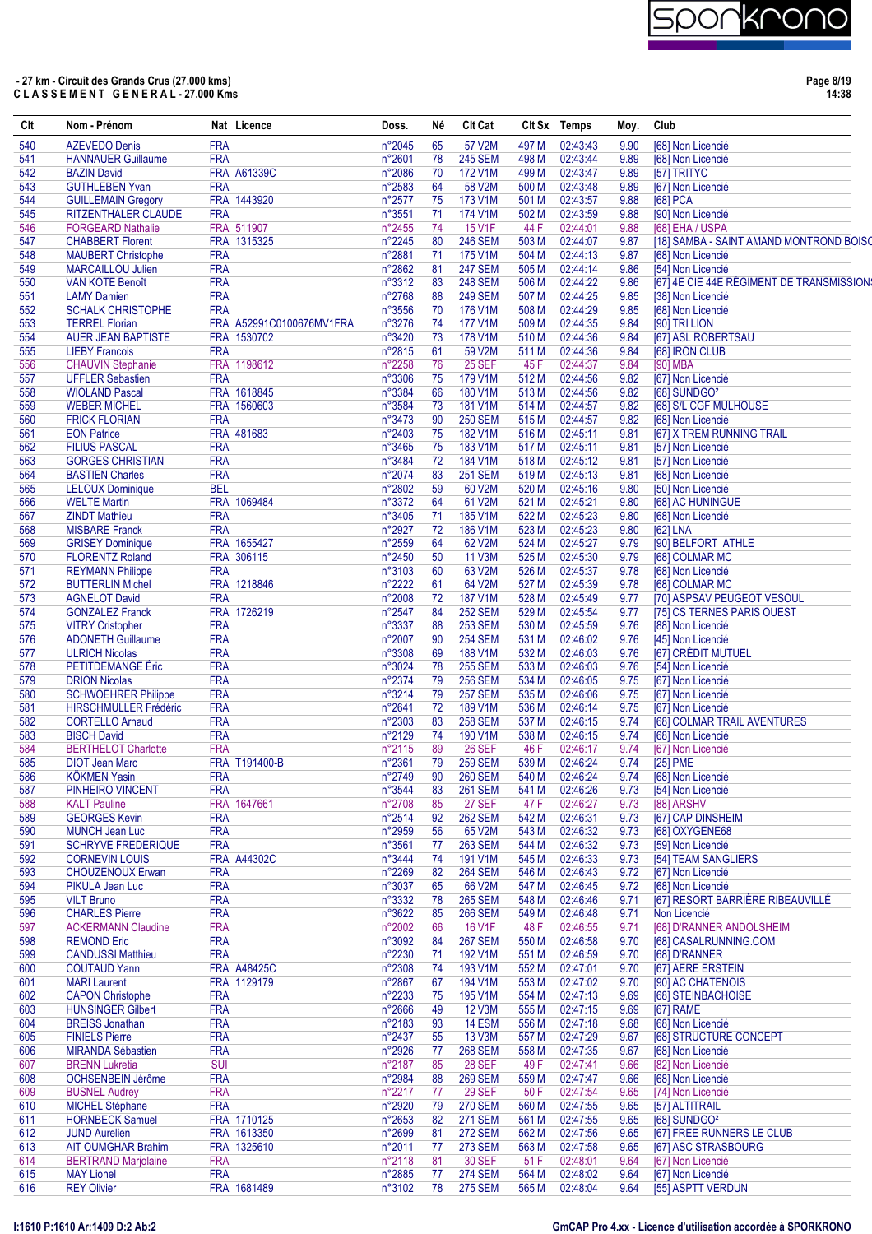

| Clt        | Nom - Prénom                                       |                          | Nat Licence              | Doss.            | Né       | <b>CIt Cat</b>            |                | CIt Sx Temps         | Moy.         | Club |                                                                |
|------------|----------------------------------------------------|--------------------------|--------------------------|------------------|----------|---------------------------|----------------|----------------------|--------------|------|----------------------------------------------------------------|
| 540        | <b>AZEVEDO Denis</b>                               | <b>FRA</b>               |                          | n°2045           | 65       | 57 V2M                    | 497 M          | 02:43:43             | 9.90         |      | [68] Non Licencié                                              |
| 541        | <b>HANNAUER Guillaume</b>                          | <b>FRA</b>               |                          | n°2601           | 78       | <b>245 SEM</b>            | 498 M          | 02:43:44             | 9.89         |      | [68] Non Licencié                                              |
| 542        | <b>BAZIN David</b>                                 |                          | FRA A61339C              | n°2086           | 70       | 172 V1M                   | 499 M          | 02:43:47             | 9.89         |      | [57] TRITYC                                                    |
| 543        | <b>GUTHLEBEN Yvan</b>                              | <b>FRA</b>               |                          | n°2583           | 64       | 58 V2M                    | 500 M          | 02:43:48             | 9.89         |      | [67] Non Licencié                                              |
| 544        | <b>GUILLEMAIN Gregory</b>                          |                          | FRA 1443920              | n°2577           | 75       | 173 V1M                   | 501 M          | 02:43:57             | 9.88         |      | [68] PCA                                                       |
| 545        | <b>RITZENTHALER CLAUDE</b>                         | <b>FRA</b>               |                          | n°3551           | 71       | 174 V1M                   | 502 M          | 02:43:59             | 9.88         |      | [90] Non Licencié                                              |
| 546        | <b>FORGEARD Nathalie</b>                           |                          | FRA 511907               | n°2455           | 74       | 15 V1F                    | 44 F           | 02:44:01             | 9.88         |      | [68] EHA / USPA                                                |
| 547        | <b>CHABBERT Florent</b>                            |                          | FRA 1315325              | n°2245           | 80       | <b>246 SEM</b>            | 503 M          | 02:44:07             | 9.87         |      | [18] SAMBA - SAINT AMAND MONTROND BOISO                        |
| 548        | <b>MAUBERT Christophe</b>                          | <b>FRA</b>               |                          | n°2881<br>n°2862 | -71      | 175 V1M<br><b>247 SEM</b> | 504 M          | 02:44:13<br>02:44:14 | 9.87         |      | [68] Non Licencié<br>[54] Non Licencié                         |
| 549        | <b>MARCAILLOU Julien</b><br><b>VAN KOTE Benoît</b> | <b>FRA</b><br><b>FRA</b> |                          | n°3312           | 81       | <b>248 SEM</b>            | 505 M          | 02:44:22             | 9.86         |      |                                                                |
| 550<br>551 | <b>LAMY Damien</b>                                 | <b>FRA</b>               |                          | n°2768           | 83<br>88 | <b>249 SEM</b>            | 506 M<br>507 M | 02:44:25             | 9.86<br>9.85 |      | [67] 4E CIE 44E RÉGIMENT DE TRANSMISSION:<br>[38] Non Licencié |
| 552        | <b>SCHALK CHRISTOPHE</b>                           | <b>FRA</b>               |                          | n°3556           | 70       | 176 V1M                   | 508 M          | 02:44:29             | 9.85         |      | [68] Non Licencié                                              |
| 553        | <b>TERREL Florian</b>                              |                          | FRA A52991C0100676MV1FRA | n°3276           | 74       | 177 V1M                   | 509 M          | 02:44:35             | 9.84         |      | [90] TRI LION                                                  |
| 554        | <b>AUER JEAN BAPTISTE</b>                          |                          | FRA 1530702              | n°3420           | 73       | 178 V1M                   | 510 M          | 02:44:36             | 9.84         |      | [67] ASL ROBERTSAU                                             |
| 555        | <b>LIEBY Francois</b>                              | <b>FRA</b>               |                          | n°2815           | 61       | 59 V2M                    | 511 M          | 02:44:36             | 9.84         |      | [68] IRON CLUB                                                 |
| 556        | <b>CHAUVIN Stephanie</b>                           |                          | FRA 1198612              | n°2258           | 76       | <b>25 SEF</b>             | 45 F           | 02:44:37             | 9.84         |      | [90] MBA                                                       |
| 557        | <b>UFFLER Sebastien</b>                            | <b>FRA</b>               |                          | n°3306           | 75       | 179 V1M                   | 512 M          | 02:44:56             | 9.82         |      | [67] Non Licencié                                              |
| 558        | <b>WIOLAND Pascal</b>                              |                          | FRA 1618845              | n°3384           | 66       | 180 V1M                   | 513 M          | 02:44:56             | 9.82         |      | [68] SUNDGO <sup>2</sup>                                       |
| 559        | <b>WEBER MICHEL</b>                                |                          | FRA 1560603              | n°3584           | 73       | 181 V1M                   | 514 M          | 02:44:57             | 9.82         |      | [68] S/L CGF MULHOUSE                                          |
| 560        | <b>FRICK FLORIAN</b>                               | <b>FRA</b>               |                          | n°3473           | 90       | <b>250 SEM</b>            | 515 M          | 02:44:57             | 9.82         |      | [68] Non Licencié                                              |
| 561        | <b>EON Patrice</b>                                 |                          | FRA 481683               | $n^{\circ}2403$  | 75       | 182 V1M                   | 516 M          | 02:45:11             | 9.81         |      | [67] X TREM RUNNING TRAIL                                      |
| 562        | <b>FILIUS PASCAL</b>                               | <b>FRA</b>               |                          | n°3465           | 75       | 183 V1M                   | 517 M          | 02:45:11             | 9.81         |      | [57] Non Licencié                                              |
| 563        | <b>GORGES CHRISTIAN</b>                            | <b>FRA</b>               |                          | n°3484           | 72       | 184 V1M                   | 518 M          | 02:45:12             | 9.81         |      | [57] Non Licencié                                              |
| 564        | <b>BASTIEN Charles</b>                             | <b>FRA</b>               |                          | n°2074           | 83       | <b>251 SEM</b>            | 519 M          | 02:45:13             | 9.81         |      | [68] Non Licencié                                              |
| 565        | <b>LELOUX Dominique</b>                            | <b>BEL</b>               |                          | n°2802           | 59       | 60 V2M                    | 520 M          | 02:45:16             | 9.80         |      | [50] Non Licencié                                              |
| 566        | <b>WELTE Martin</b>                                |                          | FRA 1069484              | n°3372           | 64       | 61 V2M                    | 521 M          | 02:45:21             | 9.80         |      | [68] AC HUNINGUE                                               |
| 567        | <b>ZINDT Mathieu</b>                               | <b>FRA</b>               |                          | n°3405           | 71       | 185 V1M                   | 522 M          | 02:45:23             | 9.80         |      | [68] Non Licencié                                              |
| 568        | <b>MISBARE Franck</b>                              | <b>FRA</b>               |                          | n°2927           | 72       | 186 V1M                   | 523 M          | 02:45:23             | 9.80         |      | [62] LNA                                                       |
| 569        | <b>GRISEY Dominique</b>                            |                          | FRA 1655427              | n°2559           | 64       | 62 V2M                    | 524 M          | 02:45:27             | 9.79         |      | [90] BELFORT ATHLE                                             |
| 570        | <b>FLORENTZ Roland</b>                             |                          | FRA 306115               | n°2450           | 50       | 11 V3M                    | 525 M          | 02:45:30             | 9.79         |      | [68] COLMAR MC                                                 |
| 571        | <b>REYMANN Philippe</b>                            | <b>FRA</b>               |                          | n°3103           | 60       | 63 V2M                    | 526 M          | 02:45:37             | 9.78         |      | [68] Non Licencié                                              |
| 572        | <b>BUTTERLIN Michel</b>                            |                          | FRA 1218846              | n°2222           | 61       | 64 V2M                    | 527 M          | 02:45:39             | 9.78         |      | [68] COLMAR MC                                                 |
| 573        | <b>AGNELOT David</b>                               | <b>FRA</b>               |                          | n°2008           | 72       | <b>187 V1M</b>            | 528 M          | 02:45:49             | 9.77         |      | [70] ASPSAV PEUGEOT VESOUL                                     |
| 574        | <b>GONZALEZ Franck</b>                             |                          | FRA 1726219              | n°2547           | 84       | <b>252 SEM</b>            | 529 M          | 02:45:54             | 9.77         |      | [75] CS TERNES PARIS OUEST                                     |
| 575        | <b>VITRY Cristopher</b>                            | <b>FRA</b>               |                          | n°3337           | 88       | <b>253 SEM</b>            | 530 M          | 02:45:59             | 9.76         |      | [88] Non Licencié                                              |
| 576        | <b>ADONETH Guillaume</b>                           | <b>FRA</b>               |                          | n°2007           | 90       | <b>254 SEM</b>            | 531 M          | 02:46:02             | 9.76         |      | [45] Non Licencié                                              |
| 577        | <b>ULRICH Nicolas</b>                              | <b>FRA</b>               |                          | n°3308           | 69       | 188 V1M                   | 532 M          | 02:46:03             | 9.76         |      | [67] CRÉDIT MUTUEL                                             |
| 578        | PETITDEMANGE Eric                                  | <b>FRA</b>               |                          | n°3024           | 78       | <b>255 SEM</b>            | 533 M          | 02:46:03             | 9.76         |      | [54] Non Licencié                                              |
| 579        | <b>DRION Nicolas</b>                               | <b>FRA</b>               |                          | n°2374           | 79       | <b>256 SEM</b>            | 534 M          | 02:46:05             | 9.75         |      | [67] Non Licencié                                              |
| 580        | <b>SCHWOEHRER Philippe</b>                         | <b>FRA</b>               |                          | n°3214           | 79       | <b>257 SEM</b>            | 535 M          | 02:46:06             | 9.75         |      | [67] Non Licencié                                              |
| 581        | <b>HIRSCHMULLER Frédéric</b>                       | <b>FRA</b>               |                          | $n^{\circ}2641$  | 72       | 189 V1M                   | 536 M          | 02:46:14             | 9.75         |      | [67] Non Licencié                                              |
| 582        | <b>CORTELLO Amaud</b>                              | <b>FRA</b>               |                          | n°2303           | 83       | <b>258 SEM</b>            | 537 M          | 02:46:15             | 9.74         |      | [68] COLMAR TRAIL AVENTURES                                    |
| 583        | <b>BISCH David</b>                                 | <b>FRA</b>               |                          | n°2129           | 74       | 190 V1M                   | 538 M          | 02:46:15             | 9.74         |      | [68] Non Licencié                                              |
| 584        | <b>BERTHELOT Charlotte</b>                         | <b>FRA</b>               |                          | n°2115           | 89       | <b>26 SEF</b>             | 46 F           | 02:46:17             | 9.74         |      | [67] Non Licencié                                              |
| 585        | <b>DIOT Jean Marc</b>                              |                          | FRA T191400-B            | n°2361           | 79       | <b>259 SEM</b>            | 539 M          | 02:46:24             | 9.74         |      | [25] PME                                                       |
| 586        | <b>KÖKMEN Yasin</b>                                | <b>FRA</b>               |                          | n°2749           | 90       | <b>260 SEM</b>            |                | 540 M 02:46:24       |              |      | 9.74 [68] Non Licencié                                         |
| 587        | PINHEIRO VINCENT                                   | <b>FRA</b>               |                          | n°3544           | 83       | <b>261 SEM</b>            | 541 M          | 02:46:26             | 9.73         |      | [54] Non Licencié                                              |
| 588        | <b>KALT Pauline</b>                                |                          | FRA 1647661              | n°2708           | 85       | 27 SEF                    | 47 F           | 02:46:27             | 9.73         |      | [88] ARSHV                                                     |
| 589        | <b>GEORGES Kevin</b>                               | <b>FRA</b>               |                          | $n^{\circ}2514$  | 92       | <b>262 SEM</b>            | 542 M          | 02:46:31             | 9.73         |      | [67] CAP DINSHEIM                                              |
| 590        | <b>MUNCH Jean Luc</b>                              | <b>FRA</b>               |                          | n°2959           | 56       | 65 V2M                    | 543 M          | 02:46:32             | 9.73         |      | [68] OXYGENE68                                                 |
| 591        | <b>SCHRYVE FREDERIQUE</b>                          | <b>FRA</b>               |                          | $n^{\circ}3561$  | 77       | <b>263 SEM</b>            | 544 M          | 02:46:32             | 9.73         |      | [59] Non Licencié                                              |
| 592        | <b>CORNEVIN LOUIS</b>                              |                          | <b>FRA A44302C</b>       | n°3444           | 74       | 191 V1M                   | 545 M          | 02:46:33             | 9.73         |      | [54] TEAM SANGLIERS                                            |
| 593        | <b>CHOUZENOUX Erwan</b>                            | <b>FRA</b>               |                          | n°2269           | 82       | <b>264 SEM</b>            | 546 M          | 02:46:43             | 9.72         |      | [67] Non Licencié                                              |
| 594        | <b>PIKULA Jean Luc</b>                             | <b>FRA</b>               |                          | n°3037           | 65       | 66 V2M                    | 547 M          | 02:46:45             | 9.72         |      | [68] Non Licencié                                              |
| 595        | <b>VILT Bruno</b>                                  | <b>FRA</b>               |                          | n°3332           | 78       | <b>265 SEM</b>            | 548 M          | 02:46:46             | 9.71         |      | [67] RESORT BARRIÈRE RIBEAUVILLÉ                               |
| 596        | <b>CHARLES Pierre</b>                              | <b>FRA</b>               |                          | n°3622           | 85       | <b>266 SEM</b>            | 549 M          | 02:46:48             | 9.71         |      | Non Licencié                                                   |
| 597        | <b>ACKERMANN Claudine</b>                          | <b>FRA</b>               |                          | n°2002           | 66       | 16 V1F                    | 48 F           | 02:46:55             | 9.71         |      | [68] D'RANNER ANDOLSHEIM                                       |
| 598        | <b>REMOND Eric</b>                                 | <b>FRA</b>               |                          | $n^{\circ}3092$  | 84       | <b>267 SEM</b>            | 550 M          | 02:46:58             | 9.70         |      | [68] CASALRUNNING.COM                                          |
| 599        | <b>CANDUSSI Matthieu</b>                           | <b>FRA</b>               |                          | n°2230           | 71       | 192 V1M                   | 551 M          | 02:46:59             | 9.70         |      | [68] D'RANNER                                                  |
| 600        | <b>COUTAUD Yann</b>                                |                          | <b>FRA A48425C</b>       | n°2308           | 74       | 193 V1M                   | 552 M          | 02:47:01             | 9.70         |      | [67] AERE ERSTEIN                                              |
| 601        | <b>MARI Laurent</b>                                |                          | FRA 1129179              | n°2867           | 67       | 194 V1M                   | 553 M          | 02:47:02             | 9.70         |      | [90] AC CHATENOIS                                              |
| 602        | <b>CAPON Christophe</b>                            | <b>FRA</b>               |                          | n°2233           | 75       | 195 V1M                   | 554 M          | 02:47:13             | 9.69         |      | [68] STEINBACHOISE                                             |
| 603        | <b>HUNSINGER Gilbert</b>                           | <b>FRA</b>               |                          | $n^{\circ}2666$  | 49       | <b>12 V3M</b>             | 555 M          | 02:47:15             | 9.69         |      | [67] RAME                                                      |
| 604        | <b>BREISS Jonathan</b>                             | <b>FRA</b>               |                          | $n^{\circ}2183$  | 93       | <b>14 ESM</b>             | 556 M          | 02:47:18             | 9.68         |      | [68] Non Licencié                                              |
| 605        | <b>FINIELS Pierre</b>                              | <b>FRA</b>               |                          | $n^{\circ}2437$  | 55       | 13 V3M                    | 557 M          | 02:47:29             | 9.67         |      | [68] STRUCTURE CONCEPT                                         |
| 606        | <b>MIRANDA Sébastien</b>                           | <b>FRA</b>               |                          | n°2926           | 77       | <b>268 SEM</b>            | 558 M          | 02:47:35             | 9.67         |      | [68] Non Licencié                                              |
| 607        | <b>BRENN Lukretia</b>                              | <b>SUI</b>               |                          | n°2187           | 85       | <b>28 SEF</b>             | 49 F           | 02:47:41             | 9.66         |      | [82] Non Licencié                                              |
| 608        | OCHSENBEIN Jérôme                                  | <b>FRA</b>               |                          | n°2984           | 88       | <b>269 SEM</b>            | 559 M          | 02:47:47             | 9.66         |      | [68] Non Licencié                                              |
| 609        | <b>BUSNEL Audrey</b>                               | <b>FRA</b>               |                          | n°2217           | 77       | <b>29 SEF</b>             | 50 F           | 02:47:54             | 9.65         |      | [74] Non Licencié                                              |
| 610        | <b>MICHEL Stéphane</b>                             | <b>FRA</b>               |                          | n°2920           | 79       | <b>270 SEM</b>            | 560 M          | 02:47:55             | 9.65         |      | [57] ALTITRAIL                                                 |
| 611        | <b>HORNBECK Samuel</b>                             |                          | FRA 1710125              | $n^{\circ}2653$  | 82       | <b>271 SEM</b>            | 561 M          | 02:47:55             | 9.65         |      | [68] SUNDGO <sup>2</sup>                                       |
| 612        | <b>JUND Aurelien</b>                               |                          | FRA 1613350              | n°2699           | 81       | <b>272 SEM</b>            | 562 M          | 02:47:56             | 9.65         |      | [67] FREE RUNNERS LE CLUB                                      |
| 613        | <b>AIT OUMGHAR Brahim</b>                          |                          | FRA 1325610              | n°2011           | 77       | <b>273 SEM</b>            | 563 M          | 02:47:58             | 9.65         |      | [67] ASC STRASBOURG                                            |
| 614        | <b>BERTRAND Marjolaine</b>                         | <b>FRA</b>               |                          | $n^{\circ}2118$  | 81       | <b>30 SEF</b>             | 51 F           | 02:48:01             | 9.64         |      | [67] Non Licencié                                              |
| 615        | <b>MAY Lionel</b>                                  | <b>FRA</b>               |                          | n°2885           | 77       | <b>274 SEM</b>            | 564 M          | 02:48:02             | 9.64         |      | [67] Non Licencié                                              |
| 616        | <b>REY Olivier</b>                                 |                          | FRA 1681489              | n°3102           | 78       | <b>275 SEM</b>            | 565 M          | 02:48:04             | 9.64         |      | [55] ASPTT VERDUN                                              |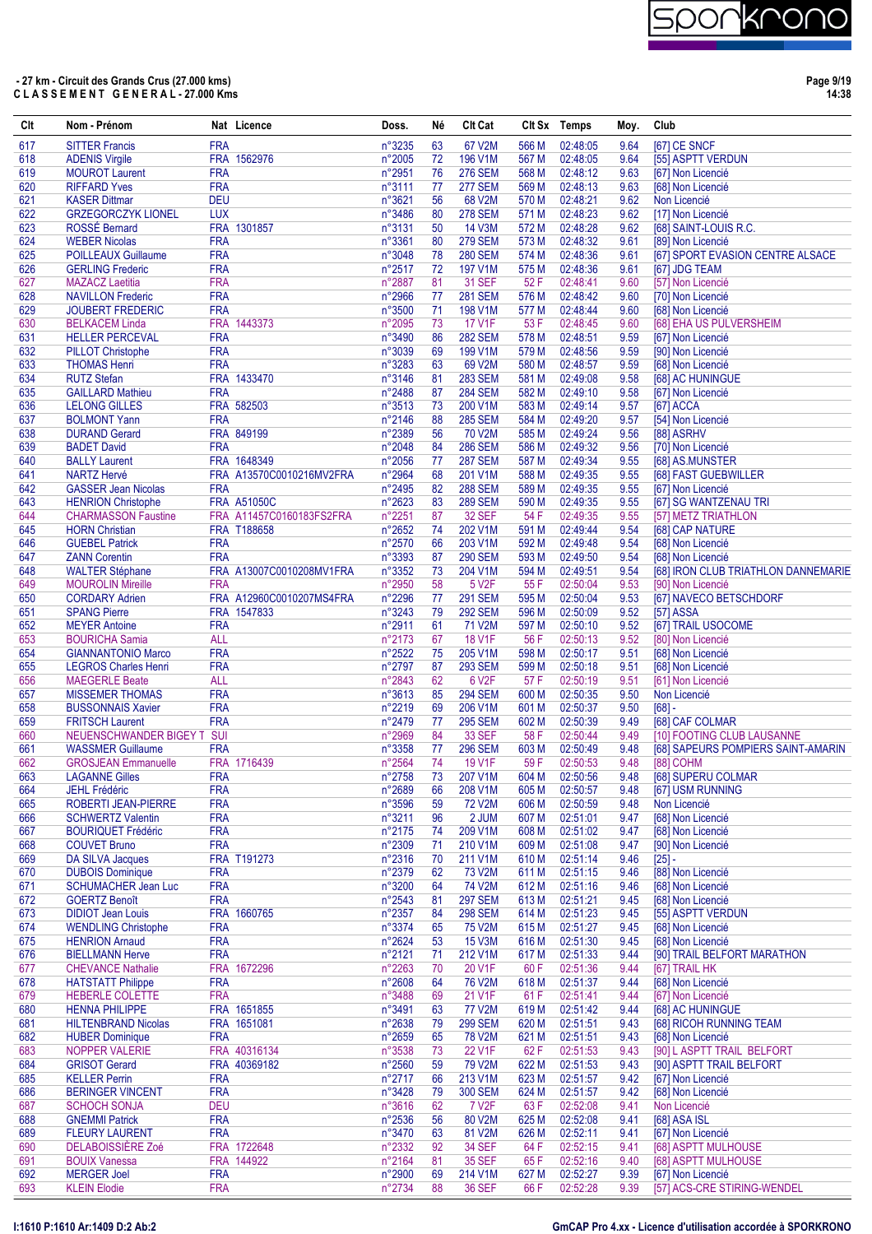| Clt        | Nom - Prénom                                           |                          | Nat Licence              | Doss.            | Né       | <b>CIt Cat</b>                  |                | Clt Sx Temps         | Moy.         | Club                                                             |
|------------|--------------------------------------------------------|--------------------------|--------------------------|------------------|----------|---------------------------------|----------------|----------------------|--------------|------------------------------------------------------------------|
| 617        | <b>SITTER Francis</b>                                  | <b>FRA</b>               |                          | n°3235           | 63       | 67 V2M                          | 566 M          | 02:48:05             | 9.64         | [67] CE SNCF                                                     |
| 618        | <b>ADENIS Virgile</b>                                  |                          | FRA 1562976              | n°2005           | 72       | 196 V1M                         | 567 M          | 02:48:05             | 9.64         | [55] ASPTT VERDUN                                                |
| 619        | <b>MOUROT Laurent</b>                                  | <b>FRA</b>               |                          | n°2951           | 76       | <b>276 SEM</b>                  | 568 M          | 02:48:12             | 9.63         | [67] Non Licencié                                                |
| 620        | <b>RIFFARD Yves</b>                                    | <b>FRA</b>               |                          | n°3111           | 77       | <b>277 SEM</b>                  | 569 M          | 02:48:13             | 9.63         | [68] Non Licencié                                                |
| 621        | <b>KASER Dittmar</b>                                   | <b>DEU</b>               |                          | n°3621           | 56       | 68 V2M                          | 570 M          | 02:48:21             | 9.62         | Non Licencié                                                     |
| 622<br>623 | <b>GRZEGORCZYK LIONEL</b><br>ROSSÉ Bernard             | <b>LUX</b>               | FRA 1301857              | n°3486<br>n°3131 | 80<br>50 | <b>278 SEM</b><br><b>14 V3M</b> | 571 M<br>572 M | 02:48:23<br>02:48:28 | 9.62<br>9.62 | [17] Non Licencié<br>[68] SAINT-LOUIS R.C.                       |
| 624        | <b>WEBER Nicolas</b>                                   | <b>FRA</b>               |                          | n°3361           | 80       | <b>279 SEM</b>                  | 573 M          | 02:48:32             | 9.61         | [89] Non Licencié                                                |
| 625        | <b>POILLEAUX Guillaume</b>                             | <b>FRA</b>               |                          | n°3048           | 78       | <b>280 SEM</b>                  | 574 M          | 02:48:36             | 9.61         | [67] SPORT EVASION CENTRE ALSACE                                 |
| 626        | <b>GERLING Frederic</b>                                | <b>FRA</b>               |                          | n°2517           | 72       | 197 V1M                         | 575 M          | 02:48:36             | 9.61         | [67] JDG TEAM                                                    |
| 627        | <b>MAZACZ Laetitia</b>                                 | <b>FRA</b>               |                          | n°2887           | 81       | <b>31 SEF</b>                   | 52 F           | 02:48:41             | 9.60         | [57] Non Licencié                                                |
| 628        | <b>NAVILLON Frederic</b>                               | <b>FRA</b>               |                          | n°2966           | 77       | <b>281 SEM</b>                  | 576 M          | 02:48:42             | 9.60         | [70] Non Licencié                                                |
| 629        | <b>JOUBERT FREDERIC</b>                                | <b>FRA</b>               |                          | n°3500           | 71       | 198 V1M                         | 577 M          | 02:48:44             | 9.60         | [68] Non Licencié                                                |
| 630        | <b>BELKACEM Linda</b>                                  |                          | FRA 1443373              | n°2095           | 73       | <b>17 V1F</b>                   | 53 F           | 02:48:45             | 9.60         | [68] EHA US PULVERSHEIM                                          |
| 631<br>632 | <b>HELLER PERCEVAL</b><br><b>PILLOT Christophe</b>     | <b>FRA</b><br><b>FRA</b> |                          | n°3490<br>n°3039 | 86<br>69 | <b>282 SEM</b><br>199 V1M       | 578 M<br>579 M | 02:48:51<br>02:48:56 | 9.59<br>9.59 | [67] Non Licencié                                                |
| 633        | <b>THOMAS Henri</b>                                    | <b>FRA</b>               |                          | n°3283           | 63       | 69 V2M                          | 580 M          | 02:48:57             | 9.59         | [90] Non Licencié<br>[68] Non Licencié                           |
| 634        | <b>RUTZ Stefan</b>                                     |                          | FRA 1433470              | n°3146           | 81       | <b>283 SEM</b>                  | 581 M          | 02:49:08             | 9.58         | [68] AC HUNINGUE                                                 |
| 635        | <b>GAILLARD Mathieu</b>                                | <b>FRA</b>               |                          | n°2488           | 87       | <b>284 SEM</b>                  | 582 M          | 02:49:10             | 9.58         | [67] Non Licencié                                                |
| 636        | <b>LELONG GILLES</b>                                   |                          | FRA 582503               | n°3513           | 73       | 200 V1M                         | 583 M          | 02:49:14             | 9.57         | [67] ACCA                                                        |
| 637        | <b>BOLMONT Yann</b>                                    | <b>FRA</b>               |                          | n°2146           | 88       | <b>285 SEM</b>                  | 584 M          | 02:49:20             | 9.57         | [54] Non Licencié                                                |
| 638        | <b>DURAND Gerard</b>                                   |                          | FRA 849199               | n°2389           | 56       | 70 V2M                          | 585 M          | 02:49:24             | 9.56         | [88] ASRHV                                                       |
| 639        | <b>BADET David</b>                                     | <b>FRA</b>               |                          | n°2048           | 84       | <b>286 SEM</b>                  | 586 M          | 02:49:32             | 9.56         | [70] Non Licencié                                                |
| 640        | <b>BALLY Laurent</b>                                   |                          | FRA 1648349              | n°2056           | 77       | <b>287 SEM</b>                  | 587 M          | 02:49:34             | 9.55         | [68] AS.MUNSTER                                                  |
| 641<br>642 | <b>NARTZ Hervé</b><br><b>GASSER Jean Nicolas</b>       | <b>FRA</b>               | FRA A13570C0010216MV2FRA | n°2964<br>n°2495 | 68<br>82 | 201 V1M<br><b>288 SEM</b>       | 588 M<br>589 M | 02:49:35<br>02:49:35 | 9.55<br>9.55 | [68] FAST GUEBWILLER<br>[67] Non Licencié                        |
| 643        | <b>HENRION Christophe</b>                              |                          | <b>FRA A51050C</b>       | n°2623           | 83       | <b>289 SEM</b>                  | 590 M          | 02:49:35             | 9.55         | [67] SG WANTZENAU TRI                                            |
| 644        | <b>CHARMASSON Faustine</b>                             |                          | FRA A11457C0160183FS2FRA | n°2251           | 87       | <b>32 SEF</b>                   | 54 F           | 02:49:35             | 9.55         | [57] METZ TRIATHLON                                              |
| 645        | <b>HORN Christian</b>                                  |                          | <b>FRA T188658</b>       | n°2652           | 74       | 202 V1M                         | 591 M          | 02:49:44             | 9.54         | [68] CAP NATURE                                                  |
| 646        | <b>GUEBEL Patrick</b>                                  | <b>FRA</b>               |                          | n°2570           | 66       | 203 V1M                         | 592 M          | 02:49:48             | 9.54         | [68] Non Licencié                                                |
| 647        | <b>ZANN Corentin</b>                                   | <b>FRA</b>               |                          | n°3393           | 87       | <b>290 SEM</b>                  | 593 M          | 02:49:50             | 9.54         | [68] Non Licencié                                                |
| 648        | <b>WALTER Stéphane</b>                                 |                          | FRA A13007C0010208MV1FRA | n°3352           | 73       | 204 V1M                         | 594 M          | 02:49:51             | 9.54         | [68] IRON CLUB TRIATHLON DANNEMARIE                              |
| 649        | <b>MOUROLIN Mireille</b>                               | <b>FRA</b>               |                          | n°2950           | 58       | 5 V2F                           | 55 F           | 02:50:04             | 9.53         | [90] Non Licencié                                                |
| 650        | <b>CORDARY Adrien</b>                                  |                          | FRA A12960C0010207MS4FRA | n°2296           | 77       | <b>291 SEM</b>                  | 595 M          | 02:50:04             | 9.53         | [67] NAVECO BETSCHDORF                                           |
| 651<br>652 | <b>SPANG Pierre</b>                                    | <b>FRA</b>               | FRA 1547833              | n°3243<br>n°2911 | 79<br>61 | <b>292 SEM</b><br>71 V2M        | 596 M<br>597 M | 02:50:09<br>02:50:10 | 9.52<br>9.52 | [57] ASSA<br>[67] TRAIL USOCOME                                  |
| 653        | <b>MEYER Antoine</b><br><b>BOURICHA Samia</b>          | <b>ALL</b>               |                          | n°2173           | 67       | <b>18 V1F</b>                   | 56 F           | 02:50:13             | 9.52         | [80] Non Licencié                                                |
| 654        | <b>GIANNANTONIO Marco</b>                              | <b>FRA</b>               |                          | n°2522           | 75       | 205 V1M                         | 598 M          | 02:50:17             | 9.51         | [68] Non Licencié                                                |
| 655        | <b>LEGROS Charles Henri</b>                            | <b>FRA</b>               |                          | n°2797           | 87       | <b>293 SEM</b>                  | 599 M          | 02:50:18             | 9.51         | [68] Non Licencié                                                |
| 656        | <b>MAEGERLE Beate</b>                                  | <b>ALL</b>               |                          | n°2843           | 62       | 6 V2F                           | 57 F           | 02:50:19             | 9.51         | [61] Non Licencié                                                |
| 657        | <b>MISSEMER THOMAS</b>                                 | <b>FRA</b>               |                          | n°3613           | 85       | <b>294 SEM</b>                  | 600 M          | 02:50:35             | 9.50         | Non Licencié                                                     |
| 658        | <b>BUSSONNAIS Xavier</b>                               | <b>FRA</b>               |                          | n°2219           | 69       | 206 V1M                         | 601 M          | 02:50:37             | 9.50         | $[68] -$                                                         |
| 659        | <b>FRITSCH Laurent</b>                                 | <b>FRA</b>               |                          | n°2479           | 77       | <b>295 SEM</b>                  | 602 M          | 02:50:39             | 9.49         | [68] CAF COLMAR                                                  |
| 660<br>661 | NEUENSCHWANDER BIGEY T SUI<br><b>WASSMER Guillaume</b> | <b>FRA</b>               |                          | n°2969<br>n°3358 | 84<br>77 | <b>33 SEF</b><br><b>296 SEM</b> | 58 F<br>603 M  | 02:50:44<br>02:50:49 | 9.49<br>9.48 | [10] FOOTING CLUB LAUSANNE<br>[68] SAPEURS POMPIERS SAINT-AMARIN |
| 662        | <b>GROSJEAN Emmanuelle</b>                             |                          | FRA 1716439              | n°2564           | 74       | <b>19 V1F</b>                   | 59 F           | 02:50:53             | 9.48         | [88] COHM                                                        |
| 663        | <b>LAGANNE Gilles</b>                                  | <b>FRA</b>               |                          | n°2758           | 73       | 207 V1M                         | 604 M          | 02:50:56             | 9.48         | [68] SUPERU COLMAR                                               |
| 664        | <b>JEHL Frédéric</b>                                   | <b>FRA</b>               |                          | n°2689           | 66       | 208 V1M                         | 605 M          | 02:50:57             | 9.48         | [67] USM RUNNING                                                 |
| 665        | <b>ROBERTI JEAN-PIERRE</b>                             | <b>FRA</b>               |                          | n°3596           | 59       | <b>72 V2M</b>                   | 606 M          | 02:50:59             | 9.48         | Non Licencié                                                     |
| 666        | <b>SCHWERTZ Valentin</b>                               | <b>FRA</b>               |                          | n°3211           | 96       | 2 JUM                           | 607 M          | 02:51:01             | 9.47         | [68] Non Licencié                                                |
| 667        | <b>BOURIQUET Frédéric</b>                              | <b>FRA</b>               |                          | n°2175           | 74       | 209 V1M                         | 608 M          | 02:51:02             | 9.47         | [68] Non Licencié                                                |
| 668        | <b>COUVET Bruno</b>                                    | <b>FRA</b>               |                          | n°2309           | 71       | 210 V1M                         | 609 M          | 02:51:08             | 9.47         | [90] Non Licencié                                                |
| 669<br>670 | <b>DA SILVA Jacques</b><br><b>DUBOIS Dominique</b>     | <b>FRA</b>               | FRA T191273              | n°2316<br>n°2379 | 70<br>62 | 211 V1M<br>73 V2M               | 610 M<br>611 M | 02:51:14<br>02:51:15 | 9.46<br>9.46 | $[25] -$<br>[88] Non Licencié                                    |
| 671        | <b>SCHUMACHER Jean Luc</b>                             | <b>FRA</b>               |                          | n°3200           | 64       | 74 V2M                          | 612 M          | 02:51:16             | 9.46         | [68] Non Licencié                                                |
| 672        | <b>GOERTZ Benoît</b>                                   | <b>FRA</b>               |                          | n°2543           | 81       | <b>297 SEM</b>                  | 613 M          | 02:51:21             | 9.45         | [68] Non Licencié                                                |
| 673        | <b>DIDIOT Jean Louis</b>                               |                          | FRA 1660765              | n°2357           | 84       | <b>298 SEM</b>                  | 614 M          | 02:51:23             | 9.45         | [55] ASPTT VERDUN                                                |
| 674        | <b>WENDLING Christophe</b>                             | <b>FRA</b>               |                          | n°3374           | 65       | 75 V2M                          | 615 M          | 02:51:27             | 9.45         | [68] Non Licencié                                                |
| 675        | <b>HENRION Arnaud</b>                                  | <b>FRA</b>               |                          | n°2624           | 53       | 15 V3M                          | 616 M          | 02:51:30             | 9.45         | [68] Non Licencié                                                |
| 676        | <b>BIELLMANN Herve</b>                                 | <b>FRA</b>               |                          | n°2121           | 71       | 212 V1M                         | 617 M          | 02:51:33             | 9.44         | [90] TRAIL BELFORT MARATHON                                      |
| 677        | <b>CHEVANCE Nathalie</b>                               |                          | FRA 1672296              | n°2263           | 70       | 20 V1F                          | 60F            | 02:51:36             | 9.44         | [67] TRAIL HK                                                    |
| 678        | <b>HATSTATT Philippe</b>                               | <b>FRA</b>               |                          | n°2608           | 64       | 76 V2M<br>21 V1F                | 618 M          | 02:51:37             | 9.44         | [68] Non Licencié                                                |
| 679<br>680 | HEBERLE COLETTE<br><b>HENNA PHILIPPE</b>               | <b>FRA</b>               | FRA 1651855              | n°3488<br>n°3491 | 69<br>63 | <b>77 V2M</b>                   | 61 F<br>619 M  | 02:51:41<br>02:51:42 | 9.44<br>9.44 | [67] Non Licencié<br>[68] AC HUNINGUE                            |
| 681        | <b>HILTENBRAND Nicolas</b>                             |                          | FRA 1651081              | n°2638           | 79       | <b>299 SEM</b>                  | 620 M          | 02:51:51             | 9.43         | [68] RICOH RUNNING TEAM                                          |
| 682        | <b>HUBER Dominique</b>                                 | <b>FRA</b>               |                          | n°2659           | 65       | <b>78 V2M</b>                   | 621 M          | 02:51:51             | 9.43         | [68] Non Licencié                                                |
| 683        | <b>NOPPER VALERIE</b>                                  |                          | FRA 40316134             | n°3538           | 73       | 22 V1F                          | 62F            | 02:51:53             | 9.43         | [90] L ASPTT TRAIL BELFORT                                       |
| 684        | <b>GRISOT Gerard</b>                                   |                          | FRA 40369182             | n°2560           | 59       | 79 V2M                          | 622 M          | 02:51:53             | 9.43         | [90] ASPTT TRAIL BELFORT                                         |
| 685        | <b>KELLER Perrin</b>                                   | <b>FRA</b>               |                          | n°2717           | 66       | 213 V1M                         | 623 M          | 02:51:57             | 9.42         | [67] Non Licencié                                                |
| 686        | <b>BERINGER VINCENT</b>                                | <b>FRA</b>               |                          | n°3428           | 79       | <b>300 SEM</b>                  | 624 M          | 02:51:57             | 9.42         | [68] Non Licencié                                                |
| 687        | <b>SCHOCH SONJA</b>                                    | <b>DEU</b>               |                          | n°3616           | 62       | 7 V <sub>2</sub> F              | 63 F           | 02:52:08             | 9.41         | Non Licencié                                                     |
| 688<br>689 | <b>GNEMMI Patrick</b><br><b>FLEURY LAURENT</b>         | <b>FRA</b><br><b>FRA</b> |                          | n°2536<br>n°3470 | 56<br>63 | 80 V2M<br>81 V2M                | 625 M<br>626 M | 02:52:08<br>02:52:11 | 9.41<br>9.41 | [68] ASA ISL<br>[67] Non Licencié                                |
| 690        | DELABOISSIÈRE Zoé                                      |                          | FRA 1722648              | n°2332           | 92       | <b>34 SEF</b>                   | 64 F           | 02:52:15             | 9.41         | [68] ASPTT MULHOUSE                                              |
| 691        | <b>BOUIX Vanessa</b>                                   |                          | FRA 144922               | n°2164           | 81       | <b>35 SEF</b>                   | 65 F           | 02:52:16             | 9.40         | [68] ASPTT MULHOUSE                                              |
| 692        | <b>MERGER Joel</b>                                     | <b>FRA</b>               |                          | n°2900           | 69       | 214 V1M                         | 627 M          | 02:52:27             | 9.39         | [67] Non Licencié                                                |
| 693        | <b>KLEIN Elodie</b>                                    | <b>FRA</b>               |                          | n°2734           | 88       | <b>36 SEF</b>                   | 66 F           | 02:52:28             | 9.39         | [57] ACS-CRE STIRING-WENDEL                                      |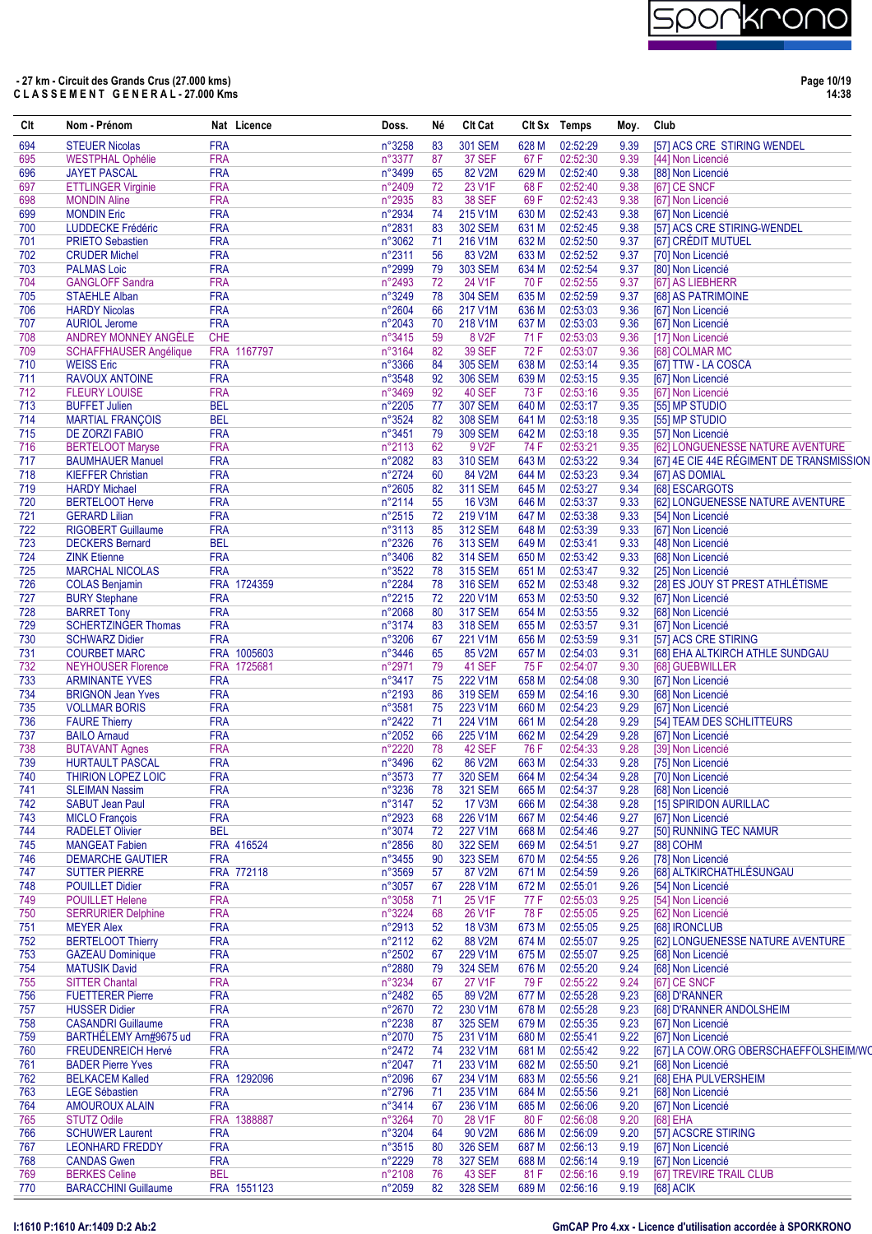

**Page 10/19 14:38**

| Clt        | Nom - Prénom                                     |                          | Nat Licence                | Doss.            | Né       | <b>CIt Cat</b>                   |                | Clt Sx Temps         | Moy.         | Club                                               |
|------------|--------------------------------------------------|--------------------------|----------------------------|------------------|----------|----------------------------------|----------------|----------------------|--------------|----------------------------------------------------|
| 694        | <b>STEUER Nicolas</b>                            | <b>FRA</b>               |                            | n°3258           | 83       | <b>301 SEM</b>                   | 628 M          | 02:52:29             | 9.39         | [57] ACS CRE STIRING WENDEL                        |
| 695        | <b>WESTPHAL Ophélie</b>                          | <b>FRA</b>               |                            | n°3377           | 87       | <b>37 SEF</b>                    | 67 F           | 02:52:30             | 9.39         | [44] Non Licencié                                  |
| 696        | <b>JAYET PASCAL</b>                              | <b>FRA</b>               |                            | n°3499           | 65       | 82 V2M                           | 629 M          | 02:52:40             | 9.38         | [88] Non Licencié                                  |
| 697        | <b>ETTLINGER Virginie</b>                        | <b>FRA</b>               |                            | n°2409           | 72       | 23 V1F                           | 68 F           | 02:52:40             | 9.38         | [67] CE SNCF                                       |
| 698<br>699 | <b>MONDIN Aline</b><br><b>MONDIN Eric</b>        | <b>FRA</b><br><b>FRA</b> |                            | n°2935<br>n°2934 | 83<br>74 | <b>38 SEF</b><br>215 V1M         | 69F<br>630 M   | 02:52:43<br>02:52:43 | 9.38<br>9.38 | [67] Non Licencié<br>[67] Non Licencié             |
| 700        | LUDDECKE Frédéric                                | <b>FRA</b>               |                            | n°2831           | 83       | <b>302 SEM</b>                   | 631 M          | 02:52:45             | 9.38         | [57] ACS CRE STIRING-WENDEL                        |
| 701        | <b>PRIETO Sebastien</b>                          | <b>FRA</b>               |                            | n°3062           | 71       | 216 V1M                          | 632 M          | 02:52:50             | 9.37         | [67] CRÉDIT MUTUEL                                 |
| 702        | <b>CRUDER Michel</b>                             | <b>FRA</b>               |                            | n°2311           | 56       | 83 V2M                           | 633 M          | 02:52:52             | 9.37         | [70] Non Licencié                                  |
| 703        | <b>PALMAS Loic</b>                               | <b>FRA</b>               |                            | n°2999           | 79       | <b>303 SEM</b>                   | 634 M          | 02:52:54             | 9.37         | [80] Non Licencié                                  |
| 704        | <b>GANGLOFF Sandra</b>                           | <b>FRA</b>               |                            | n°2493           | 72       | 24 V1F                           | 70F            | 02:52:55             | 9.37         | [67] AS LIEBHERR                                   |
| 705        | <b>STAEHLE Alban</b>                             | <b>FRA</b>               |                            | n°3249           | 78       | <b>304 SEM</b>                   | 635 M          | 02:52:59             | 9.37         | [68] AS PATRIMOINE                                 |
| 706        | <b>HARDY Nicolas</b><br><b>AURIOL Jerome</b>     | <b>FRA</b><br><b>FRA</b> |                            | n°2604           | 66<br>70 | 217 V1M                          | 636 M          | 02:53:03             | 9.36         | [67] Non Licencié                                  |
| 707<br>708 | ANDREY MONNEY ANGÈLE                             | <b>CHE</b>               |                            | n°2043<br>n°3415 | 59       | 218 V1M<br>8 V <sub>2</sub> F    | 637 M<br>71 F  | 02:53:03<br>02:53:03 | 9.36<br>9.36 | [67] Non Licencié<br>[17] Non Licencié             |
| 709        | <b>SCHAFFHAUSER Angélique</b>                    |                          | FRA 1167797                | n°3164           | 82       | <b>39 SEF</b>                    | 72 F           | 02:53:07             | 9.36         | [68] COLMAR MC                                     |
| 710        | <b>WEISS Eric</b>                                | <b>FRA</b>               |                            | n°3366           | 84       | <b>305 SEM</b>                   | 638 M          | 02:53:14             | 9.35         | [67] TTW - LA COSCA                                |
| 711        | <b>RAVOUX ANTOINE</b>                            | <b>FRA</b>               |                            | n°3548           | 92       | <b>306 SEM</b>                   | 639 M          | 02:53:15             | 9.35         | [67] Non Licencié                                  |
| 712        | <b>FLEURY LOUISE</b>                             | <b>FRA</b>               |                            | n°3469           | 92       | <b>40 SEF</b>                    | 73 F           | 02:53:16             | 9.35         | [67] Non Licencié                                  |
| 713        | <b>BUFFET Julien</b>                             | <b>BEL</b>               |                            | n°2205           | 77       | <b>307 SEM</b>                   | 640 M          | 02:53:17             | 9.35         | [55] MP STUDIO                                     |
| 714        | <b>MARTIAL FRANÇOIS</b>                          | <b>BEL</b>               |                            | n°3524           | 82       | <b>308 SEM</b>                   | 641 M          | 02:53:18             | 9.35         | [55] MP STUDIO                                     |
| 715        | <b>DE ZORZI FABIO</b>                            | <b>FRA</b>               |                            | n°3451           | 79       | <b>309 SEM</b>                   | 642 M          | 02:53:18             | 9.35         | [57] Non Licencié                                  |
| 716        | <b>BERTELOOT Maryse</b>                          | <b>FRA</b>               |                            | n°2113           | 62       | 9 V2F                            | 74 F           | 02:53:21             | 9.35         | [62] LONGUENESSE NATURE AVENTURE                   |
| 717        | <b>BAUMHAUER Manuel</b>                          | <b>FRA</b>               |                            | n°2082           | 83       | <b>310 SEM</b>                   | 643 M          | 02:53:22             | 9.34         | [67] 4E CIE 44E RÉGIMENT DE TRANSMISSION           |
| 718        | <b>KIEFFER Christian</b>                         | <b>FRA</b><br><b>FRA</b> |                            | n°2724           | 60<br>82 | 84 V2M<br><b>311 SEM</b>         | 644 M<br>645 M | 02:53:23             | 9.34<br>9.34 | [67] AS DOMIAL                                     |
| 719<br>720 | <b>HARDY Michael</b><br><b>BERTELOOT Herve</b>   | <b>FRA</b>               |                            | n°2605<br>n°2114 | 55       | <b>16 V3M</b>                    | 646 M          | 02:53:27<br>02:53:37 | 9.33         | [68] ESCARGOTS<br>[62] LONGUENESSE NATURE AVENTURE |
| 721        | <b>GERARD Lilian</b>                             | <b>FRA</b>               |                            | n°2515           | 72       | 219 V1M                          | 647 M          | 02:53:38             | 9.33         | [54] Non Licencié                                  |
| 722        | <b>RIGOBERT Guillaume</b>                        | <b>FRA</b>               |                            | n°3113           | 85       | <b>312 SEM</b>                   | 648 M          | 02:53:39             | 9.33         | [67] Non Licencié                                  |
| 723        | <b>DECKERS Bernard</b>                           | <b>BEL</b>               |                            | n°2326           | 76       | <b>313 SEM</b>                   | 649 M          | 02:53:41             | 9.33         | [48] Non Licencié                                  |
| 724        | <b>ZINK Etienne</b>                              | <b>FRA</b>               |                            | n°3406           | 82       | <b>314 SEM</b>                   | 650 M          | 02:53:42             | 9.33         | [68] Non Licencié                                  |
| 725        | <b>MARCHAL NICOLAS</b>                           | <b>FRA</b>               |                            | n°3522           | 78       | <b>315 SEM</b>                   | 651 M          | 02:53:47             | 9.32         | [25] Non Licencié                                  |
| 726        | <b>COLAS Benjamin</b>                            |                          | FRA 1724359                | n°2284           | 78       | <b>316 SEM</b>                   | 652 M          | 02:53:48             | 9.32         | [28] ES JOUY ST PREST ATHLÉTISME                   |
| 727        | <b>BURY Stephane</b>                             | <b>FRA</b>               |                            | n°2215           | 72       | 220 V1M                          | 653 M          | 02:53:50             | 9.32         | [67] Non Licencié                                  |
| 728        | <b>BARRET Tony</b>                               | <b>FRA</b>               |                            | n°2068           | 80       | <b>317 SEM</b>                   | 654 M          | 02:53:55             | 9.32         | [68] Non Licencié                                  |
| 729        | <b>SCHERTZINGER Thomas</b>                       | <b>FRA</b>               |                            | n°3174           | 83       | <b>318 SEM</b>                   | 655 M          | 02:53:57             | 9.31         | [67] Non Licencié                                  |
| 730        | <b>SCHWARZ Didier</b>                            | <b>FRA</b>               |                            | n°3206           | 67       | 221 V1M                          | 656 M          | 02:53:59             | 9.31         | [57] ACS CRE STIRING                               |
| 731<br>732 | <b>COURBET MARC</b><br><b>NEYHOUSER Florence</b> |                          | FRA 1005603<br>FRA 1725681 | n°3446<br>n°2971 | 65<br>79 | 85 V2M<br>41 SEF                 | 657 M<br>75 F  | 02:54:03<br>02:54:07 | 9.31<br>9.30 | [68] EHA ALTKIRCH ATHLE SUNDGAU                    |
| 733        | <b>ARMINANTE YVES</b>                            | <b>FRA</b>               |                            | n°3417           | 75       | 222 V1M                          | 658 M          | 02:54:08             | 9.30         | [68] GUEBWILLER<br>[67] Non Licencié               |
| 734        | <b>BRIGNON Jean Yves</b>                         | <b>FRA</b>               |                            | n°2193           | 86       | <b>319 SEM</b>                   | 659 M          | 02:54:16             | 9.30         | [68] Non Licencié                                  |
| 735        | <b>VOLLMAR BORIS</b>                             | <b>FRA</b>               |                            | n°3581           | 75       | 223 V1M                          | 660 M          | 02:54:23             | 9.29         | [67] Non Licencié                                  |
| 736        | <b>FAURE Thierry</b>                             | <b>FRA</b>               |                            | n°2422           | 71       | 224 V1M                          | 661 M          | 02:54:28             | 9.29         | [54] TEAM DES SCHLITTEURS                          |
| 737        | <b>BAILO Arnaud</b>                              | <b>FRA</b>               |                            | n°2052           | 66       | 225 V1M                          | 662 M          | 02:54:29             | 9.28         | [67] Non Licencié                                  |
| 738        | <b>BUTAVANT Agnes</b>                            | <b>FRA</b>               |                            | n°2220           | 78       | 42 SEF                           | 76 F           | 02:54:33             | 9.28         | [39] Non Licencié                                  |
| 739        | <b>HURTAULT PASCAL</b>                           | <b>FRA</b>               |                            | n°3496           | 62       | 86 V2M                           | 663 M          | 02:54:33             | 9.28         | [75] Non Licencié                                  |
| 740        | <b>THIRION LOPEZ LOIC</b>                        | <b>FRA</b>               |                            | n°3573           | 77       | <b>320 SEM</b>                   | 664 M          | 02:54:34             | 9.28         | [70] Non Licencié                                  |
| 741        | <b>SLEIMAN Nassim</b>                            | <b>FRA</b>               |                            | n°3236           | 78       | <b>321 SEM</b>                   | 665 M          | 02:54:37             | 9.28         | [68] Non Licencié                                  |
| 742        | <b>SABUT Jean Paul</b>                           | <b>FRA</b>               |                            | n°3147           | 52       | 17 V3M                           | 666 M          | 02:54:38             | 9.28         | [15] SPIRIDON AURILLAC                             |
| 743<br>744 | <b>MICLO François</b><br><b>RADELET Olivier</b>  | <b>FRA</b><br><b>BEL</b> |                            | n°2923<br>n°3074 | 68<br>72 | 226 V1M<br>227 V1M               | 667 M<br>668 M | 02:54:46<br>02:54:46 | 9.27<br>9.27 | [67] Non Licencié<br>[50] RUNNING TEC NAMUR        |
| 745        | <b>MANGEAT Fabien</b>                            |                          | FRA 416524                 | n°2856           | 80       | <b>322 SEM</b>                   | 669 M          | 02:54:51             | 9.27         | <b>[88] COHM</b>                                   |
| 746        | <b>DEMARCHE GAUTIER</b>                          | <b>FRA</b>               |                            | n°3455           | 90       | <b>323 SEM</b>                   | 670 M          | 02:54:55             | 9.26         | [78] Non Licencié                                  |
| 747        | <b>SUTTER PIERRE</b>                             |                          | FRA 772118                 | n°3569           | 57       | 87 V2M                           | 671 M          | 02:54:59             | 9.26         | [68] ALTKIRCHATHLÉSUNGAU                           |
| 748        | <b>POUILLET Didier</b>                           | <b>FRA</b>               |                            | n°3057           | 67       | 228 V1M                          | 672 M          | 02:55:01             | 9.26         | [54] Non Licencié                                  |
| 749        | <b>POUILLET Helene</b>                           | <b>FRA</b>               |                            | n°3058           | 71       | 25 V1F                           | 77 F           | 02:55:03             | 9.25         | [54] Non Licencié                                  |
| 750        | <b>SERRURIER Delphine</b>                        | <b>FRA</b>               |                            | n°3224           | 68       | 26 V1F                           | 78 F           | 02:55:05             | 9.25         | [62] Non Licencié                                  |
| 751        | <b>MEYER Alex</b>                                | <b>FRA</b>               |                            | n°2913           | 52       | 18 V3M                           | 673 M          | 02:55:05             | 9.25         | [68] IRONCLUB                                      |
| 752        | <b>BERTELOOT Thierry</b>                         | <b>FRA</b>               |                            | $n^{\circ}2112$  | 62       | 88 V2M                           | 674 M          | 02:55:07             | 9.25         | [62] LONGUENESSE NATURE AVENTURE                   |
| 753        | <b>GAZEAU Dominique</b>                          | <b>FRA</b>               |                            | n°2502           | 67       | 229 V1M                          | 675 M          | 02:55:07             | 9.25         | [68] Non Licencié                                  |
| 754        | <b>MATUSIK David</b>                             | <b>FRA</b>               |                            | n°2880           | 79       | <b>324 SEM</b>                   | 676 M          | 02:55:20             | 9.24         | [68] Non Licencié                                  |
| 755<br>756 | <b>SITTER Chantal</b><br><b>FUETTERER Pierre</b> | <b>FRA</b><br><b>FRA</b> |                            | n°3234<br>n°2482 | 67<br>65 | 27 V1F<br>89 V2M                 | 79 F<br>677 M  | 02:55:22<br>02:55:28 | 9.24<br>9.23 | [67] CE SNCF<br>[68] D'RANNER                      |
| 757        | <b>HUSSER Didier</b>                             | <b>FRA</b>               |                            | n°2670           | 72       | 230 V1M                          | 678 M          | 02:55:28             | 9.23         | [68] D'RANNER ANDOLSHEIM                           |
| 758        | <b>CASANDRI Guillaume</b>                        | <b>FRA</b>               |                            | n°2238           | 87       | <b>325 SEM</b>                   | 679 M          | 02:55:35             | 9.23         | [67] Non Licencié                                  |
| 759        | BARTHÉLEMY Arn#9675 ud                           | <b>FRA</b>               |                            | n°2070           | 75       | 231 V1M                          | 680 M          | 02:55:41             | 9.22         | [67] Non Licencié                                  |
| 760        | FREUDENREICH Hervé                               | <b>FRA</b>               |                            | n°2472           | 74       | 232 V1M                          | 681 M          | 02:55:42             | 9.22         | [67] LA COW.ORG OBERSCHAEFFOLSHEIM/WO              |
| 761        | <b>BADER Pierre Yves</b>                         | <b>FRA</b>               |                            | n°2047           | 71       | 233 V1M                          | 682 M          | 02:55:50             | 9.21         | [68] Non Licencié                                  |
| 762        | <b>BELKACEM Kalled</b>                           |                          | FRA 1292096                | n°2096           | 67       | 234 V1M                          | 683 M          | 02:55:56             | 9.21         | [68] EHA PULVERSHEIM                               |
| 763        | <b>LEGE Sébastien</b>                            | <b>FRA</b>               |                            | n°2796           | 71       | 235 V1M                          | 684 M          | 02:55:56             | 9.21         | [68] Non Licencié                                  |
| 764        | <b>AMOUROUX ALAIN</b>                            | <b>FRA</b>               |                            | n°3414           | 67       | 236 V1M                          | 685 M          | 02:56:06             | 9.20         | [67] Non Licencié                                  |
| 765        | <b>STUTZ Odile</b>                               | <b>FRA</b>               | 1388887                    | n°3264           | 70       | 28 V1F                           | 80 F           | 02:56:08             | 9.20         | [68] EHA                                           |
| 766        | <b>SCHUWER Laurent</b>                           | <b>FRA</b><br><b>FRA</b> |                            | n°3204           | 64       | 90 V2M                           | 686 M          | 02:56:09             | 9.20         | [57] ACSCRE STIRING                                |
| 767<br>768 | <b>LEONHARD FREDDY</b><br><b>CANDAS Gwen</b>     | <b>FRA</b>               |                            | n°3515<br>n°2229 | 80<br>78 | <b>326 SEM</b><br><b>327 SEM</b> | 687 M<br>688 M | 02:56:13<br>02:56:14 | 9.19<br>9.19 | [67] Non Licencié<br>[67] Non Licencié             |
| 769        | <b>BERKES Celine</b>                             | <b>BEL</b>               |                            | n°2108           | 76       | <b>43 SEF</b>                    | 81 F           | 02:56:16             | 9.19         | [67] TREVIRE TRAIL CLUB                            |
| 770        | <b>BARACCHINI Guillaume</b>                      |                          | FRA 1551123                | n°2059           | 82       | <b>328 SEM</b>                   | 689 M          | 02:56:16             | 9.19         | [68] ACIK                                          |
|            |                                                  |                          |                            |                  |          |                                  |                |                      |              |                                                    |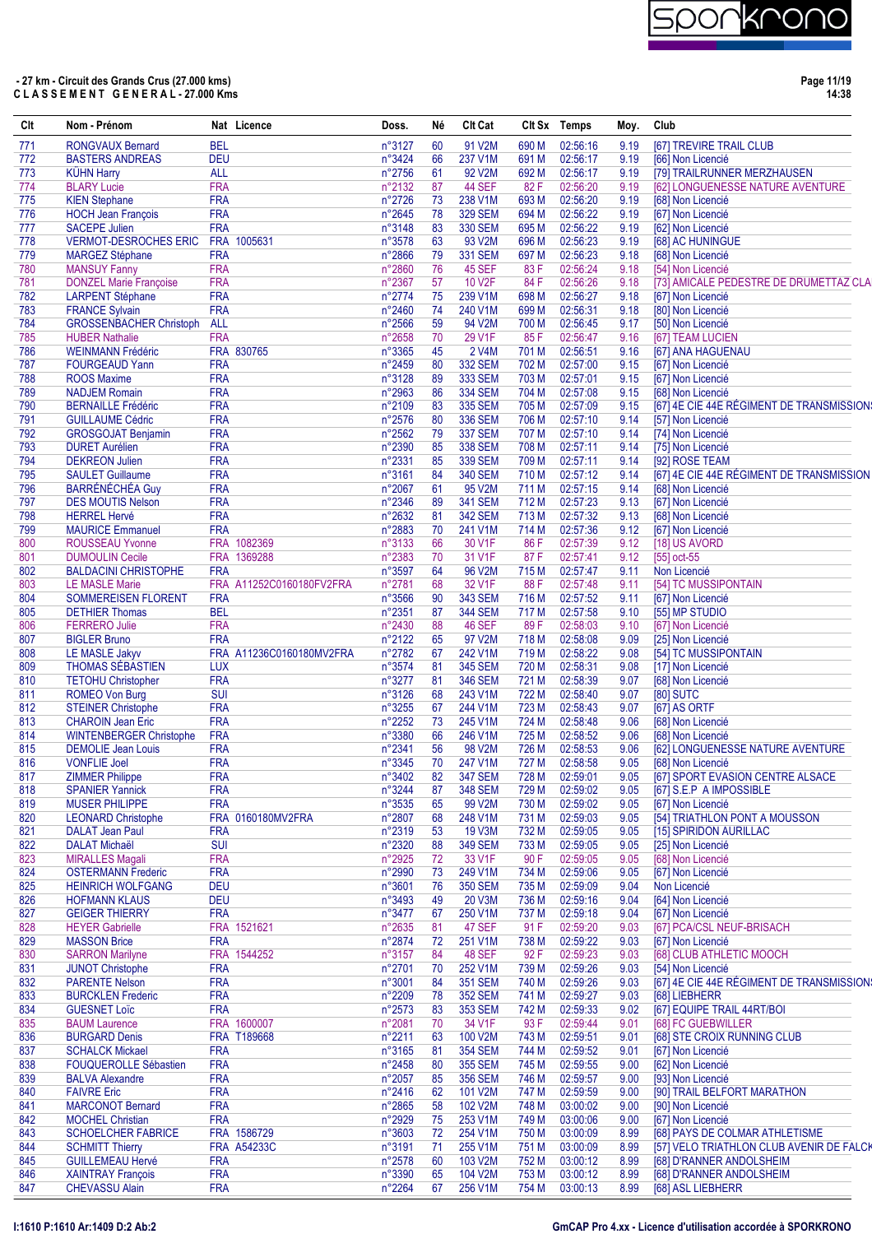

**Page 11/19 14:38**

| Clt        | Nom - Prénom                                         |                          | Nat Licence              | Doss.            | Né       | CIt Cat                          |                | Clt Sx Temps         | Moy.         | Club                                                    |
|------------|------------------------------------------------------|--------------------------|--------------------------|------------------|----------|----------------------------------|----------------|----------------------|--------------|---------------------------------------------------------|
| 771        | <b>RONGVAUX Bernard</b>                              | <b>BEL</b>               |                          | n°3127           | 60       | 91 V2M                           | 690 M          | 02:56:16             | 9.19         | [67] TREVIRE TRAIL CLUB                                 |
| 772        | <b>BASTERS ANDREAS</b>                               | <b>DEU</b>               |                          | n°3424           | 66       | 237 V1M                          | 691 M          | 02:56:17             | 9.19         | [66] Non Licencié                                       |
| 773        | <b>KÜHN Harry</b>                                    | <b>ALL</b>               |                          | n°2756           | 61       | 92 V2M                           | 692 M          | 02:56:17             | 9.19         | [79] TRAILRUNNER MERZHAUSEN                             |
| 774        | <b>BLARY Lucie</b>                                   | <b>FRA</b>               |                          | n°2132           | 87       | 44 SEF                           | 82F            | 02:56:20             | 9.19         | [62] LONGUENESSE NATURE AVENTURE                        |
| 775        | <b>KIEN Stephane</b>                                 | <b>FRA</b>               |                          | n°2726           | 73       | 238 V1M                          | 693 M          | 02:56:20             | 9.19         | [68] Non Licencié                                       |
| 776        | <b>HOCH Jean François</b>                            | <b>FRA</b>               |                          | n°2645           | 78       | <b>329 SEM</b>                   | 694 M          | 02:56:22             | 9.19         | [67] Non Licencié                                       |
| 777<br>778 | <b>SACEPE Julien</b><br><b>VERMOT-DESROCHES ERIC</b> | <b>FRA</b><br><b>FRA</b> | 1005631                  | n°3148<br>n°3578 | 83<br>63 | <b>330 SEM</b><br>93 V2M         | 695 M<br>696 M | 02:56:22<br>02:56:23 | 9.19<br>9.19 | [62] Non Licencié<br>[68] AC HUNINGUE                   |
| 779        | <b>MARGEZ Stéphane</b>                               | <b>FRA</b>               |                          | n°2866           | 79       | <b>331 SEM</b>                   | 697 M          | 02:56:23             | 9.18         | [68] Non Licencié                                       |
| 780        | <b>MANSUY Fanny</b>                                  | <b>FRA</b>               |                          | n°2860           | 76       | 45 SEF                           | 83F            | 02:56:24             | 9.18         | [54] Non Licencié                                       |
| 781        | <b>DONZEL Marie Françoise</b>                        | <b>FRA</b>               |                          | n°2367           | 57       | 10 V2F                           | 84F            | 02:56:26             | 9.18         | [73] AMICALE PEDESTRE DE DRUMETTAZ CLA                  |
| 782        | <b>LARPENT Stéphane</b>                              | <b>FRA</b>               |                          | n°2774           | 75       | 239 V1M                          | 698 M          | 02:56:27             | 9.18         | [67] Non Licencié                                       |
| 783        | <b>FRANCE Sylvain</b>                                | <b>FRA</b>               |                          | n°2460           | 74       | 240 V1M                          | 699 M          | 02:56:31             | 9.18         | [80] Non Licencié                                       |
| 784        | <b>GROSSENBACHER Christoph</b>                       | <b>ALL</b>               |                          | n°2566           | 59       | 94 V2M                           | 700 M          | 02:56:45             | 9.17         | [50] Non Licencié                                       |
| 785        | <b>HUBER Nathalie</b>                                | <b>FRA</b>               |                          | n°2658           | 70       | 29 V1F                           | 85F            | 02:56:47             | 9.16         | [67] TEAM LUCIEN                                        |
| 786        | <b>WEINMANN Frédéric</b>                             |                          | FRA 830765               | n°3365           | 45       | 2 V4M                            | 701 M          | 02:56:51             | 9.16         | [67] ANA HAGUENAU                                       |
| 787        | <b>FOURGEAUD Yann</b>                                | <b>FRA</b>               |                          | n°2459           | 80       | <b>332 SEM</b>                   | 702 M          | 02:57:00             | 9.15         | [67] Non Licencié                                       |
| 788        | <b>ROOS Maxime</b>                                   | <b>FRA</b>               |                          | n°3128           | 89       | <b>333 SEM</b>                   | 703 M          | 02:57:01             | 9.15         | [67] Non Licencié                                       |
| 789        | <b>NADJEM Romain</b>                                 | <b>FRA</b>               |                          | n°2963           | 86       | <b>334 SEM</b>                   | 704 M          | 02:57:08             | 9.15         | [68] Non Licencié                                       |
| 790        | <b>BERNAILLE Frédéric</b>                            | <b>FRA</b>               |                          | n°2109           | 83       | <b>335 SEM</b>                   | 705 M          | 02:57:09             | 9.15         | [67] 4E CIE 44E RÉGIMENT DE TRANSMISSION:               |
| 791        | <b>GUILLAUME Cédric</b>                              | <b>FRA</b>               |                          | n°2576           | 80       | <b>336 SEM</b>                   | 706 M          | 02:57:10             | 9.14         | [57] Non Licencié                                       |
| 792        | <b>GROSGOJAT Benjamin</b>                            | <b>FRA</b>               |                          | n°2562           | 79       | <b>337 SEM</b>                   | 707 M          | 02:57:10             | 9.14         | [74] Non Licencié                                       |
| 793        | <b>DURET Aurélien</b>                                | <b>FRA</b>               |                          | n°2390           | 85       | <b>338 SEM</b>                   | 708 M          | 02:57:11             | 9.14         | [75] Non Licencié                                       |
| 794        | <b>DEKREON Julien</b>                                | <b>FRA</b>               |                          | n°2331           | 85       | <b>339 SEM</b>                   | 709 M          | 02:57:11             | 9.14         | [92] ROSE TEAM                                          |
| 795        | <b>SAULET Guillaume</b>                              | <b>FRA</b>               |                          | n°3161           | 84       | <b>340 SEM</b>                   | 710 M          | 02:57:12             | 9.14         | [67] 4E CIE 44E RÉGIMENT DE TRANSMISSION                |
| 796        | <b>BARRÉNÉCHÉA Guy</b>                               | <b>FRA</b>               |                          | n°2067           | 61       | 95 V2M                           | 711 M          | 02:57:15             | 9.14         | [68] Non Licencié                                       |
| 797        | <b>DES MOUTIS Nelson</b>                             | <b>FRA</b><br><b>FRA</b> |                          | n°2346<br>n°2632 | 89       | <b>341 SEM</b><br><b>342 SEM</b> | 712 M<br>713 M | 02:57:23<br>02:57:32 | 9.13         | [67] Non Licencié                                       |
| 798<br>799 | <b>HERREL Hervé</b><br><b>MAURICE Emmanuel</b>       | <b>FRA</b>               |                          | n°2883           | 81<br>70 | 241 V1M                          | 714 M          | 02:57:36             | 9.13<br>9.12 | [68] Non Licencié<br>[67] Non Licencié                  |
| 800        | <b>ROUSSEAU Yvonne</b>                               |                          | FRA 1082369              | n°3133           | 66       | 30 V1F                           | 86 F           | 02:57:39             | 9.12         | [18] US AVORD                                           |
| 801        | <b>DUMOULIN Cecile</b>                               |                          | FRA 1369288              | n°2383           | 70       | 31 V1F                           | 87 F           | 02:57:41             | 9.12         | [55] oct-55                                             |
| 802        | <b>BALDACINI CHRISTOPHE</b>                          | <b>FRA</b>               |                          | n°3597           | 64       | 96 V2M                           | 715 M          | 02:57:47             | 9.11         | Non Licencié                                            |
| 803        | <b>LE MASLE Marie</b>                                |                          | FRA A11252C0160180FV2FRA | n°2781           | 68       | 32 V1F                           | 88 F           | 02:57:48             | 9.11         | [54] TC MUSSIPONTAIN                                    |
| 804        | <b>SOMMEREISEN FLORENT</b>                           | <b>FRA</b>               |                          | n°3566           | 90       | <b>343 SEM</b>                   | 716 M          | 02:57:52             | 9.11         | [67] Non Licencié                                       |
| 805        | <b>DETHIER Thomas</b>                                | <b>BEL</b>               |                          | n°2351           | 87       | <b>344 SEM</b>                   | 717 M          | 02:57:58             | 9.10         | [55] MP STUDIO                                          |
| 806        | <b>FERRERO Julie</b>                                 | <b>FRA</b>               |                          | n°2430           | 88       | 46 SEF                           | 89F            | 02:58:03             | 9.10         | [67] Non Licencié                                       |
| 807        | <b>BIGLER Bruno</b>                                  | <b>FRA</b>               |                          | n°2122           | 65       | 97 V2M                           | 718 M          | 02:58:08             | 9.09         | [25] Non Licencié                                       |
| 808        | LE MASLE Jakyv                                       |                          | FRA A11236C0160180MV2FRA | n°2782           | 67       | 242 V1M                          | 719 M          | 02:58:22             | 9.08         | [54] TC MUSSIPONTAIN                                    |
| 809        | THOMAS SÉBASTIEN                                     | <b>LUX</b>               |                          | n°3574           | 81       | <b>345 SEM</b>                   | 720 M          | 02:58:31             | 9.08         | [17] Non Licencié                                       |
| 810        | <b>TETOHU Christopher</b>                            | <b>FRA</b>               |                          | n°3277           | 81       | <b>346 SEM</b>                   | 721 M          | 02:58:39             | 9.07         | [68] Non Licencié                                       |
| 811        | <b>ROMEO Von Burg</b>                                | <b>SUI</b>               |                          | $n^{\circ}3126$  | 68       | 243 V1M                          | 722 M          | 02:58:40             | 9.07         | <b>[80] SUTC</b>                                        |
| 812        | <b>STEINER Christophe</b>                            | <b>FRA</b>               |                          | n°3255           | 67       | 244 V1M                          | 723 M          | 02:58:43             | 9.07         | [67] AS ORTF                                            |
| 813        | <b>CHAROIN Jean Eric</b>                             | <b>FRA</b>               |                          | n°2252           | 73       | 245 V1M                          | 724 M          | 02:58:48             | 9.06         | [68] Non Licencié                                       |
| 814        | <b>WINTENBERGER Christophe</b>                       | <b>FRA</b>               |                          | n°3380           | 66       | 246 V1M                          | 725 M          | 02:58:52             | 9.06         | [68] Non Licencié                                       |
| 815        | <b>DEMOLIE</b> Jean Louis                            | <b>FRA</b>               |                          | n°2341           | 56       | 98 V2M                           | 726 M          | 02:58:53             | 9.06         | [62] LONGUENESSE NATURE AVENTURE                        |
| 816        | <b>VONFLIE Joel</b>                                  | <b>FRA</b>               |                          | n°3345           | 70       | 247 V1M                          | 727 M          | 02:58:58             | 9.05         | [68] Non Licencié                                       |
| 817        | <b>ZIMMER Philippe</b>                               | <b>FRA</b>               |                          | n°3402           | 82       | <b>347 SEM</b>                   | 728 M          | 02:59:01             | 9.05         | [67] SPORT EVASION CENTRE ALSACE                        |
| 818        | <b>SPANIER Yannick</b>                               | <b>FRA</b>               |                          | n°3244           | 87       | <b>348 SEM</b>                   | 729 M          | 02:59:02             | 9.05         | [67] S.E.P A IMPOSSIBLE                                 |
| 819        | <b>MUSER PHILIPPE</b>                                | <b>FRA</b>               |                          | n°3535           | 65       | 99 V2M                           | 730 M          | 02:59:02             | 9.05         | [67] Non Licencié                                       |
| 820<br>821 | <b>LEONARD Christophe</b><br><b>DALAT Jean Paul</b>  | <b>FRA</b>               | FRA 0160180MV2FRA        | n°2807<br>n°2319 | 68<br>53 | 248 V1M<br>19 V3M                | 731 M<br>732 M | 02:59:03<br>02:59:05 | 9.05<br>9.05 | [54] TRIATHLON PONT A MOUSSON<br>[15] SPIRIDON AURILLAC |
| 822        | <b>DALAT Michaël</b>                                 | <b>SUI</b>               |                          | n°2320           | 88       | <b>349 SEM</b>                   | 733 M          | 02:59:05             | 9.05         | [25] Non Licencié                                       |
| 823        | <b>MIRALLES Magali</b>                               | <b>FRA</b>               |                          | n°2925           | 72       | 33 V1F                           | 90 F           | 02:59:05             | 9.05         | [68] Non Licencié                                       |
| 824        | <b>OSTERMANN Frederic</b>                            | <b>FRA</b>               |                          | n°2990           | 73       | 249 V1M                          | 734 M          | 02:59:06             | 9.05         | [67] Non Licencié                                       |
| 825        | <b>HEINRICH WOLFGANG</b>                             | <b>DEU</b>               |                          | n°3601           | 76       | <b>350 SEM</b>                   | 735 M          | 02:59:09             | 9.04         | Non Licencié                                            |
| 826        | <b>HOFMANN KLAUS</b>                                 | <b>DEU</b>               |                          | n°3493           | 49       | 20 V3M                           | 736 M          | 02:59:16             | 9.04         | [64] Non Licencié                                       |
| 827        | <b>GEIGER THIERRY</b>                                | <b>FRA</b>               |                          | n°3477           | 67       | 250 V1M                          | 737 M          | 02:59:18             | 9.04         | [67] Non Licencié                                       |
| 828        | <b>HEYER Gabrielle</b>                               |                          | FRA 1521621              | n°2635           | 81       | 47 SEF                           | 91 F           | 02:59:20             | 9.03         | [67] PCA/CSL NEUF-BRISACH                               |
| 829        | <b>MASSON Brice</b>                                  | <b>FRA</b>               |                          | n°2874           | 72       | 251 V1M                          | 738 M          | 02:59:22             | 9.03         | [67] Non Licencié                                       |
| 830        | <b>SARRON Marilyne</b>                               |                          | FRA 1544252              | n°3157           | 84       | 48 SEF                           | 92 F           | 02:59:23             | 9.03         | [68] CLUB ATHLETIC MOOCH                                |
| 831        | <b>JUNOT Christophe</b>                              | <b>FRA</b>               |                          | n°2701           | 70       | 252 V1M                          | 739 M          | 02:59:26             | 9.03         | [54] Non Licencié                                       |
| 832        | <b>PARENTE Nelson</b>                                | <b>FRA</b>               |                          | n°3001           | 84       | <b>351 SEM</b>                   | 740 M          | 02:59:26             | 9.03         | [67] 4E CIE 44E RÉGIMENT DE TRANSMISSION:               |
| 833        | <b>BURCKLEN Frederic</b>                             | <b>FRA</b>               |                          | n°2209           | 78       | <b>352 SEM</b>                   | 741 M          | 02:59:27             | 9.03         | [68] LIEBHERR                                           |
| 834        | <b>GUESNET Loïc</b>                                  | <b>FRA</b>               |                          | $n^{\circ}2573$  | 83       | 353 SEM                          | 742 M          | 02:59:33             | 9.02         | [67] EQUIPE TRAIL 44RT/BOI                              |
| 835        | <b>BAUM Laurence</b>                                 |                          | FRA 1600007              | n°2081           | 70       | 34 V1F                           | 93 F           | 02:59:44             | 9.01         | [68] FC GUEBWILLER                                      |
| 836        | <b>BURGARD Denis</b>                                 |                          | FRA T189668              | n°2211           | 63       | 100 V2M                          | 743 M          | 02:59:51             | 9.01         | [68] STE CROIX RUNNING CLUB                             |
| 837        | <b>SCHALCK Mickael</b>                               | <b>FRA</b>               |                          | n°3165           | 81       | <b>354 SEM</b>                   | 744 M          | 02:59:52             | 9.01         | [67] Non Licencié                                       |
| 838        | <b>FOUQUEROLLE Sébastien</b>                         | <b>FRA</b>               |                          | n°2458           | 80       | <b>355 SEM</b>                   | 745 M          | 02:59:55             | 9.00         | [62] Non Licencié                                       |
| 839<br>840 | <b>BALVA Alexandre</b><br><b>FAIVRE Eric</b>         | <b>FRA</b><br><b>FRA</b> |                          | n°2057<br>n°2416 | 85       | <b>356 SEM</b><br>101 V2M        | 746 M<br>747 M | 02:59:57<br>02:59:59 | 9.00         | [93] Non Licencié<br>[90] TRAIL BELFORT MARATHON        |
| 841        | <b>MARCONOT Bernard</b>                              | <b>FRA</b>               |                          | n°2865           | 62<br>58 | 102 V2M                          | 748 M          | 03:00:02             | 9.00<br>9.00 | [90] Non Licencié                                       |
| 842        | <b>MOCHEL Christian</b>                              | <b>FRA</b>               |                          | n°2929           | 75       | 253 V1M                          | 749 M          | 03:00:06             | 9.00         | [67] Non Licencié                                       |
| 843        | <b>SCHOELCHER FABRICE</b>                            |                          | FRA 1586729              | n°3603           | 72       | 254 V1M                          | 750 M          | 03:00:09             | 8.99         | [68] PAYS DE COLMAR ATHLETISME                          |
| 844        | <b>SCHMITT Thierry</b>                               |                          | <b>FRA A54233C</b>       | n°3191           | 71       | 255 V1M                          | 751 M          | 03:00:09             | 8.99         | [57] VELO TRIATHLON CLUB AVENIR DE FALCK                |
| 845        | <b>GUILLEMEAU Hervé</b>                              | <b>FRA</b>               |                          | $n^{\circ}2578$  | 60       | 103 V2M                          | 752 M          | 03:00:12             | 8.99         | [68] D'RANNER ANDOLSHEIM                                |
| 846        | <b>XAINTRAY François</b>                             | <b>FRA</b>               |                          | n°3390           | 65       | 104 V2M                          | 753 M          | 03:00:12             | 8.99         | [68] D'RANNER ANDOLSHEIM                                |
| 847        | <b>CHEVASSU Alain</b>                                | <b>FRA</b>               |                          | n°2264           | 67       | 256 V1M                          | 754 M          | 03:00:13             | 8.99         | [68] ASL LIEBHERR                                       |
|            |                                                      |                          |                          |                  |          |                                  |                |                      |              |                                                         |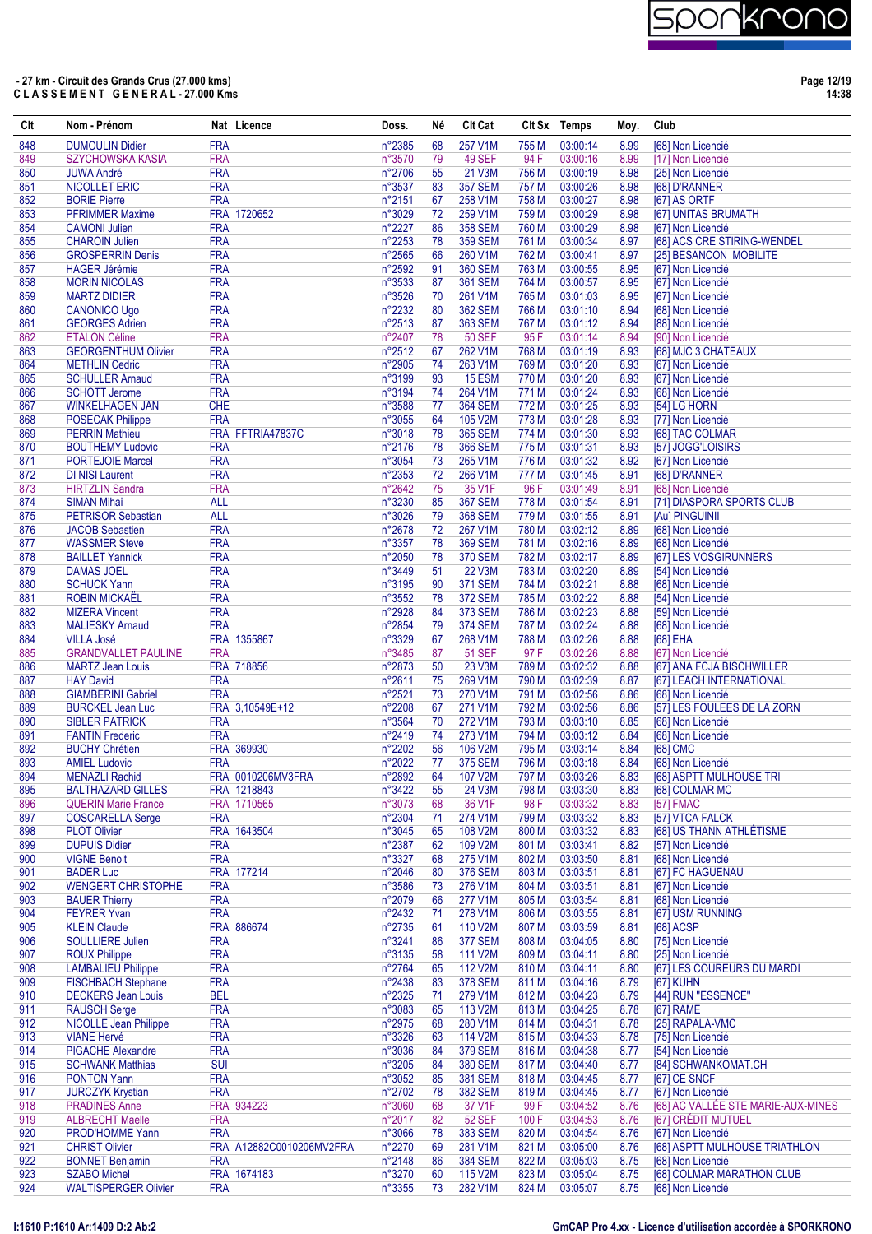

**Page 12/19 14:38**

| Clt        | Nom - Prénom                                      |                          | Nat Licence              | Doss.            | Né       | <b>CIt Cat</b>                   |                | Clt Sx Temps         | Moy.         | Club                                            |
|------------|---------------------------------------------------|--------------------------|--------------------------|------------------|----------|----------------------------------|----------------|----------------------|--------------|-------------------------------------------------|
| 848        | <b>DUMOULIN Didier</b>                            | <b>FRA</b>               |                          | n°2385           | 68       | 257 V1M                          | 755 M          | 03:00:14             | 8.99         | [68] Non Licencié                               |
| 849        | <b>SZYCHOWSKA KASIA</b>                           | <b>FRA</b>               |                          | n°3570           | 79       | <b>49 SEF</b>                    | 94 F           | 03:00:16             | 8.99         | [17] Non Licencié                               |
| 850        | <b>JUWA André</b>                                 | <b>FRA</b>               |                          | n°2706           | 55       | 21 V3M                           | 756 M          | 03:00:19             | 8.98         | [25] Non Licencié                               |
| 851<br>852 | NICOLLET ERIC<br><b>BORIE Pierre</b>              | <b>FRA</b><br><b>FRA</b> |                          | n°3537<br>n°2151 | 83<br>67 | <b>357 SEM</b><br>258 V1M        | 757 M<br>758 M | 03:00:26<br>03:00:27 | 8.98<br>8.98 | [68] D'RANNER<br>[67] AS ORTF                   |
| 853        | <b>PFRIMMER Maxime</b>                            |                          | FRA 1720652              | n°3029           | 72       | 259 V1M                          | 759 M          | 03:00:29             | 8.98         | [67] UNITAS BRUMATH                             |
| 854        | <b>CAMONI Julien</b>                              | <b>FRA</b>               |                          | n°2227           | 86       | <b>358 SEM</b>                   | 760 M          | 03:00:29             | 8.98         | [67] Non Licencié                               |
| 855        | <b>CHAROIN Julien</b>                             | <b>FRA</b>               |                          | n°2253           | 78       | <b>359 SEM</b>                   | 761 M          | 03:00:34             | 8.97         | [68] ACS CRE STIRING-WENDEL                     |
| 856        | <b>GROSPERRIN Denis</b>                           | <b>FRA</b>               |                          | n°2565           | 66       | 260 V1M                          | 762 M          | 03:00:41             | 8.97         | [25] BESANCON MOBILITE                          |
| 857        | <b>HAGER</b> Jérémie                              | <b>FRA</b>               |                          | n°2592           | 91       | <b>360 SEM</b>                   | 763 M          | 03:00:55             | 8.95         | [67] Non Licencié                               |
| 858<br>859 | <b>MORIN NICOLAS</b><br><b>MARTZ DIDIER</b>       | <b>FRA</b><br><b>FRA</b> |                          | n°3533           | 87       | <b>361 SEM</b><br>261 V1M        | 764 M          | 03:00:57<br>03:01:03 | 8.95<br>8.95 | [67] Non Licencié                               |
| 860        | <b>CANONICO Ugo</b>                               | <b>FRA</b>               |                          | n°3526<br>n°2232 | 70<br>80 | <b>362 SEM</b>                   | 765 M<br>766 M | 03:01:10             | 8.94         | [67] Non Licencié<br>[68] Non Licencié          |
| 861        | <b>GEORGES Adrien</b>                             | <b>FRA</b>               |                          | n°2513           | 87       | <b>363 SEM</b>                   | 767 M          | 03:01:12             | 8.94         | [88] Non Licencié                               |
| 862        | <b>ETALON Céline</b>                              | <b>FRA</b>               |                          | n°2407           | 78       | <b>50 SEF</b>                    | 95F            | 03:01:14             | 8.94         | [90] Non Licencié                               |
| 863        | <b>GEORGENTHUM Olivier</b>                        | <b>FRA</b>               |                          | n°2512           | 67       | 262 V1M                          | 768 M          | 03:01:19             | 8.93         | [68] MJC 3 CHATEAUX                             |
| 864        | <b>METHLIN Cedric</b>                             | <b>FRA</b>               |                          | n°2905           | 74       | 263 V1M                          | 769 M          | 03:01:20             | 8.93         | [67] Non Licencié                               |
| 865        | <b>SCHULLER Amaud</b>                             | <b>FRA</b>               |                          | n°3199           | 93       | <b>15 ESM</b>                    | 770 M          | 03:01:20             | 8.93         | [67] Non Licencié                               |
| 866<br>867 | <b>SCHOTT Jerome</b><br><b>WINKELHAGEN JAN</b>    | <b>FRA</b><br><b>CHE</b> |                          | n°3194<br>n°3588 | 74<br>77 | 264 V1M<br><b>364 SEM</b>        | 771 M<br>772 M | 03:01:24<br>03:01:25 | 8.93<br>8.93 | [68] Non Licencié<br>[54] LG HORN               |
| 868        | <b>POSECAK Philippe</b>                           | <b>FRA</b>               |                          | n°3055           | 64       | 105 V2M                          | 773 M          | 03:01:28             | 8.93         | [77] Non Licencié                               |
| 869        | <b>PERRIN Mathieu</b>                             |                          | FRA FFTRIA47837C         | n°3018           | 78       | <b>365 SEM</b>                   | 774 M          | 03:01:30             | 8.93         | [68] TAC COLMAR                                 |
| 870        | <b>BOUTHEMY Ludovic</b>                           | <b>FRA</b>               |                          | n°2176           | 78       | <b>366 SEM</b>                   | 775M           | 03:01:31             | 8.93         | [57] JOGG'LOISIRS                               |
| 871        | <b>PORTEJOIE Marcel</b>                           | <b>FRA</b>               |                          | n°3054           | 73       | 265 V1M                          | 776 M          | 03:01:32             | 8.92         | [67] Non Licencié                               |
| 872        | <b>DI NISI Laurent</b>                            | <b>FRA</b>               |                          | n°2353           | 72       | 266 V1M                          | 777 M          | 03:01:45             | 8.91         | [68] D'RANNER                                   |
| 873        | <b>HIRTZLIN Sandra</b>                            | <b>FRA</b>               |                          | n°2642           | 75       | 35 V1F                           | 96 F           | 03:01:49             | 8.91         | [68] Non Licencié                               |
| 874        | <b>SIMAN Mihai</b>                                | <b>ALL</b>               |                          | n°3230           | 85       | <b>367 SEM</b>                   | 778 M          | 03:01:54             | 8.91         | [71] DIASPORA SPORTS CLUB                       |
| 875        | <b>PETRISOR Sebastian</b>                         | <b>ALL</b><br><b>FRA</b> |                          | n°3026           | 79       | <b>368 SEM</b>                   | 779 M          | 03:01:55             | 8.91         | [Au] PINGUINII<br>[68] Non Licencié             |
| 876<br>877 | <b>JACOB Sebastien</b><br><b>WASSMER Steve</b>    | <b>FRA</b>               |                          | n°2678<br>n°3357 | 72<br>78 | 267 V1M<br><b>369 SEM</b>        | 780 M<br>781 M | 03:02:12<br>03:02:16 | 8.89<br>8.89 | [68] Non Licencié                               |
| 878        | <b>BAILLET Yannick</b>                            | <b>FRA</b>               |                          | n°2050           | 78       | <b>370 SEM</b>                   | 782 M          | 03:02:17             | 8.89         | [67] LES VOSGIRUNNERS                           |
| 879        | <b>DAMAS JOEL</b>                                 | <b>FRA</b>               |                          | n°3449           | 51       | <b>22 V3M</b>                    | 783 M          | 03:02:20             | 8.89         | [54] Non Licencié                               |
| 880        | <b>SCHUCK Yann</b>                                | <b>FRA</b>               |                          | n°3195           | 90       | <b>371 SEM</b>                   | 784 M          | 03:02:21             | 8.88         | [68] Non Licencié                               |
| 881        | <b>ROBIN MICKAËL</b>                              | <b>FRA</b>               |                          | n°3552           | 78       | <b>372 SEM</b>                   | 785 M          | 03:02:22             | 8.88         | [54] Non Licencié                               |
| 882        | <b>MIZERA Vincent</b>                             | <b>FRA</b>               |                          | n°2928           | 84       | <b>373 SEM</b>                   | 786 M          | 03:02:23             | 8.88         | [59] Non Licencié                               |
| 883        | <b>MALIESKY Arnaud</b>                            | <b>FRA</b>               |                          | n°2854           | 79       | <b>374 SEM</b>                   | 787 M          | 03:02:24             | 8.88         | [68] Non Licencié                               |
| 884<br>885 | <b>VILLA José</b><br><b>GRANDVALLET PAULINE</b>   | <b>FRA</b>               | FRA 1355867              | n°3329<br>n°3485 | 67<br>87 | 268 V1M<br><b>51 SEF</b>         | 788 M<br>97 F  | 03:02:26<br>03:02:26 | 8.88<br>8.88 | [68] EHA<br>[67] Non Licencié                   |
| 886        | <b>MARTZ Jean Louis</b>                           |                          | FRA 718856               | n°2873           | 50       | 23 V3M                           | 789 M          | 03:02:32             | 8.88         | [67] ANA FCJA BISCHWILLER                       |
| 887        | <b>HAY David</b>                                  | <b>FRA</b>               |                          | n°2611           | 75       | 269 V1M                          | 790 M          | 03:02:39             | 8.87         | [67] LEACH INTERNATIONAL                        |
| 888        | <b>GIAMBERINI Gabriel</b>                         | <b>FRA</b>               |                          | n°2521           | 73       | 270 V1M                          | 791 M          | 03:02:56             | 8.86         | [68] Non Licencié                               |
| 889        | <b>BURCKEL Jean Luc</b>                           |                          | FRA 3,10549E+12          | n°2208           | 67       | 271 V1M                          | 792 M          | 03:02:56             | 8.86         | [57] LES FOULEES DE LA ZORN                     |
| 890        | <b>SIBLER PATRICK</b>                             | <b>FRA</b>               |                          | n°3564           | 70       | 272 V1M                          | 793 M          | 03:03:10             | 8.85         | [68] Non Licencié                               |
| 891        | <b>FANTIN Frederic</b>                            | <b>FRA</b>               |                          | n°2419           | 74       | 273 V1M                          | 794 M          | 03:03:12             | 8.84         | [68] Non Licencié                               |
| 892<br>893 | <b>BUCHY Chrétien</b><br><b>AMIEL Ludovic</b>     | <b>FRA</b>               | FRA 369930               | n°2202<br>n°2022 | 56<br>77 | 106 V2M<br><b>375 SEM</b>        | 795 M<br>796 M | 03:03:14<br>03:03:18 | 8.84<br>8.84 | [68] CMC<br>[68] Non Licencié                   |
| 894        | <b>MENAZLI Rachid</b>                             |                          | FRA 0010206MV3FRA        | n°2892           | 64       | 107 V2M                          | 797 M          | 03:03:26             | 8.83         | [68] ASPTT MULHOUSE TRI                         |
| 895        | <b>BALTHAZARD GILLES</b>                          |                          | FRA 1218843              | n°3422           | 55       | 24 V3M                           | 798 M          | 03:03:30             | 8.83         | [68] COLMAR MC                                  |
| 896        | <b>QUERIN Marie France</b>                        |                          | FRA 1710565              | n°3073           | 68       | 36 V1F                           | 98 F           | 03:03:32             | 8.83         | [57] FMAC                                       |
| 897        | <b>COSCARELLA Serge</b>                           | <b>FRA</b>               |                          | n°2304           | 71       | 274 V1M                          | 799 M          | 03:03:32             | 8.83         | [57] VTCA FALCK                                 |
| 898        | <b>PLOT Olivier</b>                               |                          | FRA 1643504              | n°3045           | 65       | 108 V2M                          | 800 M          | 03:03:32             | 8.83         | [68] US THANN ATHLÉTISME                        |
| 899        | <b>DUPUIS Didier</b>                              | <b>FRA</b>               |                          | n°2387           | 62       | 109 V2M                          | 801 M          | 03:03:41             | 8.82         | [57] Non Licencié                               |
| 900<br>901 | <b>VIGNE Benoit</b><br><b>BADER Luc</b>           | <b>FRA</b>               | FRA 177214               | n°3327<br>n°2046 | 68<br>80 | 275 V1M<br><b>376 SEM</b>        | 802 M<br>803 M | 03:03:50<br>03:03:51 | 8.81<br>8.81 | [68] Non Licencié<br>[67] FC HAGUENAU           |
| 902        | <b>WENGERT CHRISTOPHE</b>                         | <b>FRA</b>               |                          | n°3586           | 73       | 276 V1M                          | 804 M          | 03:03:51             | 8.81         | [67] Non Licencié                               |
| 903        | <b>BAUER Thierry</b>                              | <b>FRA</b>               |                          | n°2079           | 66       | 277 V1M                          | 805 M          | 03:03:54             | 8.81         | [68] Non Licencié                               |
| 904        | <b>FEYRER Yvan</b>                                | <b>FRA</b>               |                          | n°2432           | 71       | 278 V1M                          | 806 M          | 03:03:55             | 8.81         | [67] USM RUNNING                                |
| 905        | <b>KLEIN Claude</b>                               |                          | FRA 886674               | n°2735           | 61       | 110 V2M                          | 807 M          | 03:03:59             | 8.81         | [68] ACSP                                       |
| 906        | <b>SOULLIERE Julien</b>                           | <b>FRA</b>               |                          | n°3241           | 86       | <b>377 SEM</b>                   | 808 M          | 03:04:05             | 8.80         | [75] Non Licencié                               |
| 907<br>908 | <b>ROUX Philippe</b><br><b>LAMBALIEU Philippe</b> | <b>FRA</b><br><b>FRA</b> |                          | n°3135<br>n°2764 | 58       | 111 V2M<br>112 V2M               | 809 M<br>810 M | 03:04:11<br>03:04:11 | 8.80<br>8.80 | [25] Non Licencié<br>[67] LES COUREURS DU MARDI |
| 909        | <b>FISCHBACH Stephane</b>                         | <b>FRA</b>               |                          | n°2438           | 65<br>83 | <b>378 SEM</b>                   | 811 M          | 03:04:16             | 8.79         | [67] KUHN                                       |
| 910        | <b>DECKERS Jean Louis</b>                         | <b>BEL</b>               |                          | n°2325           | 71       | 279 V1M                          | 812 M          | 03:04:23             | 8.79         | [44] RUN "ESSENCE"                              |
| 911        | <b>RAUSCH Serge</b>                               | <b>FRA</b>               |                          | n°3083           | 65       | 113 V2M                          | 813 M          | 03:04:25             | 8.78         | [67] RAME                                       |
| 912        | <b>NICOLLE Jean Philippe</b>                      | <b>FRA</b>               |                          | n°2975           | 68       | 280 V1M                          | 814 M          | 03:04:31             | 8.78         | [25] RAPALA-VMC                                 |
| 913        | <b>VIANE Hervé</b>                                | <b>FRA</b>               |                          | n°3326           | 63       | 114 V2M                          | 815 M          | 03:04:33             | 8.78         | [75] Non Licencié                               |
| 914        | <b>PIGACHE Alexandre</b>                          | <b>FRA</b>               |                          | n°3036           | 84       | <b>379 SEM</b>                   | 816 M          | 03:04:38             | 8.77         | [54] Non Licencié                               |
| 915        | <b>SCHWANK Matthias</b>                           | <b>SUI</b>               |                          | n°3205           | 84       | <b>380 SEM</b>                   | 817 M          | 03:04:40             | 8.77         | [84] SCHWANKOMAT.CH                             |
| 916<br>917 | <b>PONTON Yann</b><br><b>JURCZYK Krystian</b>     | <b>FRA</b><br><b>FRA</b> |                          | n°3052<br>n°2702 | 85<br>78 | <b>381 SEM</b><br><b>382 SEM</b> | 818 M<br>819 M | 03:04:45<br>03:04:45 | 8.77<br>8.77 | [67] CE SNCF<br>[67] Non Licencié               |
| 918        | <b>PRADINES Anne</b>                              |                          | FRA 934223               | n°3060           | 68       | 37 V1F                           | 99 F           | 03:04:52             | 8.76         | [68] AC VALLÉE STE MARIE-AUX-MINES              |
| 919        | <b>ALBRECHT Maelle</b>                            | <b>FRA</b>               |                          | n°2017           | 82       | <b>52 SEF</b>                    | 100 F          | 03:04:53             | 8.76         | [67] CRÉDIT MUTUEL                              |
| 920        | PROD'HOMME Yann                                   | <b>FRA</b>               |                          | n°3066           | 78       | <b>383 SEM</b>                   | 820 M          | 03:04:54             | 8.76         | [67] Non Licencié                               |
| 921        | <b>CHRIST Olivier</b>                             |                          | FRA A12882C0010206MV2FRA | n°2270           | 69       | 281 V1M                          | 821 M          | 03:05:00             | 8.76         | [68] ASPTT MULHOUSE TRIATHLON                   |
| 922        | <b>BONNET Benjamin</b>                            | <b>FRA</b>               |                          | n°2148           | 86       | <b>384 SEM</b>                   | 822 M          | 03:05:03             | 8.75         | [68] Non Licencié                               |
| 923        | <b>SZABO Michel</b>                               |                          | FRA 1674183              | n°3270           | 60       | 115 V2M                          | 823 M          | 03:05:04             | 8.75         | [68] COLMAR MARATHON CLUB                       |
| 924        | <b>WALTISPERGER Olivier</b>                       | <b>FRA</b>               |                          | n°3355           | 73       | 282 V1M                          | 824 M          | 03:05:07             | 8.75         | [68] Non Licencié                               |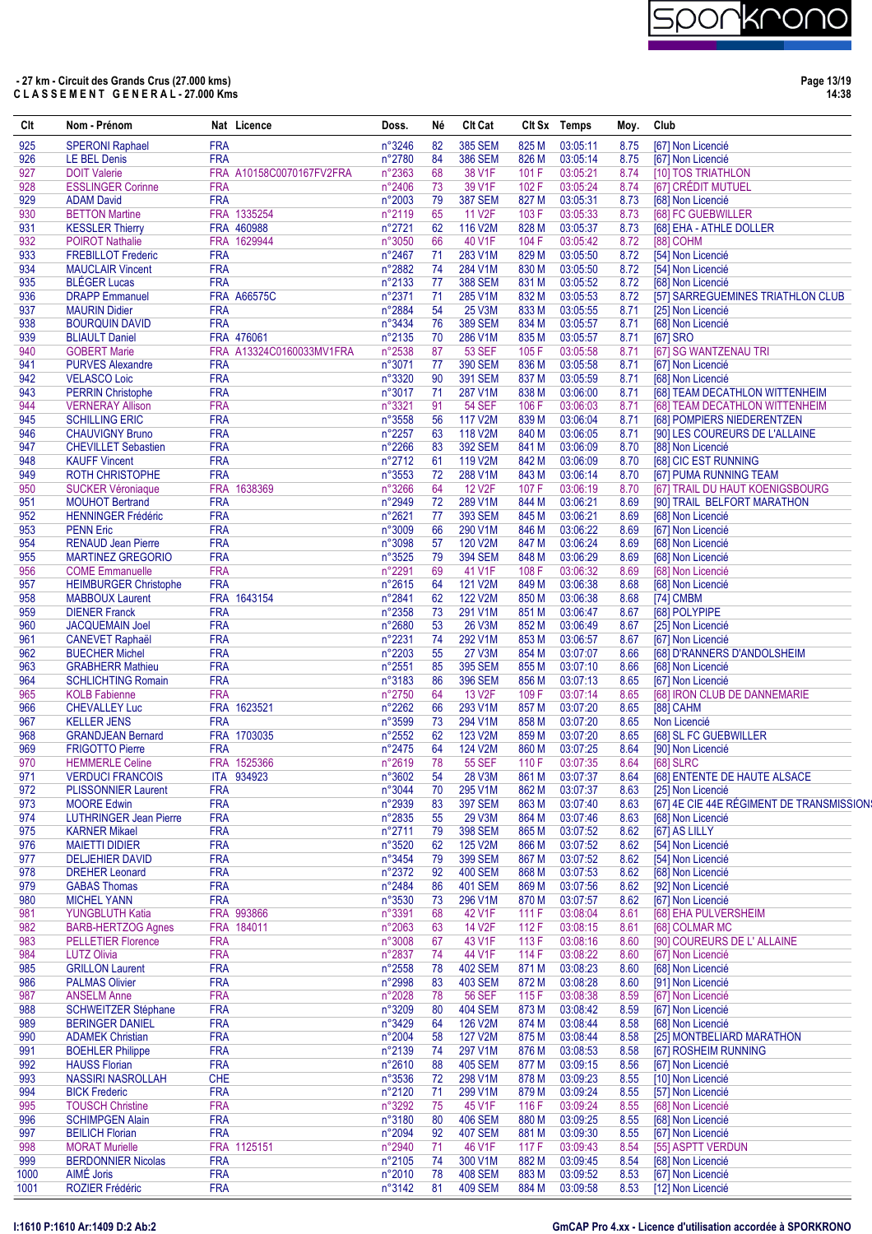# )

| Clt        | Nom - Prénom                                           |                          | Nat Licence              | Doss.            | Né       | Clt Cat                         |                | Clt Sx Temps         | Moy.         | Club                                                |
|------------|--------------------------------------------------------|--------------------------|--------------------------|------------------|----------|---------------------------------|----------------|----------------------|--------------|-----------------------------------------------------|
| 925        | <b>SPERONI Raphael</b>                                 | <b>FRA</b>               |                          | n°3246           | 82       | <b>385 SEM</b>                  | 825 M          | 03:05:11             | 8.75         | [67] Non Licencié                                   |
| 926        | <b>LE BEL Denis</b>                                    | <b>FRA</b>               |                          | n°2780           | 84       | <b>386 SEM</b>                  | 826 M          | 03:05:14             | 8.75         | [67] Non Licencié                                   |
| 927        | <b>DOIT Valerie</b>                                    |                          | FRA A10158C0070167FV2FRA | n°2363           | 68       | 38 V1F                          | 101 F          | 03:05:21             | 8.74         | [10] TOS TRIATHLON                                  |
| 928<br>929 | <b>ESSLINGER Corinne</b><br><b>ADAM David</b>          | <b>FRA</b><br><b>FRA</b> |                          | n°2406<br>n°2003 | 73<br>79 | 39 V1F<br><b>387 SEM</b>        | 102F<br>827 M  | 03:05:24<br>03:05:31 | 8.74<br>8.73 | [67] CRÉDIT MUTUEL<br>[68] Non Licencié             |
| 930        | <b>BETTON Martine</b>                                  |                          | FRA 1335254              | n°2119           | 65       | 11 V <sub>2</sub> F             | 103 F          | 03:05:33             | 8.73         | [68] FC GUEBWILLER                                  |
| 931        | <b>KESSLER Thierry</b>                                 |                          | FRA 460988               | n°2721           | 62       | 116 V2M                         | 828 M          | 03:05:37             | 8.73         | [68] EHA - ATHLE DOLLER                             |
| 932        | <b>POIROT Nathalie</b>                                 |                          | FRA 1629944              | n°3050           | 66       | 40 V1F                          | 104 F          | 03:05:42             | 8.72         | [88] COHM                                           |
| 933        | <b>FREBILLOT Frederic</b>                              | <b>FRA</b>               |                          | n°2467           | 71       | 283 V1M                         | 829 M          | 03:05:50             | 8.72         | [54] Non Licencié                                   |
| 934        | <b>MAUCLAIR Vincent</b>                                | <b>FRA</b>               |                          | n°2882           | 74       | 284 V1M                         | 830 M          | 03:05:50             | 8.72         | [54] Non Licencié                                   |
| 935        | <b>BLÉGER Lucas</b>                                    | <b>FRA</b>               |                          | n°2133           | 77       | <b>388 SEM</b>                  | 831 M          | 03:05:52             | 8.72         | [68] Non Licencié                                   |
| 936        | <b>DRAPP Emmanuel</b>                                  |                          | <b>FRA A66575C</b>       | n°2371           | 71       | 285 V1M                         | 832 M          | 03:05:53             | 8.72         | [57] SARREGUEMINES TRIATHLON CLUB                   |
| 937<br>938 | <b>MAURIN Didier</b><br><b>BOURQUIN DAVID</b>          | <b>FRA</b><br><b>FRA</b> |                          | n°2884<br>n°3434 | 54<br>76 | <b>25 V3M</b><br><b>389 SEM</b> | 833 M<br>834 M | 03:05:55<br>03:05:57 | 8.71<br>8.71 | [25] Non Licencié<br>[68] Non Licencié              |
| 939        | <b>BLIAULT Daniel</b>                                  |                          | FRA 476061               | n°2135           | 70       | 286 V1M                         | 835 M          | 03:05:57             | 8.71         | [67] SRO                                            |
| 940        | <b>GOBERT Marie</b>                                    |                          | FRA A13324C0160033MV1FRA | n°2538           | 87       | <b>53 SEF</b>                   | 105F           | 03:05:58             | 8.71         | [67] SG WANTZENAU TRI                               |
| 941        | <b>PURVES Alexandre</b>                                | <b>FRA</b>               |                          | n°3071           | 77       | <b>390 SEM</b>                  | 836 M          | 03:05:58             | 8.71         | [67] Non Licencié                                   |
| 942        | <b>VELASCO Loic</b>                                    | <b>FRA</b>               |                          | n°3320           | 90       | <b>391 SEM</b>                  | 837 M          | 03:05:59             | 8.71         | [68] Non Licencié                                   |
| 943        | <b>PERRIN Christophe</b>                               | <b>FRA</b>               |                          | n°3017           | 71       | 287 V1M                         | 838 M          | 03:06:00             | 8.71         | [68] TEAM DECATHLON WITTENHEIM                      |
| 944        | <b>VERNERAY Allison</b>                                | <b>FRA</b>               |                          | n°3321           | 91       | <b>54 SEF</b>                   | 106 F          | 03:06:03             | 8.71         | [68] TEAM DECATHLON WITTENHEIM                      |
| 945        | <b>SCHILLING ERIC</b>                                  | <b>FRA</b>               |                          | n°3558           | 56       | 117 V2M                         | 839 M          | 03:06:04             | 8.71         | [68] POMPIERS NIEDERENTZEN                          |
| 946<br>947 | <b>CHAUVIGNY Bruno</b><br><b>CHEVILLET Sebastien</b>   | <b>FRA</b><br><b>FRA</b> |                          | n°2257<br>n°2266 | 63<br>83 | 118 V2M<br><b>392 SEM</b>       | 840 M<br>841 M | 03:06:05<br>03:06:09 | 8.71<br>8.70 | [90] LES COUREURS DE L'ALLAINE<br>[88] Non Licencié |
| 948        | <b>KAUFF Vincent</b>                                   | <b>FRA</b>               |                          | n°2712           | 61       | 119 V2M                         | 842 M          | 03:06:09             | 8.70         | [68] CIC EST RUNNING                                |
| 949        | <b>ROTH CHRISTOPHE</b>                                 | <b>FRA</b>               |                          | n°3553           | 72       | 288 V1M                         | 843 M          | 03:06:14             | 8.70         | [67] PUMA RUNNING TEAM                              |
| 950        | <b>SUCKER Véroniaque</b>                               | <b>FRA</b>               | 1638369                  | n°3266           | 64       | <b>12 V2F</b>                   | 107 F          | 03:06:19             | 8.70         | [67] TRAIL DU HAUT KOENIGSBOURG                     |
| 951        | <b>MOUHOT Bertrand</b>                                 | <b>FRA</b>               |                          | n°2949           | 72       | 289 V1M                         | 844 M          | 03:06:21             | 8.69         | [90] TRAIL BELFORT MARATHON                         |
| 952        | <b>HENNINGER Frédéric</b>                              | <b>FRA</b>               |                          | n°2621           | 77       | <b>393 SEM</b>                  | 845 M          | 03:06:21             | 8.69         | [68] Non Licencié                                   |
| 953        | <b>PENN Eric</b>                                       | <b>FRA</b>               |                          | n°3009           | 66       | 290 V1M                         | 846 M          | 03:06:22             | 8.69         | [67] Non Licencié                                   |
| 954        | <b>RENAUD Jean Pierre</b>                              | <b>FRA</b>               |                          | n°3098           | 57       | 120 V2M                         | 847 M          | 03:06:24             | 8.69         | [68] Non Licencié                                   |
| 955        | <b>MARTINEZ GREGORIO</b>                               | <b>FRA</b>               |                          | n°3525           | 79       | <b>394 SEM</b>                  | 848 M          | 03:06:29             | 8.69         | [68] Non Licencié                                   |
| 956<br>957 | <b>COME Emmanuelle</b><br><b>HEIMBURGER Christophe</b> | <b>FRA</b><br><b>FRA</b> |                          | n°2291<br>n°2615 | 69<br>64 | 41 V1F<br>121 V2M               | 108 F<br>849 M | 03:06:32<br>03:06:38 | 8.69<br>8.68 | [68] Non Licencié<br>[68] Non Licencié              |
| 958        | <b>MABBOUX Laurent</b>                                 |                          | FRA 1643154              | n°2841           | 62       | 122 V2M                         | 850 M          | 03:06:38             | 8.68         | [74] CMBM                                           |
| 959        | <b>DIENER Franck</b>                                   | <b>FRA</b>               |                          | n°2358           | 73       | 291 V1M                         | 851 M          | 03:06:47             | 8.67         | [68] POLYPIPE                                       |
| 960        | <b>JACQUEMAIN Joel</b>                                 | <b>FRA</b>               |                          | n°2680           | 53       | 26 V3M                          | 852 M          | 03:06:49             | 8.67         | [25] Non Licencié                                   |
| 961        | <b>CANEVET Raphaël</b>                                 | <b>FRA</b>               |                          | n°2231           | 74       | 292 V1M                         | 853 M          | 03:06:57             | 8.67         | [67] Non Licencié                                   |
| 962        | <b>BUECHER Michel</b>                                  | <b>FRA</b>               |                          | n°2203           | 55       | <b>27 V3M</b>                   | 854 M          | 03:07:07             | 8.66         | [68] D'RANNERS D'ANDOLSHEIM                         |
| 963        | <b>GRABHERR Mathieu</b>                                | <b>FRA</b>               |                          | n°2551           | 85       | <b>395 SEM</b>                  | 855 M          | 03:07:10             | 8.66         | [68] Non Licencié                                   |
| 964        | <b>SCHLICHTING Romain</b>                              | <b>FRA</b>               |                          | n°3183           | 86       | <b>396 SEM</b>                  | 856 M          | 03:07:13             | 8.65         | [67] Non Licencié                                   |
| 965<br>966 | <b>KOLB Fabienne</b><br><b>CHEVALLEY Luc</b>           | <b>FRA</b>               | FRA 1623521              | n°2750<br>n°2262 | 64<br>66 | 13 V <sub>2F</sub><br>293 V1M   | 109F<br>857 M  | 03:07:14<br>03:07:20 | 8.65<br>8.65 | [68] IRON CLUB DE DANNEMARIE                        |
| 967        | <b>KELLER JENS</b>                                     | <b>FRA</b>               |                          | n°3599           | 73       | 294 V1M                         | 858 M          | 03:07:20             | 8.65         | [88] CAHM<br>Non Licencié                           |
| 968        | <b>GRANDJEAN Bernard</b>                               |                          | FRA 1703035              | n°2552           | 62       | 123 V2M                         | 859 M          | 03:07:20             | 8.65         | [68] SL FC GUEBWILLER                               |
| 969        | <b>FRIGOTTO Pierre</b>                                 | <b>FRA</b>               |                          | n°2475           | 64       | 124 V2M                         | 860 M          | 03:07:25             | 8.64         | [90] Non Licencié                                   |
| 970        | <b>HEMMERLE Celine</b>                                 |                          | FRA 1525366              | n°2619           | 78       | <b>55 SEF</b>                   | 110 F          | 03:07:35             | 8.64         | <b>[68] SLRC</b>                                    |
| 971        | <b>VERDUCI FRANCOIS</b>                                |                          | ITA 934923               | n°3602           | 54       | <b>28 V3M</b>                   | 861 M          | 03:07:37             | 8.64         | [68] ENTENTE DE HAUTE ALSACE                        |
| 972        | <b>PLISSONNIER Laurent</b>                             | <b>FRA</b>               |                          | n°3044           | 70       | 295 V1M                         | 862 M          | 03:07:37             | 8.63         | [25] Non Licencié                                   |
| 973        | <b>MOORE Edwin</b>                                     | <b>FRA</b>               |                          | n°2939           | 83       | <b>397 SEM</b>                  | 863 M          | 03:07:40             | 8.63         | [67] 4E CIE 44E RÉGIMENT DE TRANSMISSION:           |
| 974<br>975 | <b>LUTHRINGER Jean Pierre</b><br><b>KARNER Mikael</b>  | <b>FRA</b><br><b>FRA</b> |                          | n°2835<br>n°2711 | 55<br>79 | 29 V3M<br><b>398 SEM</b>        | 864 M<br>865 M | 03:07:46<br>03:07:52 | 8.63<br>8.62 | [68] Non Licencié<br>[67] AS LILLY                  |
| 976        | <b>MAIETTI DIDIER</b>                                  | <b>FRA</b>               |                          | n°3520           | 62       | 125 V2M                         | 866 M          | 03:07:52             | 8.62         | [54] Non Licencié                                   |
| 977        | <b>DELJEHIER DAVID</b>                                 | <b>FRA</b>               |                          | n°3454           | 79       | <b>399 SEM</b>                  | 867 M          | 03:07:52             | 8.62         | [54] Non Licencié                                   |
| 978        | <b>DREHER Leonard</b>                                  | <b>FRA</b>               |                          | n°2372           | 92       | <b>400 SEM</b>                  | 868 M          | 03:07:53             | 8.62         | [68] Non Licencié                                   |
| 979        | <b>GABAS Thomas</b>                                    | <b>FRA</b>               |                          | n°2484           | 86       | <b>401 SEM</b>                  | 869 M          | 03:07:56             | 8.62         | [92] Non Licencié                                   |
| 980        | <b>MICHEL YANN</b>                                     | <b>FRA</b>               |                          | n°3530           | 73       | 296 V1M                         | 870 M          | 03:07:57             | 8.62         | [67] Non Licencié                                   |
| 981        | <b>YUNGBLUTH Katia</b>                                 |                          | FRA 993866               | n°3391           | 68       | 42 V1F                          | 111F           | 03:08:04             | 8.61         | [68] EHA PULVERSHEIM                                |
| 982<br>983 | <b>BARB-HERTZOG Agnes</b><br><b>PELLETIER Florence</b> |                          | FRA 184011               | n°2063           | 63       | 14 V2F                          | 112F           | 03:08:15             | 8.61         | [68] COLMAR MC                                      |
| 984        | <b>LUTZ Olivia</b>                                     | <b>FRA</b><br><b>FRA</b> |                          | n°3008<br>n°2837 | 67<br>74 | 43 V1F<br>44 V1F                | 113F<br>114 F  | 03:08:16<br>03:08:22 | 8.60<br>8.60 | [90] COUREURS DE L' ALLAINE<br>[67] Non Licencié    |
| 985        | <b>GRILLON Laurent</b>                                 | <b>FRA</b>               |                          | n°2558           | 78       | <b>402 SEM</b>                  | 871M           | 03:08:23             | 8.60         | [68] Non Licencié                                   |
| 986        | <b>PALMAS Olivier</b>                                  | <b>FRA</b>               |                          | n°2998           | 83       | <b>403 SEM</b>                  | 872 M          | 03:08:28             | 8.60         | [91] Non Licencié                                   |
| 987        | <b>ANSELM Anne</b>                                     | <b>FRA</b>               |                          | n°2028           | 78       | <b>56 SEF</b>                   | 115F           | 03:08:38             | 8.59         | [67] Non Licencié                                   |
| 988        | SCHWEITZER Stéphane                                    | <b>FRA</b>               |                          | n°3209           | 80       | <b>404 SEM</b>                  | 873 M          | 03:08:42             | 8.59         | [67] Non Licencié                                   |
| 989        | <b>BERINGER DANIEL</b>                                 | <b>FRA</b>               |                          | n°3429           | 64       | 126 V2M                         | 874 M          | 03:08:44             | 8.58         | [68] Non Licencié                                   |
| 990        | <b>ADAMEK Christian</b>                                | <b>FRA</b>               |                          | n°2004           | 58       | 127 V2M                         | 875M           | 03:08:44             | 8.58         | [25] MONTBELIARD MARATHON                           |
| 991        | <b>BOEHLER Philippe</b>                                | <b>FRA</b>               |                          | n°2139           | 74       | 297 V1M                         | 876 M          | 03:08:53             | 8.58         | [67] ROSHEIM RUNNING                                |
| 992<br>993 | <b>HAUSS Florian</b><br><b>NASSIRI NASROLLAH</b>       | <b>FRA</b><br><b>CHE</b> |                          | n°2610<br>n°3536 | 88<br>72 | <b>405 SEM</b><br>298 V1M       | 877 M<br>878 M | 03:09:15<br>03:09:23 | 8.56<br>8.55 | [67] Non Licencié<br>[10] Non Licencié              |
| 994        | <b>BICK Frederic</b>                                   | <b>FRA</b>               |                          | n°2120           | 71       | 299 V1M                         | 879 M          | 03:09:24             | 8.55         | [57] Non Licencié                                   |
| 995        | <b>TOUSCH Christine</b>                                | <b>FRA</b>               |                          | n°3292           | 75       | 45 V1F                          | 116 F          | 03:09:24             | 8.55         | [68] Non Licencié                                   |
| 996        | <b>SCHIMPGEN Alain</b>                                 | <b>FRA</b>               |                          | n°3180           | 80       | <b>406 SEM</b>                  | 880 M          | 03:09:25             | 8.55         | [68] Non Licencié                                   |
| 997        | <b>BEILICH Florian</b>                                 | <b>FRA</b>               |                          | n°2094           | 92       | <b>407 SEM</b>                  | 881 M          | 03:09:30             | 8.55         | [67] Non Licencié                                   |
| 998        | <b>MORAT Murielle</b>                                  |                          | FRA 1125151              | n°2940           | 71       | 46 V1F                          | 117 F          | 03:09:43             | 8.54         | [55] ASPTT VERDUN                                   |
| 999        | <b>BERDONNIER Nicolas</b>                              | <b>FRA</b>               |                          | n°2105           | 74       | 300 V1M                         | 882 M          | 03:09:45             | 8.54         | [68] Non Licencié                                   |
| 1000       | AIMÉ Joris                                             | <b>FRA</b>               |                          | n°2010           | 78       | <b>408 SEM</b>                  | 883 M          | 03:09:52             | 8.53         | [67] Non Licencié                                   |
| 1001       | ROZIER Frédéric                                        | <b>FRA</b>               |                          | n°3142           | 81       | <b>409 SEM</b>                  | 884 M          | 03:09:58             | 8.53         | [12] Non Licencié                                   |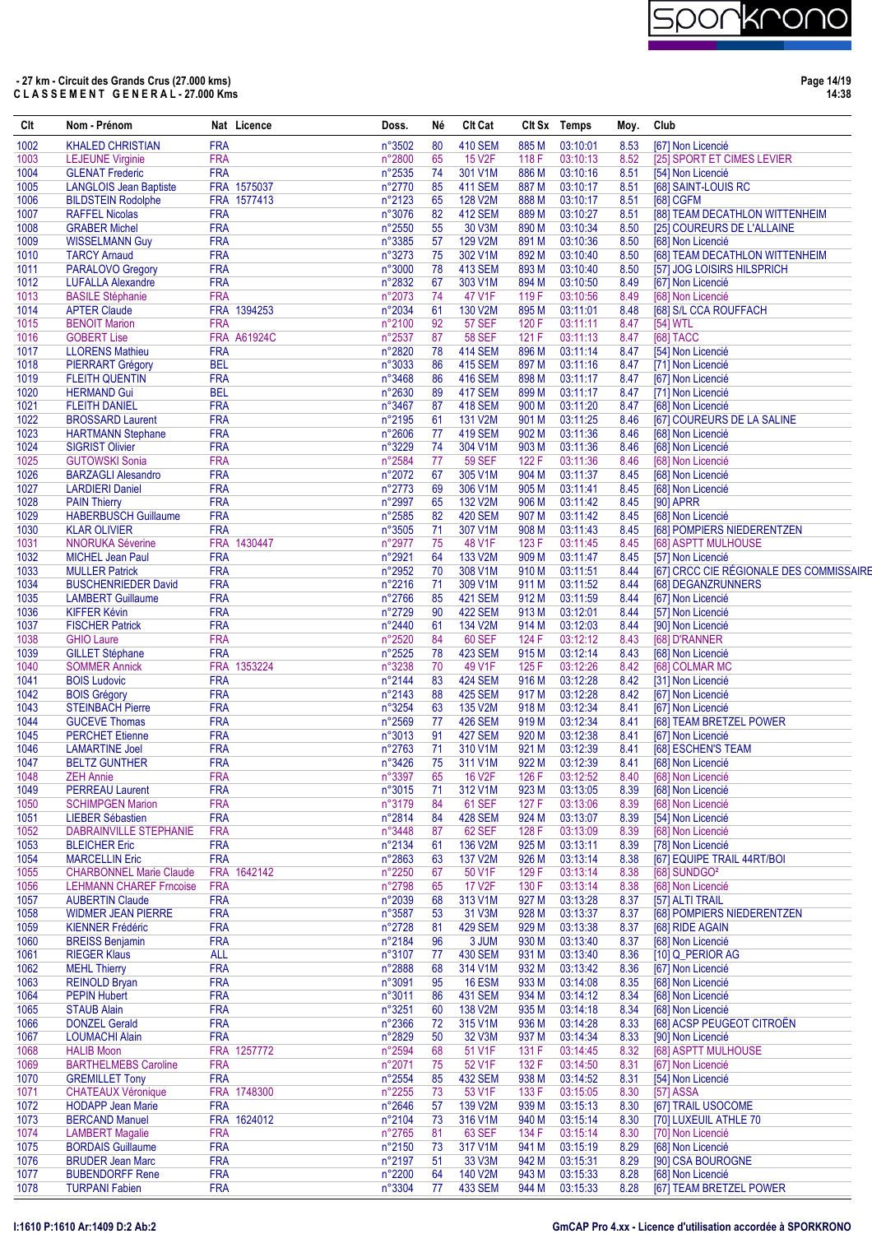

**Page 14/19 14:38**

| Clt          | Nom - Prénom                                    |                          | Nat Licence | Doss.                     | Né       | <b>CIt Cat</b>                   |                | Clt Sx Temps         | Moy.         | Club                                                |
|--------------|-------------------------------------------------|--------------------------|-------------|---------------------------|----------|----------------------------------|----------------|----------------------|--------------|-----------------------------------------------------|
| 1002         | <b>KHALED CHRISTIAN</b>                         | <b>FRA</b>               |             | n°3502                    | 80       | <b>410 SEM</b>                   | 885 M          | 03:10:01             | 8.53         | [67] Non Licencié                                   |
| 1003         | <b>LEJEUNE Virginie</b>                         | <b>FRA</b>               |             | n°2800                    | 65       | 15 V2F                           | 118 F          | 03:10:13             | 8.52         | [25] SPORT ET CIMES LEVIER                          |
| 1004         | <b>GLENAT Frederic</b>                          | <b>FRA</b>               |             | $n^{\circ}2535$           | 74       | 301 V1M                          | 886 M          | 03:10:16             | 8.51         | [54] Non Licencié                                   |
| 1005         | <b>LANGLOIS Jean Baptiste</b>                   |                          | FRA 1575037 | n°2770                    | 85       | <b>411 SEM</b>                   | 887 M          | 03:10:17             | 8.51         | [68] SAINT-LOUIS RC                                 |
| 1006         | <b>BILDSTEIN Rodolphe</b>                       |                          | FRA 1577413 | n°2123                    | 65       | 128 V2M                          | 888 M          | 03:10:17             | 8.51         | <b>[68] CGFM</b>                                    |
| 1007         | <b>RAFFEL Nicolas</b>                           | <b>FRA</b>               |             | n°3076                    | 82       | <b>412 SEM</b>                   | 889 M          | 03:10:27             | 8.51         | [88] TEAM DECATHLON WITTENHEIM                      |
| 1008         | <b>GRABER Michel</b>                            | <b>FRA</b><br><b>FRA</b> |             | n°2550                    | 55<br>57 | 30 V3M<br>129 V2M                | 890 M          | 03:10:34<br>03:10:36 | 8.50         | [25] COUREURS DE L'ALLAINE                          |
| 1009<br>1010 | <b>WISSELMANN Guy</b><br><b>TARCY Arnaud</b>    | <b>FRA</b>               |             | $n^{\circ}3385$<br>n°3273 | 75       | 302 V1M                          | 891 M<br>892 M | 03:10:40             | 8.50<br>8.50 | [68] Non Licencié<br>[68] TEAM DECATHLON WITTENHEIM |
| 1011         | PARALOVO Gregory                                | <b>FRA</b>               |             | n°3000                    | 78       | <b>413 SEM</b>                   | 893 M          | 03:10:40             | 8.50         | [57] JOG LOISIRS HILSPRICH                          |
| 1012         | <b>LUFALLA Alexandre</b>                        | <b>FRA</b>               |             | n°2832                    | 67       | 303 V1M                          | 894 M          | 03:10:50             | 8.49         | [67] Non Licencié                                   |
| 1013         | <b>BASILE Stéphanie</b>                         | <b>FRA</b>               |             | $n^{\circ}2073$           | 74       | 47 V1F                           | 119 F          | 03:10:56             | 8.49         | [68] Non Licencié                                   |
| 1014         | <b>APTER Claude</b>                             |                          | FRA 1394253 | $n^{\circ}2034$           | 61       | 130 V2M                          | 895 M          | 03:11:01             | 8.48         | [68] S/L CCA ROUFFACH                               |
| 1015         | <b>BENOIT Marion</b>                            | <b>FRA</b>               |             | n°2100                    | 92       | <b>57 SEF</b>                    | 120 F          | 03:11:11             | 8.47         | [54] WTL                                            |
| 1016         | <b>GOBERT Lise</b>                              |                          | FRA A61924C | n°2537                    | 87       | <b>58 SEF</b>                    | 121 F          | 03:11:13             | 8.47         | [68] TACC                                           |
| 1017         | <b>LLORENS Mathieu</b>                          | <b>FRA</b>               |             | n°2820                    | 78       | <b>414 SEM</b>                   | 896 M          | 03:11:14             | 8.47         | [54] Non Licencié                                   |
| 1018         | <b>PIERRART Grégory</b>                         | <b>BEL</b>               |             | n°3033                    | 86       | <b>415 SEM</b>                   | 897 M          | 03:11:16             | 8.47         | [71] Non Licencié                                   |
| 1019         | <b>FLEITH QUENTIN</b>                           | <b>FRA</b>               |             | n°3468                    | 86       | <b>416 SEM</b>                   | 898 M          | 03:11:17             | 8.47         | [67] Non Licencié                                   |
| 1020         | <b>HERMAND Gui</b>                              | <b>BEL</b>               |             | n°2630                    | 89       | <b>417 SEM</b>                   | 899 M          | 03:11:17             | 8.47         | [71] Non Licencié                                   |
| 1021         | <b>FLEITH DANIEL</b>                            | <b>FRA</b>               |             | n°3467                    | 87       | <b>418 SEM</b>                   | 900 M          | 03:11:20             | 8.47         | [68] Non Licencié                                   |
| 1022         | <b>BROSSARD Laurent</b>                         | <b>FRA</b>               |             | $n^{\circ}2195$           | 61       | 131 V2M                          | 901 M          | 03:11:25             | 8.46         | [67] COUREURS DE LA SALINE                          |
| 1023         | <b>HARTMANN Stephane</b>                        | <b>FRA</b>               |             | n°2606                    | 77       | <b>419 SEM</b>                   | 902 M          | 03:11:36             | 8.46         | [68] Non Licencié                                   |
| 1024<br>1025 | <b>SIGRIST Olivier</b><br><b>GUTOWSKI Sonia</b> | <b>FRA</b><br><b>FRA</b> |             | n°3229<br>n°2584          | 74<br>77 | 304 V1M<br><b>59 SEF</b>         | 903 M<br>122 F | 03:11:36<br>03:11:36 | 8.46<br>8.46 | [68] Non Licencié<br>[68] Non Licencié              |
| 1026         | <b>BARZAGLI Alesandro</b>                       | <b>FRA</b>               |             | $n^{\circ}2072$           | 67       | 305 V1M                          | 904 M          | 03:11:37             | 8.45         | [68] Non Licencié                                   |
| 1027         | <b>LARDIERI Daniel</b>                          | <b>FRA</b>               |             | n°2773                    | 69       | 306 V1M                          | 905 M          | 03:11:41             | 8.45         | [68] Non Licencié                                   |
| 1028         | <b>PAIN Thierry</b>                             | <b>FRA</b>               |             | n°2997                    | 65       | 132 V2M                          | 906 M          | 03:11:42             | 8.45         | [90] APRR                                           |
| 1029         | <b>HABERBUSCH Guillaume</b>                     | <b>FRA</b>               |             | n°2585                    | 82       | <b>420 SEM</b>                   | 907 M          | 03:11:42             | 8.45         | [68] Non Licencié                                   |
| 1030         | <b>KLAR OLIVIER</b>                             | <b>FRA</b>               |             | $n^{\circ}3505$           | 71       | 307 V1M                          | 908 M          | 03:11:43             | 8.45         | <b>1681 POMPIERS NIEDERENTZEN</b>                   |
| 1031         | <b>NNORUKA Séverine</b>                         |                          | FRA 1430447 | n°2977                    | 75       | 48 V1F                           | 123 F          | 03:11:45             | 8.45         | [68] ASPTT MULHOUSE                                 |
| 1032         | <b>MICHEL Jean Paul</b>                         | <b>FRA</b>               |             | n°2921                    | 64       | 133 V2M                          | 909 M          | 03:11:47             | 8.45         | [57] Non Licencié                                   |
| 1033         | <b>MULLER Patrick</b>                           | <b>FRA</b>               |             | n°2952                    | 70       | 308 V1M                          | 910 M          | 03:11:51             | 8.44         | [67] CRCC CIE RÉGIONALE DES COMMISSAIRE             |
| 1034         | <b>BUSCHENRIEDER David</b>                      | <b>FRA</b>               |             | n°2216                    | 71       | 309 V1M                          | 911 M          | 03:11:52             | 8.44         | [68] DEGANZRUNNERS                                  |
| 1035         | <b>LAMBERT Guillaume</b>                        | <b>FRA</b>               |             | n°2766                    | 85       | <b>421 SEM</b>                   | 912 M          | 03:11:59             | 8.44         | [67] Non Licencié                                   |
| 1036         | <b>KIFFER Kévin</b>                             | <b>FRA</b>               |             | n°2729                    | 90       | <b>422 SEM</b>                   | 913 M          | 03:12:01             | 8.44         | [57] Non Licencié                                   |
| 1037         | <b>FISCHER Patrick</b>                          | <b>FRA</b>               |             | n°2440                    | 61       | 134 V2M                          | 914 M          | 03:12:03             | 8.44         | [90] Non Licencié                                   |
| 1038         | <b>GHIO Laure</b>                               | <b>FRA</b>               |             | n°2520                    | 84       | <b>60 SEF</b>                    | 124 F          | 03:12:12             | 8.43         | [68] D'RANNER                                       |
| 1039         | <b>GILLET Stéphane</b>                          | <b>FRA</b>               |             | n°2525                    | 78       | <b>423 SEM</b>                   | 915 M          | 03:12:14             | 8.43         | [68] Non Licencié                                   |
| 1040         | <b>SOMMER Annick</b>                            |                          | FRA 1353224 | n°3238                    | 70       | 49 V1F                           | 125 F          | 03:12:26             | 8.42         | [68] COLMAR MC                                      |
| 1041         | <b>BOIS Ludovic</b>                             | <b>FRA</b>               |             | n°2144                    | 83       | <b>424 SEM</b>                   | 916 M          | 03:12:28             | 8.42         | [31] Non Licencié                                   |
| 1042         | <b>BOIS Grégory</b>                             | <b>FRA</b>               |             | n°2143                    | 88       | <b>425 SEM</b>                   | 917 M          | 03:12:28             | 8.42         | [67] Non Licencié                                   |
| 1043         | <b>STEINBACH Pierre</b>                         | <b>FRA</b>               |             | n°3254                    | 63       | 135 V2M                          | 918 M          | 03:12:34             | 8.41         | [67] Non Licencié                                   |
| 1044<br>1045 | <b>GUCEVE Thomas</b><br><b>PERCHET Etienne</b>  | <b>FRA</b><br><b>FRA</b> |             | n°2569<br>n°3013          | 77<br>91 | <b>426 SEM</b><br><b>427 SEM</b> | 919 M<br>920 M | 03:12:34<br>03:12:38 | 8.41<br>8.41 | [68] TEAM BRETZEL POWER<br>[67] Non Licencié        |
| 1046         | <b>LAMARTINE Joel</b>                           | <b>FRA</b>               |             | n°2763                    | 71       | 310 V1M                          | 921 M          | 03:12:39             | 8.41         | [68] ESCHEN'S TEAM                                  |
| 1047         | <b>BELTZ GUNTHER</b>                            | <b>FRA</b>               |             | $n^{\circ}3426$           | 75       | 311 V1M                          | 922 M          | 03:12:39             | 8.41         | [68] Non Licencié                                   |
| 1048         | <b>ZEH Annie</b>                                | <b>FRA</b>               |             | n°3397                    | 65       | 16 V2F                           | 126 F          | 03:12:52             | 8.40         | [68] Non Licencié                                   |
| 1049         | <b>PERREAU Laurent</b>                          | <b>FRA</b>               |             | n°3015                    | 71       | 312 V1M                          | 923 M          | 03:13:05             | 8.39         | [68] Non Licencié                                   |
| 1050         | <b>SCHIMPGEN Marion</b>                         | <b>FRA</b>               |             | n°3179                    | 84       | 61 SEF                           | 127 F          | 03:13:06             | 8.39         | [68] Non Licencié                                   |
| 1051         | <b>LIEBER Sébastien</b>                         | <b>FRA</b>               |             | n°2814                    | 84       | <b>428 SEM</b>                   | 924 M          | 03:13:07             | 8.39         | [54] Non Licencié                                   |
| 1052         | <b>DABRAINVILLE STEPHANIE</b>                   | <b>FRA</b>               |             | n°3448                    | 87       | 62 SEF                           | 128 F          | 03:13:09             | 8.39         | [68] Non Licencié                                   |
| 1053         | <b>BLEICHER Eric</b>                            | <b>FRA</b>               |             | n°2134                    | 61       | 136 V2M                          | 925 M          | 03:13:11             | 8.39         | [78] Non Licencié                                   |
| 1054         | <b>MARCELLIN Eric</b>                           | <b>FRA</b>               |             | $n^{\circ}2863$           | 63       | 137 V2M                          | 926 M          | 03:13:14             | 8.38         | [67] EQUIPE TRAIL 44RT/BOI                          |
| 1055         | <b>CHARBONNEL Marie Claude</b>                  |                          | FRA 1642142 | $n^{\circ}2250$           | 67       | 50 V1F                           | 129 F          | 03:13:14             | 8.38         | [68] SUNDGO <sup>2</sup>                            |
| 1056         | <b>LEHMANN CHAREF Frncoise</b>                  | <b>FRA</b>               |             | n°2798                    | 65       | <b>17 V2F</b>                    | 130 F          | 03:13:14             | 8.38         | [68] Non Licencié                                   |
| 1057         | <b>AUBERTIN Claude</b>                          | <b>FRA</b>               |             | n°2039                    | 68       | 313 V1M                          | 927 M          | 03:13:28             | 8.37         | [57] ALTI TRAIL                                     |
| 1058         | <b>WIDMER JEAN PIERRE</b>                       | <b>FRA</b>               |             | n°3587                    | 53       | 31 V3M                           | 928 M          | 03:13:37             | 8.37         | [68] POMPIERS NIEDERENTZEN                          |
| 1059         | <b>KIENNER Frédéric</b>                         | <b>FRA</b>               |             | n°2728                    | 81       | <b>429 SEM</b>                   | 929 M          | 03:13:38             | 8.37         | [68] RIDE AGAIN                                     |
| 1060<br>1061 | <b>BREISS Benjamin</b><br><b>RIEGER Klaus</b>   | <b>FRA</b><br><b>ALL</b> |             | n°2184<br>n°3107          | 96<br>77 | 3 JUM<br><b>430 SEM</b>          | 930 M<br>931 M | 03:13:40<br>03:13:40 | 8.37<br>8.36 | [68] Non Licencié<br>[10] Q_PERIOR AG               |
| 1062         | <b>MEHL Thierry</b>                             | <b>FRA</b>               |             | $n^{\circ}2888$           | 68       | 314 V1M                          | 932 M          | 03:13:42             | 8.36         | [67] Non Licencié                                   |
| 1063         | <b>REINOLD Bryan</b>                            | <b>FRA</b>               |             | n°3091                    | 95       | 16 ESM                           | 933 M          | 03:14:08             | 8.35         | [68] Non Licencié                                   |
| 1064         | <b>PEPIN Hubert</b>                             | <b>FRA</b>               |             | n°3011                    | 86       | <b>431 SEM</b>                   | 934 M          | 03:14:12             | 8.34         | [68] Non Licencié                                   |
| 1065         | <b>STAUB Alain</b>                              | <b>FRA</b>               |             | n°3251                    | 60       | 138 V2M                          | 935 M          | 03:14:18             | 8.34         | [68] Non Licencié                                   |
| 1066         | <b>DONZEL Gerald</b>                            | <b>FRA</b>               |             | $n^{\circ}2366$           | 72       | 315 V1M                          | 936 M          | 03:14:28             | 8.33         | [68] ACSP PEUGEOT CITROËN                           |
| 1067         | <b>LOUMACHI Alain</b>                           | <b>FRA</b>               |             | n°2829                    | 50       | 32 V3M                           | 937 M          | 03:14:34             | 8.33         | [90] Non Licencié                                   |
| 1068         | <b>HALIB Moon</b>                               |                          | FRA 1257772 | n°2594                    | 68       | 51 V1F                           | 131 F          | 03:14:45             | 8.32         | [68] ASPTT MULHOUSE                                 |
| 1069         | <b>BARTHELMEBS Caroline</b>                     | <b>FRA</b>               |             | n°2071                    | 75       | 52 V1F                           | 132 F          | 03:14:50             | 8.31         | [67] Non Licencié                                   |
| 1070         | <b>GREMILLET Tony</b>                           | <b>FRA</b>               |             | n°2554                    | 85       | <b>432 SEM</b>                   | 938 M          | 03:14:52             | 8.31         | [54] Non Licencié                                   |
| 1071         | <b>CHATEAUX Véronique</b>                       |                          | FRA 1748300 | n°2255                    | 73       | 53 V1F                           | 133 F          | 03:15:05             | 8.30         | <b>[57] ASSA</b>                                    |
| 1072         | <b>HODAPP Jean Marie</b>                        | <b>FRA</b>               |             | $n^{\circ}2646$           | 57       | 139 V2M                          | 939 M          | 03:15:13             | 8.30         | [67] TRAIL USOCOME                                  |
| 1073         | <b>BERCAND Manuel</b>                           |                          | FRA 1624012 | $n^{\circ}2104$           | 73       | 316 V1M                          | 940 M          | 03:15:14             | 8.30         | [70] LUXEUIL ATHLE 70                               |
| 1074         | <b>LAMBERT Magalie</b>                          | <b>FRA</b>               |             | n°2765                    | 81       | 63 SEF                           | 134 F          | 03:15:14             | 8.30         | [70] Non Licencié                                   |
| 1075         | <b>BORDAIS Guillaume</b>                        | <b>FRA</b>               |             | n°2150                    | 73       | 317 V1M                          | 941 M          | 03:15:19             | 8.29         | [68] Non Licencié                                   |
| 1076         | <b>BRUDER Jean Marc</b>                         | <b>FRA</b>               |             | n°2197                    | 51       | 33 V3M                           | 942 M          | 03:15:31             | 8.29         | [90] CSA BOUROGNE                                   |
| 1077         | <b>BUBENDORFF Rene</b>                          | <b>FRA</b>               |             | n°2200                    | 64       | 140 V2M                          | 943 M          | 03:15:33             | 8.28         | [68] Non Licencié                                   |
| 1078         | <b>TURPANI Fabien</b>                           | <b>FRA</b>               |             | n°3304                    | 77       | 433 SEM                          | 944 M          | 03:15:33             | 8.28         | [67] TEAM BRETZEL POWER                             |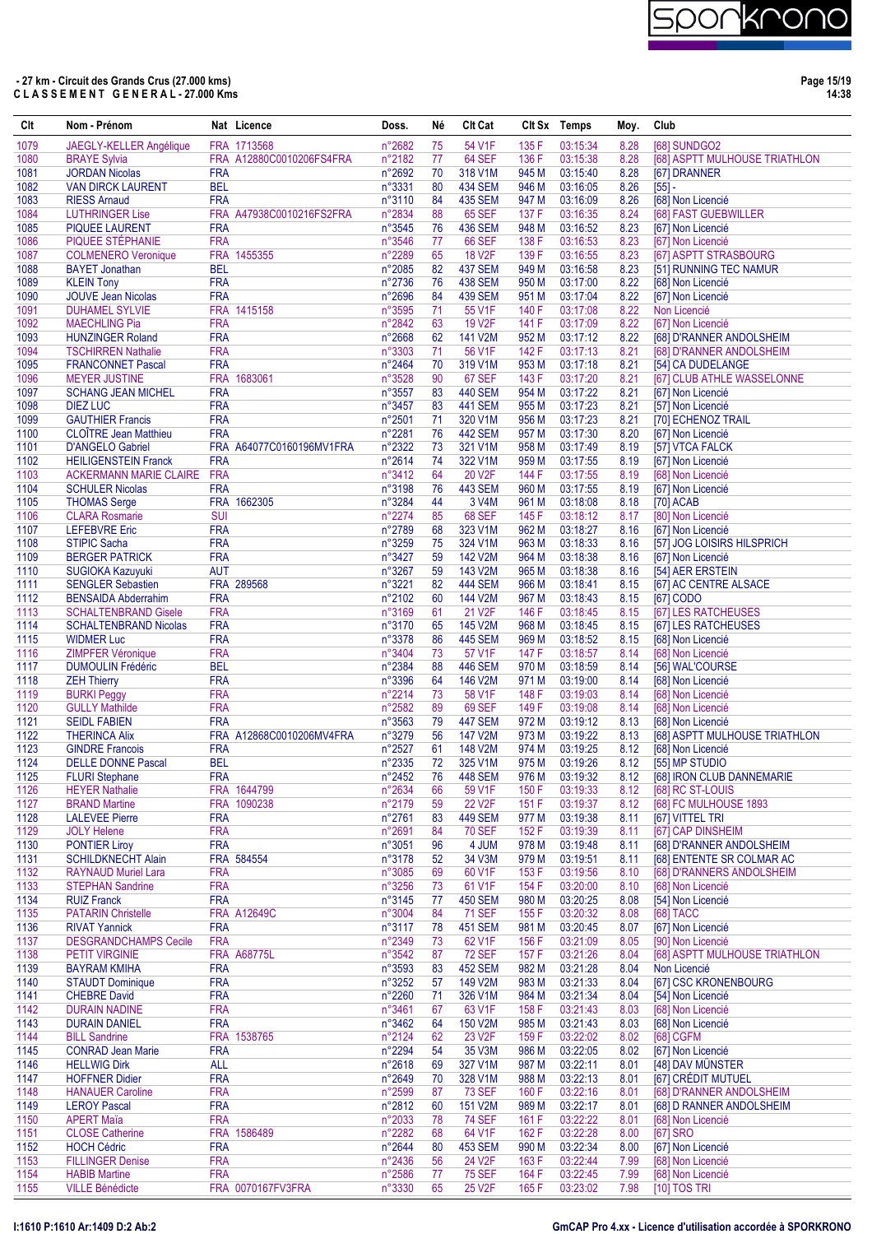| Clt          | Nom - Prénom                                            |                          | Nat Licence              | Doss.            | Né       | Clt Cat                         |                | Clt Sx Temps         | Moy.         | Club                                                  |
|--------------|---------------------------------------------------------|--------------------------|--------------------------|------------------|----------|---------------------------------|----------------|----------------------|--------------|-------------------------------------------------------|
| 1079         | <b>JAEGLY-KELLER Angélique</b>                          |                          | FRA 1713568              | n°2682           | 75       | 54 V1F                          | 135 F          | 03:15:34             | 8.28         | <b>I681 SUNDGO2</b>                                   |
| 1080         | <b>BRAYE Sylvia</b>                                     |                          | FRA A12880C0010206FS4FRA | n°2182           | 77       | 64 SEF                          | 136 F          | 03:15:38             | 8.28         | [68] ASPTT MULHOUSE TRIATHLON                         |
| 1081         | <b>JORDAN Nicolas</b>                                   | <b>FRA</b>               |                          | n°2692           | 70       | 318 V1M                         | 945 M          | 03:15:40             | 8.28         | [67] DRANNER                                          |
| 1082         | <b>VAN DIRCK LAURENT</b>                                | <b>BEL</b>               |                          | n°3331           | 80       | <b>434 SEM</b>                  | 946 M          | 03:16:05             | 8.26         | $[55] -$                                              |
| 1083<br>1084 | <b>RIESS Amaud</b><br><b>LUTHRINGER Lise</b>            | <b>FRA</b>               | FRA A47938C0010216FS2FRA | n°3110<br>n°2834 | 84<br>88 | <b>435 SEM</b><br><b>65 SEF</b> | 947 M<br>137 F | 03:16:09<br>03:16:35 | 8.26<br>8.24 | [68] Non Licencié<br>[68] FAST GUEBWILLER             |
| 1085         | <b>PIQUEE LAURENT</b>                                   | <b>FRA</b>               |                          | n°3545           | 76       | <b>436 SEM</b>                  | 948 M          | 03:16:52             | 8.23         | [67] Non Licencié                                     |
| 1086         | PIQUEE STÉPHANIE                                        | <b>FRA</b>               |                          | n°3546           | 77       | <b>66 SEF</b>                   | 138 F          | 03:16:53             | 8.23         | [67] Non Licencié                                     |
| 1087         | <b>COLMENERO Veronique</b>                              |                          | FRA 1455355              | n°2289           | 65       | <b>18 V2F</b>                   | 139 F          | 03:16:55             | 8.23         | [67] ASPTT STRASBOURG                                 |
| 1088         | <b>BAYET Jonathan</b>                                   | <b>BEL</b>               |                          | n°2085           | 82       | <b>437 SEM</b>                  | 949 M          | 03:16:58             | 8.23         | [51] RUNNING TEC NAMUR                                |
| 1089         | <b>KLEIN Tony</b>                                       | <b>FRA</b>               |                          | n°2736           | 76       | <b>438 SEM</b>                  | 950 M          | 03:17:00             | 8.22         | [68] Non Licencié                                     |
| 1090         | <b>JOUVE Jean Nicolas</b>                               | <b>FRA</b>               |                          | n°2696           | 84       | <b>439 SEM</b>                  | 951 M          | 03:17:04             | 8.22         | [67] Non Licencié                                     |
| 1091<br>1092 | <b>DUHAMEL SYLVIE</b><br><b>MAECHLING Pia</b>           | <b>FRA</b>               | FRA 1415158              | n°3595<br>n°2842 | 71<br>63 | 55 V1F<br>19 V2F                | 140 F<br>141 F | 03:17:08<br>03:17:09 | 8.22<br>8.22 | Non Licencié<br>[67] Non Licencié                     |
| 1093         | <b>HUNZINGER Roland</b>                                 | <b>FRA</b>               |                          | n°2668           | 62       | 141 V2M                         | 952 M          | 03:17:12             | 8.22         | [68] D'RANNER ANDOLSHEIM                              |
| 1094         | <b>TSCHIRREN Nathalie</b>                               | <b>FRA</b>               |                          | n°3303           | 71       | 56 V1F                          | 142 F          | 03:17:13             | 8.21         | [68] D'RANNER ANDOLSHEIM                              |
| 1095         | <b>FRANCONNET Pascal</b>                                | <b>FRA</b>               |                          | n°2464           | 70       | 319 V1M                         | 953 M          | 03:17:18             | 8.21         | [54] CA DUDELANGE                                     |
| 1096         | <b>MEYER JUSTINE</b>                                    |                          | FRA 1683061              | n°3528           | 90       | <b>67 SEF</b>                   | 143 F          | 03:17:20             | 8.21         | [67] CLUB ATHLE WASSELONNE                            |
| 1097         | <b>SCHANG JEAN MICHEL</b>                               | <b>FRA</b>               |                          | n°3557           | 83       | 440 SEM                         | 954 M          | 03:17:22             | 8.21         | [67] Non Licencié                                     |
| 1098         | <b>DIEZ LUC</b>                                         | <b>FRA</b>               |                          | n°3457           | 83       | <b>441 SEM</b>                  | 955 M          | 03:17:23             | 8.21         | [57] Non Licencié                                     |
| 1099<br>1100 | <b>GAUTHIER Francis</b><br><b>CLOÎTRE Jean Matthieu</b> | <b>FRA</b><br><b>FRA</b> |                          | n°2501<br>n°2281 | 71<br>76 | 320 V1M<br><b>442 SEM</b>       | 956 M<br>957 M | 03:17:23<br>03:17:30 | 8.21<br>8.20 | [70] ECHENOZ TRAIL<br>[67] Non Licencié               |
| 1101         | <b>D'ANGELO Gabriel</b>                                 |                          | FRA A64077C0160196MV1FRA | n°2322           | 73       | 321 V1M                         | 958 M          | 03:17:49             | 8.19         | [57] VTCA FALCK                                       |
| 1102         | <b>HEILIGENSTEIN Franck</b>                             | <b>FRA</b>               |                          | n°2614           | 74       | 322 V1M                         | 959 M          | 03:17:55             | 8.19         | [67] Non Licencié                                     |
| 1103         | <b>ACKERMANN MARIE CLAIRE</b>                           | <b>FRA</b>               |                          | n°3412           | 64       | 20 V2F                          | 144 F          | 03:17:55             | 8.19         | [68] Non Licencié                                     |
| 1104         | <b>SCHULER Nicolas</b>                                  | <b>FRA</b>               |                          | n°3198           | 76       | <b>443 SEM</b>                  | 960 M          | 03:17:55             | 8.19         | [67] Non Licencié                                     |
| 1105         | <b>THOMAS Serge</b>                                     |                          | FRA 1662305              | n°3284           | 44       | 3 V4M                           | 961 M          | 03:18:08             | 8.18         | [70] ACAB                                             |
| 1106         | <b>CLARA Rosmarie</b>                                   | <b>SUI</b>               |                          | n°2274           | 85       | <b>68 SEF</b>                   | 145 F          | 03:18:12             | 8.17         | [80] Non Licencié                                     |
| 1107         | <b>LEFEBVRE Eric</b>                                    | <b>FRA</b>               |                          | n°2789           | 68       | 323 V1M                         | 962 M          | 03:18:27             | 8.16         | [67] Non Licencié                                     |
| 1108<br>1109 | <b>STIPIC Sacha</b><br><b>BERGER PATRICK</b>            | <b>FRA</b><br><b>FRA</b> |                          | n°3259<br>n°3427 | 75<br>59 | 324 V1M<br>142 V2M              | 963 M<br>964 M | 03:18:33<br>03:18:38 | 8.16<br>8.16 | [57] JOG LOISIRS HILSPRICH<br>[67] Non Licencié       |
| 1110         | SUGIOKA Kazuyuki                                        | <b>AUT</b>               |                          | n°3267           | 59       | 143 V2M                         | 965 M          | 03:18:38             | 8.16         | [54] AER ERSTEIN                                      |
| 1111         | <b>SENGLER Sebastien</b>                                |                          | FRA 289568               | n°3221           | 82       | <b>444 SEM</b>                  | 966 M          | 03:18:41             | 8.15         | [67] AC CENTRE ALSACE                                 |
| 1112         | <b>BENSAIDA Abderrahim</b>                              | <b>FRA</b>               |                          | n°2102           | 60       | 144 V2M                         | 967 M          | 03:18:43             | 8.15         | [67] CODO                                             |
| 1113         | <b>SCHALTENBRAND Gisele</b>                             | <b>FRA</b>               |                          | n°3169           | 61       | 21 V2F                          | 146 F          | 03:18:45             | 8.15         | [67] LES RATCHEUSES                                   |
| 1114         | <b>SCHALTENBRAND Nicolas</b>                            | <b>FRA</b>               |                          | n°3170           | 65       | 145 V2M                         | 968 M          | 03:18:45             | 8.15         | [67] LES RATCHEUSES                                   |
| 1115         | <b>WIDMER Luc</b>                                       | <b>FRA</b>               |                          | n°3378           | 86       | <b>445 SEM</b>                  | 969 M          | 03:18:52             | 8.15         | [68] Non Licencié                                     |
| 1116<br>1117 | <b>ZIMPFER Véronique</b><br><b>DUMOULIN Frédéric</b>    | <b>FRA</b><br><b>BEL</b> |                          | n°3404<br>n°2384 | 73<br>88 | 57 V1F<br><b>446 SEM</b>        | 147 F<br>970 M | 03:18:57<br>03:18:59 | 8.14<br>8.14 | [68] Non Licencié<br>[56] WAL'COURSE                  |
| 1118         | <b>ZEH Thierry</b>                                      | <b>FRA</b>               |                          | n°3396           | 64       | 146 V2M                         | 971 M          | 03:19:00             | 8.14         | [68] Non Licencié                                     |
| 1119         | <b>BURKI Peggy</b>                                      | <b>FRA</b>               |                          | n°2214           | 73       | 58 V1F                          | 148 F          | 03:19:03             | 8.14         | [68] Non Licencié                                     |
| 1120         | <b>GULLY Mathilde</b>                                   | <b>FRA</b>               |                          | n°2582           | 89       | 69 SEF                          | 149 F          | 03:19:08             | 8.14         | [68] Non Licencié                                     |
| 1121         | <b>SEIDL FABIEN</b>                                     | <b>FRA</b>               |                          | n°3563           | 79       | <b>447 SEM</b>                  | 972 M          | 03:19:12             | 8.13         | [68] Non Licencié                                     |
| 1122<br>1123 | <b>THERINCA Alix</b><br><b>GINDRE Francois</b>          | <b>FRA</b>               | FRA A12868C0010206MV4FRA | n°3279<br>n°2527 | 56<br>61 | 147 V2M<br>148 V2M              | 973 M<br>974 M | 03:19:22<br>03:19:25 | 8.13<br>8.12 | [68] ASPTT MULHOUSE TRIATHLON<br>[68] Non Licencié    |
| 1124         | <b>DELLE DONNE Pascal</b>                               | <b>BEL</b>               |                          | n°2335           | 72       | 325 V1M                         | 975 M          | 03:19:26             | 8.12         | [55] MP STUDIO                                        |
| 1125         | <b>FLURI</b> Stephane                                   | <b>FRA</b>               |                          | n°2452           | 76       | <b>448 SEM</b>                  | 976 M          | 03:19:32             | 8.12         | [68] IRON CLUB DANNEMARIE                             |
| 1126         | <b>HEYER Nathalie</b>                                   |                          | FRA 1644799              | n°2634           | 66       | 59 V1F                          | 150 F          | 03:19:33             | 8.12         | [68] RC ST-LOUIS                                      |
| 1127         | <b>BRAND Martine</b>                                    |                          | FRA 1090238              | n°2179           | 59       | 22 V <sub>2</sub> F             | 151 F          | 03:19:37             | 8.12         | [68] FC MULHOUSE 1893                                 |
| 1128         | <b>LALEVEE Pierre</b>                                   | <b>FRA</b>               |                          | n°2761           | 83       | <b>449 SEM</b>                  | 977 M          | 03:19:38             | 8.11         | [67] VITTEL TRI                                       |
| 1129         | <b>JOLY Helene</b>                                      | <b>FRA</b>               |                          | n°2691           | 84       | <b>70 SEF</b>                   | 152 F          | 03:19:39             | 8.11         | [67] CAP DINSHEIM                                     |
| 1130<br>1131 | <b>PONTIER Liroy</b><br><b>SCHILDKNECHT Alain</b>       | <b>FRA</b>               | FRA 584554               | n°3051<br>n°3178 | 96<br>52 | 4 JUM<br>34 V3M                 | 978 M<br>979 M | 03:19:48<br>03:19:51 | 8.11<br>8.11 | [68] D'RANNER ANDOLSHEIM<br>[68] ENTENTE SR COLMAR AC |
| 1132         | <b>RAYNAUD Muriel Lara</b>                              | <b>FRA</b>               |                          | n°3085           | 69       | 60 V1F                          | 153F           | 03:19:56             | 8.10         | [68] D'RANNERS ANDOLSHEIM                             |
| 1133         | <b>STEPHAN Sandrine</b>                                 | <b>FRA</b>               |                          | n°3256           | 73       | 61 V1F                          | 154 F          | 03:20:00             | 8.10         | [68] Non Licencié                                     |
| 1134         | <b>RUIZ Franck</b>                                      | <b>FRA</b>               |                          | n°3145           | 77       | <b>450 SEM</b>                  | 980 M          | 03:20:25             | 8.08         | [54] Non Licencié                                     |
| 1135         | <b>PATARIN Christelle</b>                               |                          | <b>FRA A12649C</b>       | n°3004           | 84       | <b>71 SEF</b>                   | 155 F          | 03:20:32             | 8.08         | [68] TACC                                             |
| 1136         | <b>RIVAT Yannick</b>                                    | <b>FRA</b>               |                          | n°3117           | 78       | <b>451 SEM</b>                  | 981 M          | 03:20:45             | 8.07         | [67] Non Licencié                                     |
| 1137<br>1138 | <b>DESGRANDCHAMPS Cecile</b><br><b>PETIT VIRGINIE</b>   | <b>FRA</b>               | <b>FRA A68775L</b>       | n°2349<br>n°3542 | 73       | 62 V1F<br><b>72 SEF</b>         | 156 F<br>157 F | 03:21:09<br>03:21:26 | 8.05<br>8.04 | [90] Non Licencié<br>[68] ASPTT MULHOUSE TRIATHLON    |
| 1139         | <b>BAYRAM KMIHA</b>                                     | <b>FRA</b>               |                          | n°3593           | 87<br>83 | <b>452 SEM</b>                  | 982 M          | 03:21:28             | 8.04         | Non Licencié                                          |
| 1140         | <b>STAUDT Dominique</b>                                 | <b>FRA</b>               |                          | n°3252           | 57       | 149 V2M                         | 983 M          | 03:21:33             | 8.04         | [67] CSC KRONENBOURG                                  |
| 1141         | <b>CHEBRE David</b>                                     | <b>FRA</b>               |                          | n°2260           | 71       | 326 V1M                         | 984 M          | 03:21:34             | 8.04         | [54] Non Licencié                                     |
| 1142         | <b>DURAIN NADINE</b>                                    | <b>FRA</b>               |                          | n°3461           | 67       | 63 V1F                          | 158 F          | 03:21:43             | 8.03         | [68] Non Licencié                                     |
| 1143         | <b>DURAIN DANIEL</b>                                    | <b>FRA</b>               |                          | n°3462           | 64       | 150 V2M                         | 985 M          | 03:21:43             | 8.03         | [68] Non Licencié                                     |
| 1144         | <b>BILL Sandrine</b>                                    |                          | FRA 1538765              | n°2124           | 62       | 23 V2F                          | 159 F          | 03:22:02             | 8.02         | [68] CGFM                                             |
| 1145<br>1146 | <b>CONRAD Jean Marie</b><br><b>HELLWIG Dirk</b>         | <b>FRA</b><br><b>ALL</b> |                          | n°2294<br>n°2618 | 54<br>69 | 35 V3M<br>327 V1M               | 986 M<br>987 M | 03:22:05<br>03:22:11 | 8.02<br>8.01 | [67] Non Licencié<br>[48] DAV MÜNSTER                 |
| 1147         | <b>HOFFNER Didier</b>                                   | <b>FRA</b>               |                          | n°2649           | 70       | 328 V1M                         | 988 M          | 03:22:13             | 8.01         | [67] CRÉDIT MUTUEL                                    |
| 1148         | <b>HANAUER Caroline</b>                                 | <b>FRA</b>               |                          | n°2599           | 87       | <b>73 SEF</b>                   | 160 F          | 03:22:16             | 8.01         | [68] D'RANNER ANDOLSHEIM                              |
| 1149         | <b>LEROY Pascal</b>                                     | <b>FRA</b>               |                          | n°2812           | 60       | 151 V2M                         | 989 M          | 03:22:17             | 8.01         | [68] D RANNER ANDOLSHEIM                              |
| 1150         | <b>APERT Maïa</b>                                       | <b>FRA</b>               |                          | n°2033           | 78       | <b>74 SEF</b>                   | 161 F          | 03:22:22             | 8.01         | [68] Non Licencié                                     |
| 1151         | <b>CLOSE Catherine</b>                                  |                          | FRA 1586489              | n°2282           | 68       | 64 V1F                          | 162 F          | 03:22:28             | 8.00         | [67] SRO                                              |
| 1152         | <b>HOCH Cédric</b>                                      | <b>FRA</b>               |                          | n°2644           | 80       | <b>453 SEM</b>                  | 990 M          | 03:22:34             | 8.00         | [67] Non Licencié                                     |
| 1153<br>1154 | <b>FILLINGER Denise</b><br><b>HABIB Martine</b>         | <b>FRA</b><br><b>FRA</b> |                          | n°2436<br>n°2586 | 56<br>77 | 24 V2F<br><b>75 SEF</b>         | 163 F<br>164 F | 03:22:44<br>03:22:45 | 7.99<br>7.99 | [68] Non Licencié<br>[68] Non Licencié                |
| 1155         | <b>VILLE Bénédicte</b>                                  |                          | FRA 0070167FV3FRA        | n°3330           | 65       | 25 V2F                          | 165F           | 03:23:02             | 7.98         | [10] TOS TRI                                          |
|              |                                                         |                          |                          |                  |          |                                 |                |                      |              |                                                       |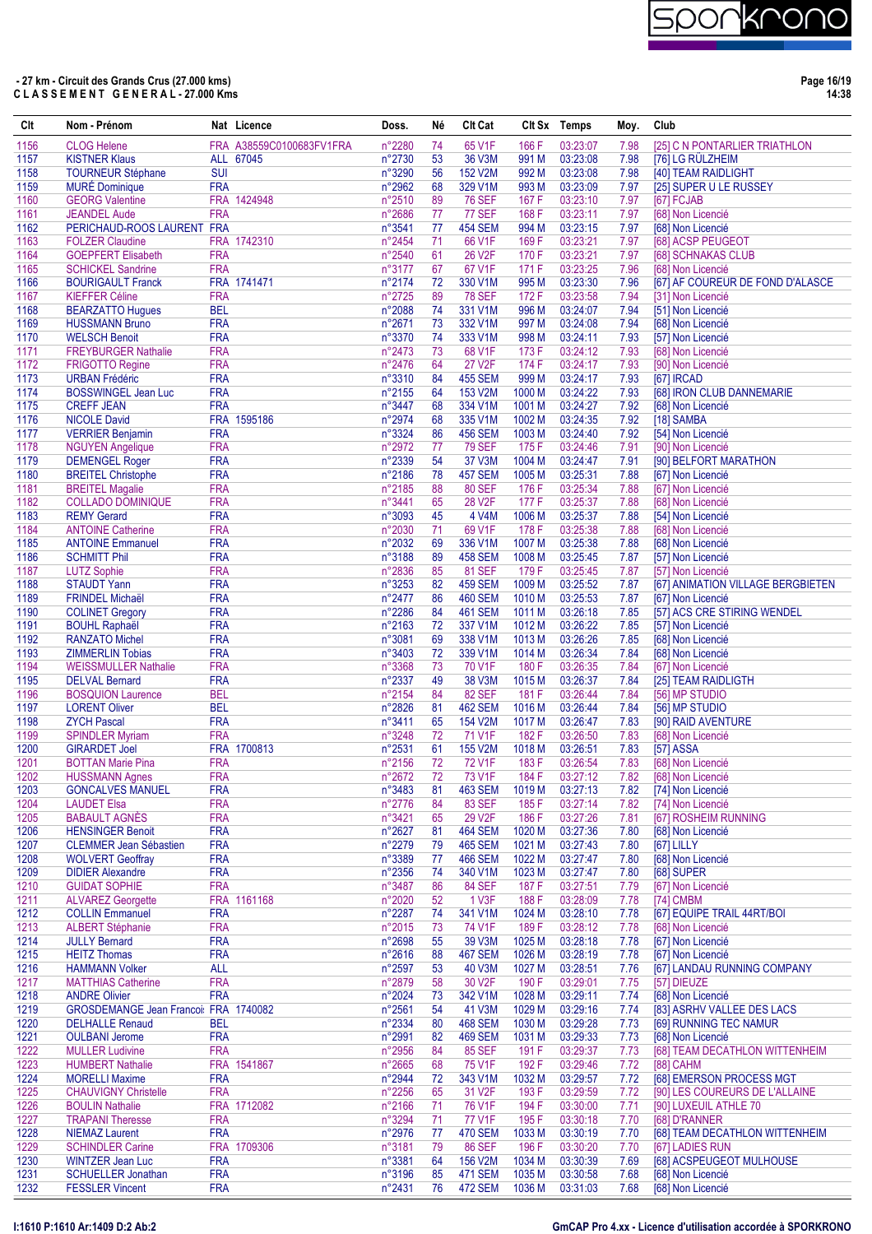

**Page 16/19 14:38**

| Clt          | Nom - Prénom                                             |                          | Nat Licence              | Doss.            | Né       | <b>CIt Cat</b>                   |                             | Clt Sx Temps         | Moy.         | Club                                                    |
|--------------|----------------------------------------------------------|--------------------------|--------------------------|------------------|----------|----------------------------------|-----------------------------|----------------------|--------------|---------------------------------------------------------|
| 1156         | <b>CLOG Helene</b>                                       |                          | FRA A38559C0100683FV1FRA | n°2280           | 74       | 65 V1F                           | 166 F                       | 03:23:07             | 7.98         | [25] C N PONTARLIER TRIATHLON                           |
| 1157         | <b>KISTNER Klaus</b>                                     |                          | ALL 67045                | n°2730           | 53       | 36 V3M                           | 991 M                       | 03:23:08             | 7.98         | [76] LG RÜLZHEIM                                        |
| 1158         | <b>TOURNEUR Stéphane</b>                                 | <b>SUI</b>               |                          | n°3290           | 56       | 152 V2M                          | 992 M                       | 03:23:08             | 7.98         | [40] TEAM RAIDLIGHT                                     |
| 1159         | <b>MURÉ Dominique</b>                                    | <b>FRA</b>               |                          | n°2962           | 68       | 329 V1M                          | 993 M                       | 03:23:09             | 7.97         | [25] SUPER U LE RUSSEY                                  |
| 1160<br>1161 | <b>GEORG Valentine</b>                                   | <b>FRA</b>               | FRA 1424948              | n°2510           | 89       | <b>76 SEF</b><br><b>77 SEF</b>   | 167 F<br>168 F              | 03:23:10             | 7.97<br>7.97 | [67] FCJAB<br>[68] Non Licencié                         |
| 1162         | <b>JEANDEL Aude</b><br>PERICHAUD-ROOS LAURENT FRA        |                          |                          | n°2686<br>n°3541 | 77<br>77 | <b>454 SEM</b>                   | 994 M                       | 03:23:11<br>03:23:15 | 7.97         | [68] Non Licencié                                       |
| 1163         | <b>FOLZER Claudine</b>                                   |                          | FRA 1742310              | n°2454           | 71       | 66 V1F                           | 169 F                       | 03:23:21             | 7.97         | [68] ACSP PEUGEOT                                       |
| 1164         | <b>GOEPFERT Elisabeth</b>                                | <b>FRA</b>               |                          | n°2540           | 61       | 26 V2F                           | 170 F                       | 03:23:21             | 7.97         | [68] SCHNAKAS CLUB                                      |
| 1165         | <b>SCHICKEL Sandrine</b>                                 | <b>FRA</b>               |                          | n°3177           | 67       | 67 V1F                           | 171 F                       | 03:23:25             | 7.96         | [68] Non Licencié                                       |
| 1166         | <b>BOURIGAULT Franck</b>                                 |                          | FRA 1741471              | n°2174           | 72       | 330 V1M                          | 995 M                       | 03:23:30             | 7.96         | [67] AF COUREUR DE FOND D'ALASCE                        |
| 1167         | <b>KIEFFER Céline</b>                                    | <b>FRA</b>               |                          | n°2725           | 89       | <b>78 SEF</b>                    | 172F                        | 03:23:58             | 7.94         | [31] Non Licencié                                       |
| 1168         | <b>BEARZATTO Hugues</b>                                  | <b>BEL</b>               |                          | n°2088           | 74       | 331 V1M                          | 996 M                       | 03:24:07             | 7.94         | [51] Non Licencié                                       |
| 1169         | <b>HUSSMANN Bruno</b>                                    | <b>FRA</b>               |                          | n°2671           | 73       | 332 V1M                          | 997 M                       | 03:24:08             | 7.94         | [68] Non Licencié                                       |
| 1170<br>1171 | <b>WELSCH Benoit</b><br><b>FREYBURGER Nathalie</b>       | <b>FRA</b><br><b>FRA</b> |                          | n°3370<br>n°2473 | 74<br>73 | 333 V1M<br>68 V1F                | 998 M<br>173F               | 03:24:11<br>03:24:12 | 7.93<br>7.93 | [57] Non Licencié<br>[68] Non Licencié                  |
| 1172         | <b>FRIGOTTO Regine</b>                                   | <b>FRA</b>               |                          | n°2476           | 64       | 27 V2F                           | 174 F                       | 03:24:17             | 7.93         | [90] Non Licencié                                       |
| 1173         | <b>URBAN Frédéric</b>                                    | <b>FRA</b>               |                          | n°3310           | 84       | <b>455 SEM</b>                   | 999 M                       | 03:24:17             | 7.93         | [67] IRCAD                                              |
| 1174         | <b>BOSSWINGEL Jean Luc</b>                               | <b>FRA</b>               |                          | n°2155           | 64       | 153 V2M                          | 1000 M                      | 03:24:22             | 7.93         | [68] IRON CLUB DANNEMARIE                               |
| 1175         | <b>CREFF JEAN</b>                                        | <b>FRA</b>               |                          | n°3447           | 68       | 334 V1M                          | 1001 M                      | 03:24:27             | 7.92         | [68] Non Licencié                                       |
| 1176         | <b>NICOLE David</b>                                      |                          | FRA 1595186              | n°2974           | 68       | 335 V1M                          | 1002 M                      | 03:24:35             | 7.92         | [18] SAMBA                                              |
| 1177         | <b>VERRIER Benjamin</b>                                  | <b>FRA</b>               |                          | n°3324           | 86       | <b>456 SEM</b>                   | 1003 M                      | 03:24:40             | 7.92         | [54] Non Licencié                                       |
| 1178         | <b>NGUYEN Angelique</b>                                  | <b>FRA</b>               |                          | n°2972           | 77       | <b>79 SEF</b>                    | 175F                        | 03:24:46             | 7.91         | [90] Non Licencié                                       |
| 1179<br>1180 | <b>DEMENGEL Roger</b><br><b>BREITEL Christophe</b>       | <b>FRA</b><br><b>FRA</b> |                          | n°2339<br>n°2186 | 54<br>78 | 37 V3M<br><b>457 SEM</b>         | 1004 M<br>1005 <sub>M</sub> | 03:24:47<br>03:25:31 | 7.91<br>7.88 | [90] BELFORT MARATHON<br>[67] Non Licencié              |
| 1181         | <b>BREITEL Magalie</b>                                   | <b>FRA</b>               |                          | n°2185           | 88       | <b>80 SEF</b>                    | 176 F                       | 03:25:34             | 7.88         | [67] Non Licencié                                       |
| 1182         | <b>COLLADO DOMINIQUE</b>                                 | <b>FRA</b>               |                          | n°3441           | 65       | 28 V2F                           | 177 F                       | 03:25:37             | 7.88         | [68] Non Licencié                                       |
| 1183         | <b>REMY Gerard</b>                                       | <b>FRA</b>               |                          | n°3093           | 45       | 4 V4M                            | 1006 M                      | 03:25:37             | 7.88         | [54] Non Licencié                                       |
| 1184         | <b>ANTOINE Catherine</b>                                 | <b>FRA</b>               |                          | n°2030           | 71       | 69 V1F                           | 178 F                       | 03:25:38             | 7.88         | [68] Non Licencié                                       |
| 1185         | <b>ANTOINE Emmanuel</b>                                  | <b>FRA</b>               |                          | n°2032           | 69       | 336 V1M                          | 1007 M                      | 03:25:38             | 7.88         | [68] Non Licencié                                       |
| 1186         | <b>SCHMITT Phil</b>                                      | <b>FRA</b>               |                          | n°3188           | 89       | <b>458 SEM</b>                   | 1008 M                      | 03:25:45             | 7.87         | [57] Non Licencié                                       |
| 1187         | <b>LUTZ Sophie</b>                                       | <b>FRA</b>               |                          | n°2836           | 85       | <b>81 SEF</b>                    | 179F                        | 03:25:45             | 7.87         | [57] Non Licencié                                       |
| 1188         | <b>STAUDT Yann</b>                                       | <b>FRA</b>               |                          | n°3253           | 82       | <b>459 SEM</b>                   | 1009 M                      | 03:25:52             | 7.87         | [67] ANIMATION VILLAGE BERGBIETEN                       |
| 1189         | <b>FRINDEL Michaël</b>                                   | <b>FRA</b><br><b>FRA</b> |                          | n°2477<br>n°2286 | 86<br>84 | <b>460 SEM</b>                   | 1010 M<br>1011 M            | 03:25:53<br>03:26:18 | 7.87<br>7.85 | [67] Non Licencié                                       |
| 1190<br>1191 | <b>COLINET Gregory</b><br><b>BOUHL Raphaël</b>           | <b>FRA</b>               |                          | n°2163           | 72       | <b>461 SEM</b><br>337 V1M        | 1012 M                      | 03:26:22             | 7.85         | [57] ACS CRE STIRING WENDEL<br>[57] Non Licencié        |
| 1192         | <b>RANZATO Michel</b>                                    | <b>FRA</b>               |                          | n°3081           | 69       | 338 V1M                          | 1013 M                      | 03:26:26             | 7.85         | [68] Non Licencié                                       |
| 1193         | <b>ZIMMERLIN Tobias</b>                                  | <b>FRA</b>               |                          | n°3403           | 72       | 339 V1M                          | 1014 M                      | 03:26:34             | 7.84         | [68] Non Licencié                                       |
| 1194         | <b>WEISSMULLER Nathalie</b>                              | <b>FRA</b>               |                          | n°3368           | 73       | 70 V1F                           | 180 F                       | 03:26:35             | 7.84         | [67] Non Licencié                                       |
| 1195         | <b>DELVAL Bernard</b>                                    | <b>FRA</b>               |                          | n°2337           | 49       | 38 V3M                           | 1015M                       | 03:26:37             | 7.84         | [25] TEAM RAIDLIGTH                                     |
| 1196         | <b>BOSQUION Laurence</b>                                 | <b>BEL</b>               |                          | n°2154           | 84       | <b>82 SEF</b>                    | 181 F                       | 03:26:44             | 7.84         | [56] MP STUDIO                                          |
| 1197         | <b>LORENT Oliver</b>                                     | <b>BEL</b>               |                          | n°2826           | 81       | <b>462 SEM</b>                   | 1016 <sub>M</sub>           | 03:26:44             | 7.84         | [56] MP STUDIO                                          |
| 1198<br>1199 | <b>ZYCH Pascal</b>                                       | <b>FRA</b><br><b>FRA</b> |                          | n°3411<br>n°3248 | 65<br>72 | 154 V2M<br>71 V1F                | 1017 <sub>M</sub><br>182F   | 03:26:47<br>03:26:50 | 7.83<br>7.83 | [90] RAID AVENTURE<br>[68] Non Licencié                 |
| 1200         | <b>SPINDLER Myriam</b><br><b>GIRARDET Joel</b>           |                          | FRA 1700813              | n°2531           | 61       | 155 V2M                          | 1018 <sub>M</sub>           | 03:26:51             | 7.83         | [57] ASSA                                               |
| 1201         | <b>BOTTAN Marie Pina</b>                                 | <b>FRA</b>               |                          | n°2156           | 72       | 72 V1F                           | 183 F                       | 03:26:54             | 7.83         | [68] Non Licencié                                       |
| 1202         | <b>HUSSMANN Agnes</b>                                    | <b>FRA</b>               |                          | n°2672           | 72       | 73 V1F                           | 184 F                       | 03:27:12             | 7.82         | [68] Non Licencié                                       |
| 1203         | <b>GONCALVES MANUEL</b>                                  | <b>FRA</b>               |                          | n°3483           | 81       | <b>463 SEM</b>                   | 1019 <sub>M</sub>           | 03:27:13             | 7.82         | [74] Non Licencié                                       |
| 1204         | <b>LAUDET Elsa</b>                                       | <b>FRA</b>               |                          | n°2776           | 84       | <b>83 SEF</b>                    | 185 F                       | 03:27:14             | 7.82         | [74] Non Licencié                                       |
| 1205         | <b>BABAULT AGNÈS</b>                                     | <b>FRA</b>               |                          | n°3421           | 65       | 29 V2F                           | 186 F                       | 03:27:26             | 7.81         | [67] ROSHEIM RUNNING                                    |
| 1206         | <b>HENSINGER Benoit</b>                                  | <b>FRA</b>               |                          | n°2627           | 81       | <b>464 SEM</b>                   | 1020 M                      | 03:27:36             | 7.80         | [68] Non Licencié                                       |
| 1207<br>1208 | <b>CLEMMER Jean Sébastien</b><br><b>WOLVERT Geoffray</b> | <b>FRA</b><br><b>FRA</b> |                          | n°2279<br>n°3389 | 79<br>77 | <b>465 SEM</b><br><b>466 SEM</b> | 1021 M<br>1022 M            | 03:27:43<br>03:27:47 | 7.80<br>7.80 | [67] LILLY<br>[68] Non Licencié                         |
| 1209         | <b>DIDIER Alexandre</b>                                  | <b>FRA</b>               |                          | n°2356           | 74       | 340 V1M                          | 1023 M                      | 03:27:47             | 7.80         | [68] SUPER                                              |
| 1210         | <b>GUIDAT SOPHIE</b>                                     | <b>FRA</b>               |                          | n°3487           | 86       | <b>84 SEF</b>                    | 187 F                       | 03:27:51             | 7.79         | [67] Non Licencié                                       |
| 1211         | <b>ALVAREZ Georgette</b>                                 |                          | FRA 1161168              | n°2020           | 52       | 1 V3F                            | 188 F                       | 03:28:09             | 7.78         | [74] CMBM                                               |
| 1212         | <b>COLLIN Emmanuel</b>                                   | <b>FRA</b>               |                          | n°2287           | 74       | 341 V1M                          | 1024 M                      | 03:28:10             | 7.78         | [67] EQUIPE TRAIL 44RT/BOI                              |
| 1213         | <b>ALBERT Stéphanie</b>                                  | <b>FRA</b>               |                          | n°2015           | 73       | 74 V1F                           | 189 F                       | 03:28:12             | 7.78         | [68] Non Licencié                                       |
| 1214         | <b>JULLY Bernard</b>                                     | <b>FRA</b>               |                          | n°2698           | 55       | 39 V3M                           | 1025 M                      | 03:28:18             | 7.78         | [67] Non Licencié                                       |
| 1215         | <b>HEITZ Thomas</b>                                      | <b>FRA</b>               |                          | n°2616           | 88       | <b>467 SEM</b>                   | 1026 M                      | 03:28:19             | 7.78         | [67] Non Licencié<br>[67] LANDAU RUNNING COMPANY        |
| 1216<br>1217 | <b>HAMMANN Volker</b><br><b>MATTHIAS Catherine</b>       | <b>ALL</b><br><b>FRA</b> |                          | n°2597<br>n°2879 | 53<br>58 | 40 V3M<br>30 V2F                 | 1027 M<br>190 F             | 03:28:51<br>03:29:01 | 7.76<br>7.75 | [57] DIEUZE                                             |
| 1218         | <b>ANDRE Olivier</b>                                     | <b>FRA</b>               |                          | n°2024           | 73       | 342 V1M                          | 1028 M                      | 03:29:11             | 7.74         | [68] Non Licencié                                       |
| 1219         | GROSDEMANGE Jean Francoi: FRA 1740082                    |                          |                          | n°2561           | 54       | 41 V3M                           | 1029 M                      | 03:29:16             | 7.74         | [83] ASRHV VALLEE DES LACS                              |
| 1220         | <b>DELHALLE Renaud</b>                                   | <b>BEL</b>               |                          | n°2334           | 80       | <b>468 SEM</b>                   | 1030 M                      | 03:29:28             | 7.73         | [69] RUNNING TEC NAMUR                                  |
| 1221         | <b>OULBANI Jerome</b>                                    | <b>FRA</b>               |                          | n°2991           | 82       | <b>469 SEM</b>                   | 1031 M                      | 03:29:33             | 7.73         | [68] Non Licencié                                       |
| 1222         | <b>MULLER Ludivine</b>                                   | <b>FRA</b>               |                          | n°2956           | 84       | <b>85 SEF</b>                    | 191 F                       | 03:29:37             | 7.73         | [68] TEAM DECATHLON WITTENHEIM                          |
| 1223         | <b>HUMBERT Nathalie</b>                                  |                          | FRA 1541867              | n°2665           | 68       | 75 V1F                           | 192 F                       | 03:29:46             | 7.72         | [88] CAHM                                               |
| 1224         | <b>MORELLI Maxime</b>                                    | <b>FRA</b>               |                          | n°2944           | 72       | 343 V1M                          | 1032 M                      | 03:29:57             | 7.72         | [68] EMERSON PROCESS MGT                                |
| 1225<br>1226 | <b>CHAUVIGNY Christelle</b><br><b>BOULIN Nathalie</b>    | <b>FRA</b>               | FRA 1712082              | n°2256<br>n°2166 | 65<br>71 | 31 V2F<br>76 V1F                 | 193 F<br>194 F              | 03:29:59<br>03:30:00 | 7.72<br>7.71 | [90] LES COUREURS DE L'ALLAINE<br>[90] LUXEUIL ATHLE 70 |
| 1227         | <b>TRAPANI Theresse</b>                                  | <b>FRA</b>               |                          | n°3294           | 71       | 77 V1F                           | 195 F                       | 03:30:18             | 7.70         | [68] D'RANNER                                           |
| 1228         | <b>NIEMAZ Laurent</b>                                    | <b>FRA</b>               |                          | n°2976           | 77       | <b>470 SEM</b>                   | 1033 M                      | 03:30:19             | 7.70         | [68] TEAM DECATHLON WITTENHEIM                          |
| 1229         | <b>SCHINDLER Carine</b>                                  |                          | FRA 1709306              | n°3181           | 79       | <b>86 SEF</b>                    | 196 F                       | 03:30:20             | 7.70         | [67] LADIES RUN                                         |
| 1230         | <b>WINTZER Jean Luc</b>                                  | <b>FRA</b>               |                          | n°3381           | 64       | 156 V2M                          | 1034 M                      | 03:30:39             | 7.69         | [68] ACSPEUGEOT MULHOUSE                                |
| 1231         | <b>SCHUELLER Jonathan</b>                                | <b>FRA</b>               |                          | n°3196           | 85       | <b>471 SEM</b>                   | 1035 M                      | 03:30:58             | 7.68         | [68] Non Licencié                                       |
| 1232         | <b>FESSLER Vincent</b>                                   | <b>FRA</b>               |                          | n°2431           | 76       | <b>472 SEM</b>                   | 1036 M                      | 03:31:03             | 7.68         | [68] Non Licencié                                       |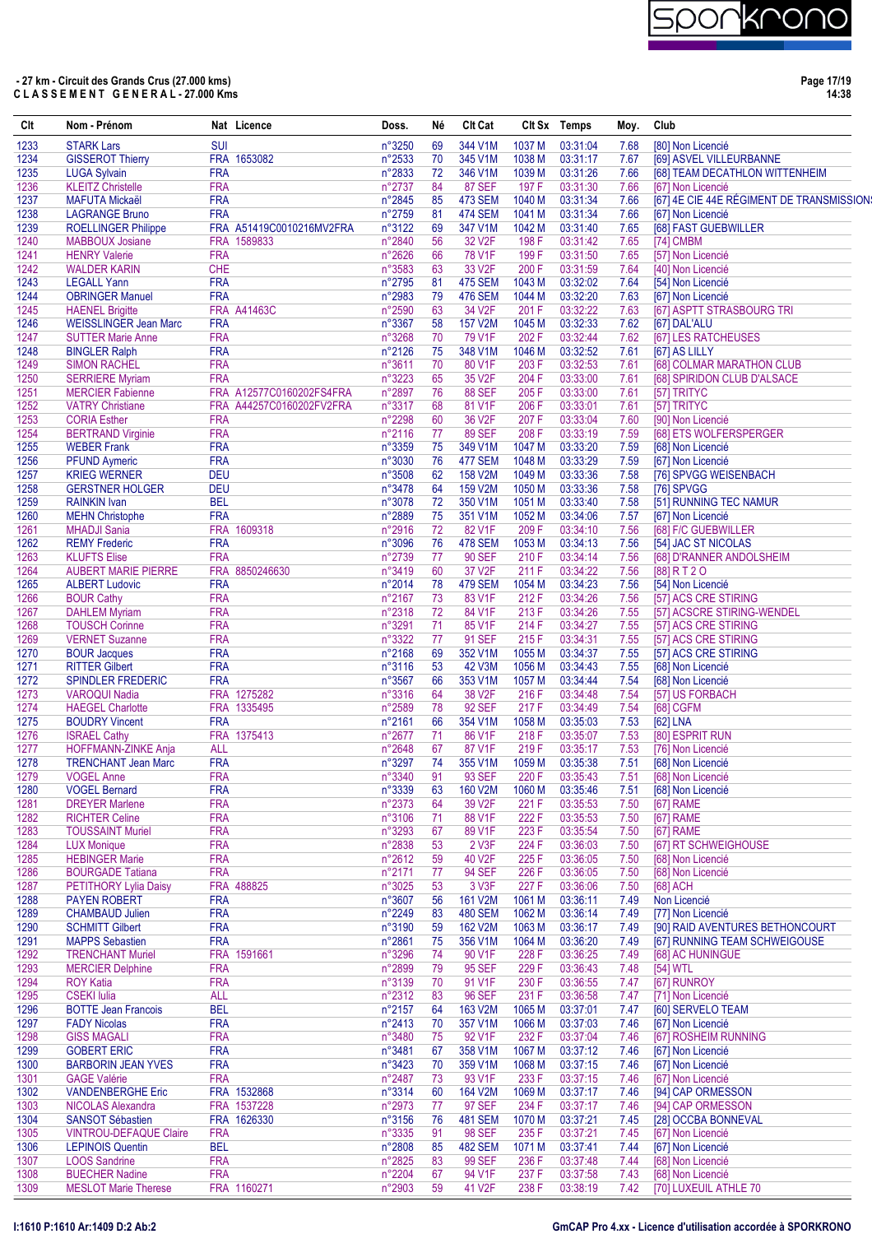

**Page 17/19 14:38**

| Clt          | Nom - Prénom                                         |                          | Nat Licence                                          | Doss.            | Né       | <b>CIt Cat</b>            |                  | Clt Sx Temps         | Moy.         | Club                                      |
|--------------|------------------------------------------------------|--------------------------|------------------------------------------------------|------------------|----------|---------------------------|------------------|----------------------|--------------|-------------------------------------------|
| 1233         | <b>STARK Lars</b>                                    | <b>SUI</b>               |                                                      | n°3250           | 69       | 344 V1M                   | 1037 M           | 03:31:04             | 7.68         | [80] Non Licencié                         |
| 1234         | <b>GISSEROT Thierry</b>                              |                          | FRA 1653082                                          | n°2533           | 70       | 345 V1M                   | 1038 M           | 03:31:17             | 7.67         | [69] ASVEL VILLEURBANNE                   |
| 1235         | <b>LUGA Sylvain</b>                                  | <b>FRA</b>               |                                                      | n°2833           | 72       | 346 V1M                   | 1039 M           | 03:31:26             | 7.66         | [68] TEAM DECATHLON WITTENHEIM            |
| 1236         | <b>KLEITZ Christelle</b>                             | <b>FRA</b>               |                                                      | n°2737           | 84       | <b>87 SEF</b>             | 197 F            | 03:31:30             | 7.66         | [67] Non Licencié                         |
| 1237         | <b>MAFUTA Mickaël</b>                                | <b>FRA</b>               |                                                      | n°2845           | 85       | <b>473 SEM</b>            | 1040 M           | 03:31:34             | 7.66         | [67] 4E CIE 44E RÉGIMENT DE TRANSMISSION: |
| 1238         | <b>LAGRANGE Bruno</b>                                | <b>FRA</b>               |                                                      | n°2759           | 81       | <b>474 SEM</b>            | 1041 M           | 03:31:34             | 7.66         | [67] Non Licencié                         |
| 1239<br>1240 | <b>ROELLINGER Philippe</b><br><b>MABBOUX Josiane</b> |                          | FRA A51419C0010216MV2FRA<br>FRA 1589833              | n°3122<br>n°2840 | 69<br>56 | 347 V1M<br>32 V2F         | 1042 M<br>198 F  | 03:31:40<br>03:31:42 | 7.65<br>7.65 | [68] FAST GUEBWILLER<br>[74] CMBM         |
| 1241         | <b>HENRY Valerie</b>                                 | <b>FRA</b>               |                                                      | n°2626           | 66       | <b>78 V1F</b>             | 199 F            | 03:31:50             | 7.65         | [57] Non Licencié                         |
| 1242         | <b>WALDER KARIN</b>                                  | <b>CHE</b>               |                                                      | n°3583           | 63       | 33 V <sub>2F</sub>        | 200 F            | 03:31:59             | 7.64         | [40] Non Licencié                         |
| 1243         | <b>LEGALL Yann</b>                                   | <b>FRA</b>               |                                                      | n°2795           | 81       | <b>475 SEM</b>            | 1043 M           | 03:32:02             | 7.64         | [54] Non Licencié                         |
| 1244         | <b>OBRINGER Manuel</b>                               | <b>FRA</b>               |                                                      | n°2983           | 79       | <b>476 SEM</b>            | 1044 M           | 03:32:20             | 7.63         | [67] Non Licencié                         |
| 1245         | <b>HAENEL Brigitte</b>                               |                          | <b>FRA A41463C</b>                                   | n°2590           | 63       | 34 V2F                    | 201 F            | 03:32:22             | 7.63         | [67] ASPTT STRASBOURG TRI                 |
| 1246         | <b>WEISSLINGER Jean Marc</b>                         | <b>FRA</b>               |                                                      | n°3367           | 58       | <b>157 V2M</b>            | 1045 M           | 03:32:33             | 7.62         | [67] DAL'ALU                              |
| 1247         | <b>SUTTER Marie Anne</b>                             | <b>FRA</b>               |                                                      | n°3268           | 70       | 79 V1F                    | 202 F            | 03:32:44             | 7.62         | [67] LES RATCHEUSES                       |
| 1248         | <b>BINGLER Ralph</b>                                 | <b>FRA</b>               |                                                      | n°2126           | 75       | 348 V1M                   | 1046 M           | 03:32:52             | 7.61         | [67] AS LILLY                             |
| 1249         | <b>SIMON RACHEL</b>                                  | <b>FRA</b>               |                                                      | n°3611           | 70       | 80 V1F                    | 203 F            | 03:32:53             | 7.61         | [68] COLMAR MARATHON CLUB                 |
| 1250         | <b>SERRIERE Myriam</b>                               | <b>FRA</b>               |                                                      | n°3223           | 65       | 35 V2F                    | 204 F            | 03:33:00             | 7.61         | [68] SPIRIDON CLUB D'ALSACE               |
| 1251<br>1252 | <b>MERCIER Fabienne</b>                              |                          | FRA A12577C0160202FS4FRA<br>FRA A44257C0160202FV2FRA | n°2897<br>n°3317 | 76<br>68 | <b>88 SEF</b><br>81 V1F   | 205F<br>206 F    | 03:33:00             | 7.61         | [57] TRITYC                               |
| 1253         | <b>VATRY Christiane</b><br><b>CORIA Esther</b>       | <b>FRA</b>               |                                                      | n°2298           | 60       | 36 V2F                    | 207 F            | 03:33:01<br>03:33:04 | 7.61<br>7.60 | [57] TRITYC<br>[90] Non Licencié          |
| 1254         | <b>BERTRAND Virginie</b>                             | <b>FRA</b>               |                                                      | n°2116           | 77       | <b>89 SEF</b>             | 208 F            | 03:33:19             | 7.59         | [68] ETS WOLFERSPERGER                    |
| 1255         | <b>WEBER Frank</b>                                   | <b>FRA</b>               |                                                      | n°3359           | 75       | 349 V1M                   | 1047 M           | 03:33:20             | 7.59         | [68] Non Licencié                         |
| 1256         | <b>PFUND Aymeric</b>                                 | <b>FRA</b>               |                                                      | n°3030           | 76       | <b>477 SEM</b>            | 1048 M           | 03:33:29             | 7.59         | [67] Non Licencié                         |
| 1257         | <b>KRIEG WERNER</b>                                  | <b>DEU</b>               |                                                      | n°3508           | 62       | 158 V2M                   | 1049 M           | 03:33:36             | 7.58         | [76] SPVGG WEISENBACH                     |
| 1258         | <b>GERSTNER HOLGER</b>                               | <b>DEU</b>               |                                                      | n°3478           | 64       | 159 V2M                   | 1050 M           | 03:33:36             | 7.58         | [76] SPVGG                                |
| 1259         | <b>RAINKIN Ivan</b>                                  | <b>BEL</b>               |                                                      | n°3078           | 72       | 350 V1M                   | 1051 M           | 03:33:40             | 7.58         | [51] RUNNING TEC NAMUR                    |
| 1260         | <b>MEHN Christophe</b>                               | <b>FRA</b>               |                                                      | n°2889           | 75       | 351 V1M                   | 1052 M           | 03:34:06             | 7.57         | [67] Non Licencié                         |
| 1261         | <b>MHADJI Sania</b>                                  |                          | FRA 1609318                                          | n°2916           | 72       | 82 V1F                    | 209 F            | 03:34:10             | 7.56         | [68] F/C GUEBWILLER                       |
| 1262         | <b>REMY Frederic</b>                                 | <b>FRA</b>               |                                                      | n°3096           | 76       | <b>478 SEM</b>            | 1053 M           | 03:34:13             | 7.56         | [54] JAC ST NICOLAS                       |
| 1263         | <b>KLUFTS Elise</b>                                  | <b>FRA</b>               |                                                      | n°2739           | 77       | <b>90 SEF</b>             | 210 F            | 03:34:14             | 7.56         | [68] D'RANNER ANDOLSHEIM                  |
| 1264         | <b>AUBERT MARIE PIERRE</b>                           | <b>FRA</b>               | FRA 8850246630                                       | n°3419           | 60       | 37 V2F<br><b>479 SEM</b>  | 211 F<br>1054 M  | 03:34:22<br>03:34:23 | 7.56         | [88] R T 2 O                              |
| 1265<br>1266 | <b>ALBERT Ludovic</b><br><b>BOUR Cathy</b>           | <b>FRA</b>               |                                                      | n°2014<br>n°2167 | 78<br>73 | 83 V1F                    | 212 F            | 03:34:26             | 7.56<br>7.56 | [54] Non Licencié<br>[57] ACS CRE STIRING |
| 1267         | <b>DAHLEM Myriam</b>                                 | <b>FRA</b>               |                                                      | n°2318           | 72       | 84 V1F                    | 213 F            | 03:34:26             | 7.55         | [57] ACSCRE STIRING-WENDEL                |
| 1268         | <b>TOUSCH Corinne</b>                                | <b>FRA</b>               |                                                      | n°3291           | 71       | 85 V1F                    | 214 F            | 03:34:27             | 7.55         | [57] ACS CRE STIRING                      |
| 1269         | <b>VERNET Suzanne</b>                                | <b>FRA</b>               |                                                      | n°3322           | 77       | 91 SEF                    | 215F             | 03:34:31             | 7.55         | [57] ACS CRE STIRING                      |
| 1270         | <b>BOUR Jacques</b>                                  | <b>FRA</b>               |                                                      | n°2168           | 69       | 352 V1M                   | 1055 M           | 03:34:37             | 7.55         | [57] ACS CRE STIRING                      |
| 1271         | <b>RITTER Gilbert</b>                                | <b>FRA</b>               |                                                      | n°3116           | 53       | 42 V3M                    | 1056 M           | 03:34:43             | 7.55         | [68] Non Licencié                         |
| 1272         | <b>SPINDLER FREDERIC</b>                             | <b>FRA</b>               |                                                      | n°3567           | 66       | 353 V1M                   | 1057 M           | 03:34:44             | 7.54         | [68] Non Licencié                         |
| 1273         | <b>VAROQUI Nadia</b>                                 |                          | FRA 1275282                                          | n°3316           | 64       | 38 V2F                    | 216 F            | 03:34:48             | 7.54         | [57] US FORBACH                           |
| 1274         | <b>HAEGEL Charlotte</b>                              |                          | FRA 1335495                                          | n°2589           | 78       | <b>92 SEF</b>             | 217 F            | 03:34:49             | 7.54         | <b>[68] CGFM</b>                          |
| 1275         | <b>BOUDRY Vincent</b>                                | <b>FRA</b>               |                                                      | n°2161           | 66       | 354 V1M                   | 1058 M           | 03:35:03             | 7.53         | [62] LNA                                  |
| 1276         | <b>ISRAEL Cathy</b>                                  | <b>ALL</b>               | FRA 1375413                                          | n°2677<br>n°2648 | 71<br>67 | 86 V1F<br>87 V1F          | 218 F            | 03:35:07             | 7.53<br>7.53 | [80] ESPRIT RUN<br>[76] Non Licencié      |
| 1277<br>1278 | HOFFMANN-ZINKE Anja<br><b>TRENCHANT Jean Marc</b>    | <b>FRA</b>               |                                                      | n°3297           | 74       | 355 V1M                   | 219F<br>1059 M   | 03:35:17<br>03:35:38 | 7.51         | [68] Non Licencié                         |
| 1279         | <b>VOGEL Anne</b>                                    | <b>FRA</b>               |                                                      | n°3340           | 91       | 93 SEF                    |                  | 220 F 03:35:43       |              | 7.51 [68] Non Licencié                    |
| 1280         | <b>VOGEL Bernard</b>                                 | <b>FRA</b>               |                                                      | n°3339           | 63       | 160 V2M                   | 1060 M           | 03:35:46             | 7.51         | [68] Non Licencié                         |
| 1281         | <b>DREYER Marlene</b>                                | <b>FRA</b>               |                                                      | n°2373           | 64       | 39 V2F                    | 221 F            | 03:35:53             | 7.50         | [67] RAME                                 |
| 1282         | <b>RICHTER Celine</b>                                | <b>FRA</b>               |                                                      | n°3106           | 71       | 88 V1F                    | 222 F            | 03:35:53             | 7.50         | [67] RAME                                 |
| 1283         | <b>TOUSSAINT Muriel</b>                              | <b>FRA</b>               |                                                      | n°3293           | 67       | 89 V1F                    | 223 F            | 03:35:54             | 7.50         | [67] RAME                                 |
| 1284         | <b>LUX Monique</b>                                   | <b>FRA</b>               |                                                      | n°2838           | 53       | 2 V3F                     | 224 F            | 03:36:03             | 7.50         | [67] RT SCHWEIGHOUSE                      |
| 1285         | <b>HEBINGER Marie</b>                                | <b>FRA</b>               |                                                      | n°2612           | 59       | 40 V2F                    | 225 F            | 03:36:05             | 7.50         | [68] Non Licencié                         |
| 1286         | <b>BOURGADE Tatiana</b>                              | <b>FRA</b>               |                                                      | n°2171           | 77       | <b>94 SEF</b>             | 226 F            | 03:36:05             | 7.50         | [68] Non Licencié                         |
| 1287         | PETITHORY Lylia Daisy                                |                          | FRA 488825                                           | n°3025           | 53       | 3 V3F                     | 227 F            | 03:36:06             | 7.50         | [68] ACH                                  |
| 1288<br>1289 | <b>PAYEN ROBERT</b><br><b>CHAMBAUD Julien</b>        | <b>FRA</b><br><b>FRA</b> |                                                      | n°3607<br>n°2249 | 56<br>83 | 161 V2M<br><b>480 SEM</b> | 1061 M<br>1062 M | 03:36:11<br>03:36:14 | 7.49<br>7.49 | Non Licencié<br>[77] Non Licencié         |
| 1290         | <b>SCHMITT Gilbert</b>                               | <b>FRA</b>               |                                                      | n°3190           | 59       | 162 V2M                   | 1063 M           | 03:36:17             | 7.49         | [90] RAID AVENTURES BETHONCOURT           |
| 1291         | <b>MAPPS Sebastien</b>                               | <b>FRA</b>               |                                                      | n°2861           | 75       | 356 V1M                   | 1064 M           | 03:36:20             | 7.49         | [67] RUNNING TEAM SCHWEIGOUSE             |
| 1292         | <b>TRENCHANT Muriel</b>                              |                          | FRA 1591661                                          | n°3296           | 74       | 90 V1F                    | 228 F            | 03:36:25             | 7.49         | [68] AC HUNINGUE                          |
| 1293         | <b>MERCIER Delphine</b>                              | <b>FRA</b>               |                                                      | n°2899           | 79       | 95 SEF                    | 229 F            | 03:36:43             | 7.48         | [54] WTL                                  |
| 1294         | <b>ROY Katia</b>                                     | <b>FRA</b>               |                                                      | n°3139           | 70       | 91 V1F                    | 230 F            | 03:36:55             | 7.47         | [67] RUNROY                               |
| 1295         | <b>CSEKI</b> Iulia                                   | <b>ALL</b>               |                                                      | n°2312           | 83       | <b>96 SEF</b>             | 231 F            | 03:36:58             | 7.47         | [71] Non Licencié                         |
| 1296         | <b>BOTTE Jean Francois</b>                           | <b>BEL</b>               |                                                      | n°2157           | 64       | 163 V2M                   | 1065 M           | 03:37:01             | 7.47         | [60] SERVELO TEAM                         |
| 1297         | <b>FADY Nicolas</b>                                  | <b>FRA</b>               |                                                      | n°2413           | 70       | 357 V1M                   | 1066 M           | 03:37:03             | 7.46         | [67] Non Licencié                         |
| 1298         | <b>GISS MAGALI</b>                                   | <b>FRA</b>               |                                                      | n°3480           | 75       | 92 V1F                    | 232 F            | 03:37:04             | 7.46         | [67] ROSHEIM RUNNING                      |
| 1299         | <b>GOBERT ERIC</b>                                   | <b>FRA</b>               |                                                      | n°3481           | 67       | 358 V1M                   | 1067 M           | 03:37:12             | 7.46         | [67] Non Licencié                         |
| 1300         | <b>BARBORIN JEAN YVES</b>                            | <b>FRA</b>               |                                                      | n°3423           | 70       | 359 V1M                   | 1068 M           | 03:37:15             | 7.46         | [67] Non Licencié                         |
| 1301<br>1302 | <b>GAGE Valérie</b><br><b>VANDENBERGHE Eric</b>      | <b>FRA</b>               | FRA 1532868                                          | n°2487<br>n°3314 | 73<br>60 | 93 V1F<br>164 V2M         | 233 F<br>1069 M  | 03:37:15<br>03:37:17 | 7.46<br>7.46 | [67] Non Licencié<br>[94] CAP ORMESSON    |
| 1303         | <b>NICOLAS Alexandra</b>                             |                          | FRA 1537228                                          | n°2973           | 77       | 97 SEF                    | 234 F            | 03:37:17             | 7.46         | [94] CAP ORMESSON                         |
| 1304         | <b>SANSOT Sébastien</b>                              |                          | FRA 1626330                                          | n°3156           | 76       | <b>481 SEM</b>            | 1070 M           | 03:37:21             | 7.45         | [28] OCCBA BONNEVAL                       |
| 1305         | <b>VINTROU-DEFAQUE Claire</b>                        | <b>FRA</b>               |                                                      | n°3335           | 91       | <b>98 SEF</b>             | 235 F            | 03:37:21             | 7.45         | [67] Non Licencié                         |
| 1306         | <b>LEPINOIS Quentin</b>                              | <b>BEL</b>               |                                                      | n°2808           | 85       | <b>482 SEM</b>            | 1071 M           | 03:37:41             | 7.44         | [67] Non Licencié                         |
| 1307         | <b>LOOS Sandrine</b>                                 | <b>FRA</b>               |                                                      | n°2825           | 83       | 99 SEF                    | 236 F            | 03:37:48             | 7.44         | [68] Non Licencié                         |
| 1308         | <b>BUECHER Nadine</b>                                | <b>FRA</b>               |                                                      | n°2204           | 67       | 94 V1F                    | 237 F            | 03:37:58             | 7.43         | [68] Non Licencié                         |
| 1309         | <b>MESLOT Marie Therese</b>                          |                          | FRA 1160271                                          | n°2903           | 59       | 41 V2F                    | 238 F            | 03:38:19             | 7.42         | [70] LUXEUIL ATHLE 70                     |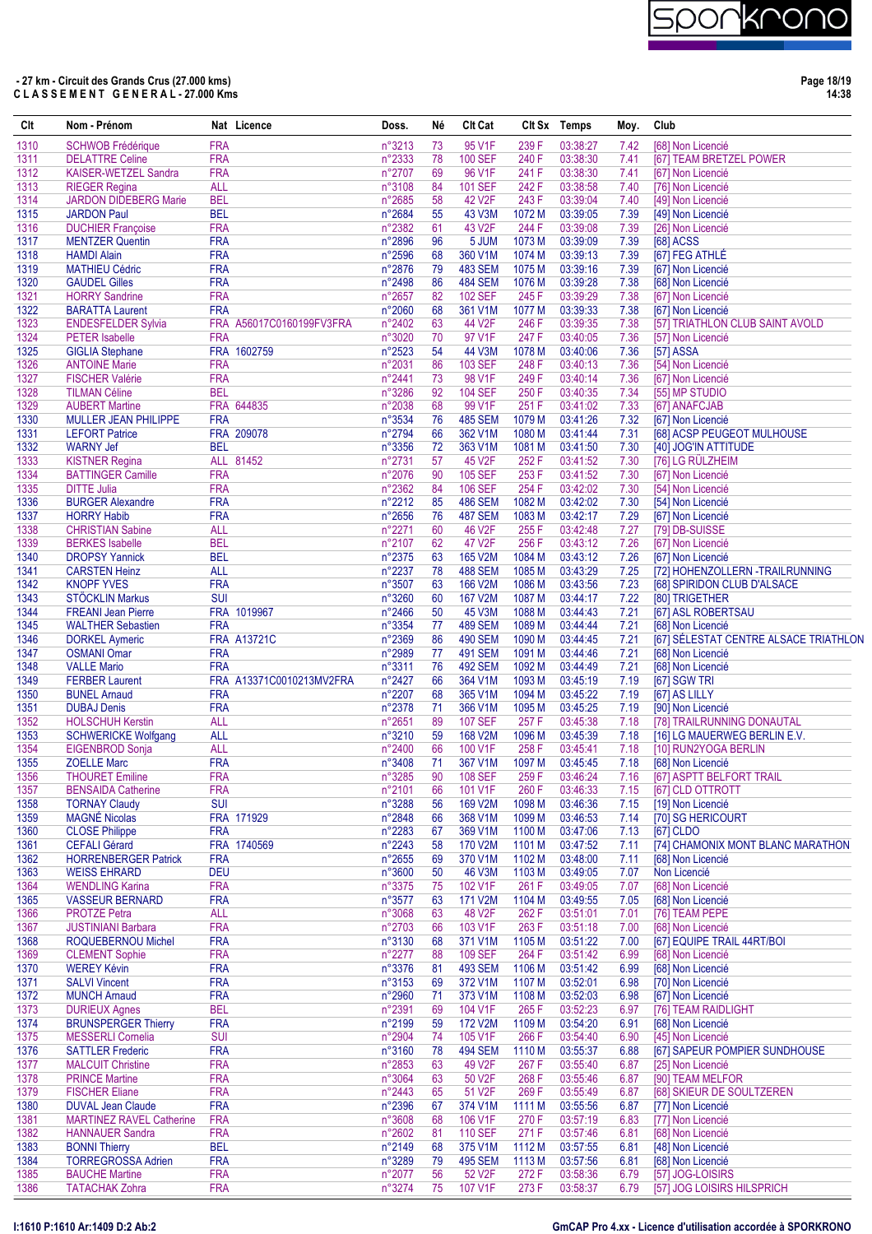

**Page 18/19 14:38**

| Clt          | Nom - Prénom                                         |                          | Nat Licence              | Doss.            | Né       | <b>CIt Cat</b>                   |                   | CIt Sx Temps         | Moy.         | Club                                                       |
|--------------|------------------------------------------------------|--------------------------|--------------------------|------------------|----------|----------------------------------|-------------------|----------------------|--------------|------------------------------------------------------------|
| 1310         | <b>SCHWOB Frédérique</b>                             | <b>FRA</b>               |                          | n°3213           | 73       | 95 V1F                           | 239 F             | 03:38:27             | 7.42         | [68] Non Licencié                                          |
| 1311         | <b>DELATTRE Celine</b>                               | <b>FRA</b>               |                          | n°2333           | 78       | <b>100 SEF</b>                   | 240 F             | 03:38:30             | 7.41         | [67] TEAM BRETZEL POWER                                    |
| 1312         | <b>KAISER-WETZEL Sandra</b>                          | <b>FRA</b>               |                          | n°2707           | 69       | 96 V1F                           | 241 F             | 03:38:30             | 7.41         | [67] Non Licencié                                          |
| 1313<br>1314 | <b>RIEGER Regina</b><br><b>JARDON DIDEBERG Marie</b> | <b>ALL</b><br><b>BEL</b> |                          | n°3108<br>n°2685 | 84<br>58 | <b>101 SEF</b><br>42 V2F         | 242 F<br>243 F    | 03:38:58<br>03:39:04 | 7.40<br>7.40 | [76] Non Licencié<br>[49] Non Licencié                     |
| 1315         | <b>JARDON Paul</b>                                   | <b>BEL</b>               |                          | n°2684           | 55       | <b>43 V3M</b>                    | 1072 M            | 03:39:05             | 7.39         | [49] Non Licencié                                          |
| 1316         | <b>DUCHIER Françoise</b>                             | <b>FRA</b>               |                          | n°2382           | 61       | 43 V2F                           | 244 F             | 03:39:08             | 7.39         | [26] Non Licencié                                          |
| 1317         | <b>MENTZER Quentin</b>                               | <b>FRA</b>               |                          | n°2896           | 96       | 5 JUM                            | 1073 M            | 03:39:09             | 7.39         | <b>[68] ACSS</b>                                           |
| 1318         | <b>HAMDI Alain</b>                                   | <b>FRA</b>               |                          | n°2596           | 68       | 360 V1M                          | 1074 M            | 03:39:13             | 7.39         | [67] FEG ATHLÉ                                             |
| 1319         | <b>MATHIEU Cédric</b>                                | <b>FRA</b><br><b>FRA</b> |                          | n°2876           | 79<br>86 | <b>483 SEM</b>                   | 1075 <sub>M</sub> | 03:39:16             | 7.39         | [67] Non Licencié                                          |
| 1320<br>1321 | <b>GAUDEL Gilles</b><br><b>HORRY Sandrine</b>        | <b>FRA</b>               |                          | n°2498<br>n°2657 | 82       | <b>484 SEM</b><br><b>102 SEF</b> | 1076 M<br>245 F   | 03:39:28<br>03:39:29 | 7.38<br>7.38 | [68] Non Licencié<br>[67] Non Licencié                     |
| 1322         | <b>BARATTA Laurent</b>                               | <b>FRA</b>               |                          | n°2060           | 68       | 361 V1M                          | 1077 M            | 03:39:33             | 7.38         | [67] Non Licencié                                          |
| 1323         | <b>ENDESFELDER Sylvia</b>                            |                          | FRA A56017C0160199FV3FRA | n°2402           | 63       | 44 V2F                           | 246 F             | 03:39:35             | 7.38         | [57] TRIATHLON CLUB SAINT AVOLD                            |
| 1324         | <b>PETER</b> Isabelle                                | <b>FRA</b>               |                          | n°3020           | 70       | 97 V1F                           | 247 F             | 03:40:05             | 7.36         | [57] Non Licencié                                          |
| 1325         | <b>GIGLIA Stephane</b>                               |                          | FRA 1602759              | n°2523           | 54       | 44 V3M                           | 1078 M            | 03:40:06             | 7.36         | [57] ASSA                                                  |
| 1326         | <b>ANTOINE Marie</b>                                 | <b>FRA</b><br><b>FRA</b> |                          | n°2031           | 86<br>73 | <b>103 SEF</b>                   | 248 F<br>249F     | 03:40:13<br>03:40:14 | 7.36         | [54] Non Licencié                                          |
| 1327<br>1328 | <b>FISCHER Valérie</b><br><b>TILMAN Céline</b>       | <b>BEL</b>               |                          | n°2441<br>n°3286 | 92       | 98 V1F<br><b>104 SEF</b>         | 250 F             | 03:40:35             | 7.36<br>7.34 | [67] Non Licencié<br>[55] MP STUDIO                        |
| 1329         | <b>AUBERT Martine</b>                                |                          | FRA 644835               | n°2038           | 68       | 99 V1F                           | 251 F             | 03:41:02             | 7.33         | [67] ANAFCJAB                                              |
| 1330         | MULLER JEAN PHILIPPE                                 | <b>FRA</b>               |                          | n°3534           | 76       | <b>485 SEM</b>                   | 1079 <sub>M</sub> | 03:41:26             | 7.32         | [67] Non Licencié                                          |
| 1331         | <b>LEFORT Patrice</b>                                |                          | FRA 209078               | n°2794           | 66       | 362 V1M                          | 1080 M            | 03:41:44             | 7.31         | [68] ACSP PEUGEOT MULHOUSE                                 |
| 1332         | <b>WARNY Jef</b>                                     | <b>BEL</b>               |                          | n°3356           | 72       | 363 V1M                          | 1081 M            | 03:41:50             | 7.30         | [40] JOG'IN ATTITUDE                                       |
| 1333         | <b>KISTNER Regina</b>                                |                          | ALL 81452                | n°2731           | 57       | 45 V2F                           | 252 F             | 03:41:52             | 7.30         | [76] LG RÜLZHEIM                                           |
| 1334<br>1335 | <b>BATTINGER Camille</b><br><b>DITTE Julia</b>       | <b>FRA</b><br><b>FRA</b> |                          | n°2076<br>n°2362 | 90       | <b>105 SEF</b><br><b>106 SEF</b> | 253F<br>254 F     | 03:41:52<br>03:42:02 | 7.30         | [67] Non Licencié                                          |
| 1336         | <b>BURGER Alexandre</b>                              | <b>FRA</b>               |                          | n°2212           | 84<br>85 | <b>486 SEM</b>                   | 1082 M            | 03:42:02             | 7.30<br>7.30 | [54] Non Licencié<br>[54] Non Licencié                     |
| 1337         | <b>HORRY Habib</b>                                   | <b>FRA</b>               |                          | n°2656           | 76       | <b>487 SEM</b>                   | 1083 M            | 03:42:17             | 7.29         | [67] Non Licencié                                          |
| 1338         | <b>CHRISTIAN Sabine</b>                              | <b>ALL</b>               |                          | n°2271           | 60       | 46 V2F                           | 255 F             | 03:42:48             | 7.27         | [79] DB-SUISSE                                             |
| 1339         | <b>BERKES</b> Isabelle                               | <b>BEL</b>               |                          | n°2107           | 62       | 47 V2F                           | 256 F             | 03:43:12             | 7.26         | [67] Non Licencié                                          |
| 1340         | <b>DROPSY Yannick</b>                                | <b>BEL</b>               |                          | n°2375           | 63       | 165 V2M                          | 1084 M            | 03:43:12             | 7.26         | [67] Non Licencié                                          |
| 1341         | <b>CARSTEN Heinz</b>                                 | <b>ALL</b>               |                          | n°2237           | 78       | <b>488 SEM</b>                   | 1085 M            | 03:43:29             | 7.25         | [72] HOHENZOLLERN -TRAILRUNNING                            |
| 1342         | <b>KNOPF YVES</b>                                    | <b>FRA</b>               |                          | n°3507           | 63       | 166 V2M                          | 1086 M            | 03:43:56             | 7.23         | [68] SPIRIDON CLUB D'ALSACE                                |
| 1343         | STÖCKLIN Markus                                      | <b>SUI</b>               |                          | n°3260           | 60       | 167 V2M                          | 1087 M            | 03:44:17             | 7.22         | [80] TRIGETHER                                             |
| 1344<br>1345 | <b>FREANI Jean Pierre</b>                            |                          | FRA 1019967              | n°2466           | 50<br>77 | 45 V3M<br><b>489 SEM</b>         | 1088 M            | 03:44:43<br>03:44:44 | 7.21         | [67] ASL ROBERTSAU                                         |
| 1346         | <b>WALTHER Sebastien</b><br><b>DORKEL Aymeric</b>    | <b>FRA</b>               | <b>FRA A13721C</b>       | n°3354<br>n°2369 | 86       | <b>490 SEM</b>                   | 1089 M<br>1090 M  | 03:44:45             | 7.21<br>7.21 | [68] Non Licencié<br>[67] SÉLESTAT CENTRE ALSACE TRIATHLON |
| 1347         | <b>OSMANI Omar</b>                                   | <b>FRA</b>               |                          | n°2989           | 77       | <b>491 SEM</b>                   | 1091 M            | 03:44:46             | 7.21         | [68] Non Licencié                                          |
| 1348         | <b>VALLE Mario</b>                                   | <b>FRA</b>               |                          | n°3311           | 76       | <b>492 SEM</b>                   | 1092 M            | 03:44:49             | 7.21         | [68] Non Licencié                                          |
| 1349         | <b>FERBER Laurent</b>                                |                          | FRA A13371C0010213MV2FRA | n°2427           | 66       | 364 V1M                          | 1093 M            | 03:45:19             | 7.19         | [67] SGW TRI                                               |
| 1350         | <b>BUNEL Arnaud</b>                                  | <b>FRA</b>               |                          | n°2207           | 68       | 365 V1M                          | 1094 M            | 03:45:22             | 7.19         | [67] AS LILLY                                              |
| 1351         | <b>DUBAJ Denis</b>                                   | <b>FRA</b>               |                          | n°2378           | 71       | 366 V1M                          | 1095 <sub>M</sub> | 03:45:25             | 7.19         | [90] Non Licencié                                          |
| 1352         | <b>HOLSCHUH Kerstin</b>                              | <b>ALL</b>               |                          | n°2651           | 89       | <b>107 SEF</b>                   | 257 F             | 03:45:38             | 7.18         | [78] TRAILRUNNING DONAUTAL                                 |
| 1353<br>1354 | <b>SCHWERICKE Wolfgang</b><br><b>EIGENBROD Sonja</b> | <b>ALL</b><br><b>ALL</b> |                          | n°3210<br>n°2400 | 59<br>66 | 168 V2M<br>100 V1F               | 1096 M<br>258 F   | 03:45:39<br>03:45:41 | 7.18<br>7.18 | [16] LG MAUERWEG BERLIN E.V.<br>[10] RUN2YOGA BERLIN       |
| 1355         | <b>ZOELLE Marc</b>                                   | <b>FRA</b>               |                          | n°3408           | 71       | 367 V1M                          | 1097 M            | 03:45:45             | 7.18         | [68] Non Licencié                                          |
| 1356         | <b>THOURET Emiline</b>                               | <b>FRA</b>               |                          | n°3285           | 90       | <b>108 SEF</b>                   | 259F              | 03:46:24             | 7.16         | [67] ASPTT BELFORT TRAIL                                   |
| 1357         | <b>BENSAIDA Catherine</b>                            | <b>FRA</b>               |                          | n°2101           | 66       | 101 V1F                          | 260 F             | 03:46:33             | 7.15         | [67] CLD OTTROTT                                           |
| 1358         | <b>TORNAY Claudy</b>                                 | <b>SUI</b>               |                          | n°3288           | 56       | 169 V2M                          | 1098 M            | 03:46:36             | 7.15         | [19] Non Licencié                                          |
| 1359         | <b>MAGNÉ Nicolas</b>                                 |                          | FRA 171929               | n°2848           | 66       | 368 V1M                          | 1099 M            | 03:46:53             | 7.14         | [70] SG HERICOURT                                          |
| 1360         | <b>CLOSE Philippe</b>                                | <b>FRA</b>               |                          | n°2283           | 67       | 369 V1M                          | 1100 M            | 03:47:06             | 7.13         | [67] CLDO                                                  |
| 1361         | <b>CEFALI Gérard</b>                                 |                          | FRA 1740569              | n°2243           | 58       | 170 V2M                          | 1101 M            | 03:47:52             | 7.11         | [74] CHAMONIX MONT BLANC MARATHON                          |
| 1362<br>1363 | <b>HORRENBERGER Patrick</b><br><b>WEISS EHRARD</b>   | <b>FRA</b><br><b>DEU</b> |                          | n°2655<br>n°3600 | 69<br>50 | 370 V1M<br>46 V3M                | 1102 M<br>1103 M  | 03:48:00<br>03:49:05 | 7.11<br>7.07 | [68] Non Licencié<br>Non Licencié                          |
| 1364         | <b>WENDLING Karina</b>                               | <b>FRA</b>               |                          | n°3375           | 75       | 102 V1F                          | 261 F             | 03:49:05             | 7.07         | [68] Non Licencié                                          |
| 1365         | <b>VASSEUR BERNARD</b>                               | <b>FRA</b>               |                          | n°3577           | 63       | 171 V2M                          | 1104 M            | 03:49:55             | 7.05         | [68] Non Licencié                                          |
| 1366         | <b>PROTZE Petra</b>                                  | ALL                      |                          | n°3068           | 63       | 48 V <sub>2F</sub>               | 262 F             | 03:51:01             | 7.01         | [76] TEAM PEPE                                             |
| 1367         | <b>JUSTINIANI Barbara</b>                            | <b>FRA</b>               |                          | n°2703           | 66       | 103 V1F                          | 263 F             | 03:51:18             | 7.00         | [68] Non Licencié                                          |
| 1368         | ROQUEBERNOU Michel                                   | <b>FRA</b>               |                          | n°3130           | 68       | 371 V1M                          | 1105 M            | 03:51:22             | 7.00         | [67] EQUIPE TRAIL 44RT/BOI                                 |
| 1369         | <b>CLEMENT Sophie</b>                                | <b>FRA</b>               |                          | n°2277           | 88       | <b>109 SEF</b>                   | 264 F             | 03:51:42             | 6.99         | [68] Non Licencié                                          |
| 1370<br>1371 | <b>WEREY Kévin</b><br><b>SALVI Vincent</b>           | <b>FRA</b><br><b>FRA</b> |                          | n°3376<br>n°3153 | 81<br>69 | <b>493 SEM</b><br>372 V1M        | 1106 M<br>1107 M  | 03:51:42<br>03:52:01 | 6.99<br>6.98 | [68] Non Licencié<br>[70] Non Licencié                     |
| 1372         | <b>MUNCH Arnaud</b>                                  | <b>FRA</b>               |                          | n°2960           | 71       | 373 V1M                          | 1108 M            | 03:52:03             | 6.98         | [67] Non Licencié                                          |
| 1373         | <b>DURIEUX Agnes</b>                                 | <b>BEL</b>               |                          | n°2391           | 69       | 104 V1F                          | 265F              | 03:52:23             | 6.97         | [76] TEAM RAIDLIGHT                                        |
| 1374         | <b>BRUNSPERGER Thierry</b>                           | <b>FRA</b>               |                          | n°2199           | 59       | 172 V2M                          | 1109 M            | 03:54:20             | 6.91         | [68] Non Licencié                                          |
| 1375         | <b>MESSERLI Cornelia</b>                             | <b>SUI</b>               |                          | n°2904           | 74       | 105 V1F                          | 266 F             | 03:54:40             | 6.90         | [45] Non Licencié                                          |
| 1376         | <b>SATTLER Frederic</b>                              | <b>FRA</b>               |                          | n°3160           | 78       | <b>494 SEM</b>                   | 1110 M            | 03:55:37             | 6.88         | [67] SAPEUR POMPIER SUNDHOUSE                              |
| 1377         | <b>MALCUIT Christine</b>                             | <b>FRA</b>               |                          | n°2853           | 63       | 49 V2F                           | 267 F             | 03:55:40             | 6.87         | [25] Non Licencié                                          |
| 1378         | <b>PRINCE Martine</b>                                | <b>FRA</b>               |                          | n°3064           | 63       | 50 V2F                           | 268 F             | 03:55:46             | 6.87         | [90] TEAM MELFOR                                           |
| 1379<br>1380 | <b>FISCHER Eliane</b><br><b>DUVAL Jean Claude</b>    | <b>FRA</b><br><b>FRA</b> |                          | n°2443<br>n°2396 | 65<br>67 | 51 V2F<br>374 V1M                | 269 F<br>1111 M   | 03:55:49<br>03:55:56 | 6.87<br>6.87 | [68] SKIEUR DE SOULTZEREN<br>[77] Non Licencié             |
| 1381         | <b>MARTINEZ RAVEL Catherine</b>                      | <b>FRA</b>               |                          | n°3608           | 68       | 106 V1F                          | 270 F             | 03:57:19             | 6.83         | [77] Non Licencié                                          |
| 1382         | <b>HANNAUER Sandra</b>                               | <b>FRA</b>               |                          | n°2602           | 81       | <b>110 SEF</b>                   | 271 F             | 03:57:46             | 6.81         | [68] Non Licencié                                          |
| 1383         | <b>BONNI Thierry</b>                                 | <b>BEL</b>               |                          | n°2149           | 68       | 375 V1M                          | 1112 M            | 03:57:55             | 6.81         | [48] Non Licencié                                          |
| 1384         | <b>TORREGROSSA Adrien</b>                            | <b>FRA</b>               |                          | n°3289           | 79       | <b>495 SEM</b>                   | 1113 M            | 03:57:56             | 6.81         | [68] Non Licencié                                          |
| 1385         | <b>BAUCHE Martine</b>                                | <b>FRA</b>               |                          | n°2077           | 56       | 52 V2F                           | 272F              | 03:58:36             | 6.79         | [57] JOG-LOISIRS                                           |
| 1386         | <b>TATACHAK Zohra</b>                                | <b>FRA</b>               |                          | n°3274           | 75       | 107 V1F                          | 273 F             | 03:58:37             | 6.79         | [57] JOG LOISIRS HILSPRICH                                 |